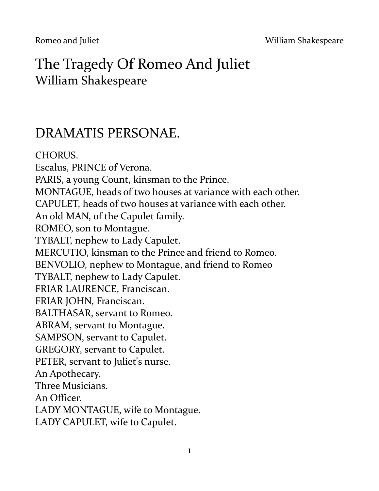# The Tragedy Of Romeo And Juliet William Shakespeare

# DRAMATIS PERSONAE.

CHORUS. Escalus, PRINCE of Verona. PARIS, a young Count, kinsman to the Prince. MONTAGUE, heads of two houses at variance with each other. CAPULET, heads of two houses at variance with each other. An old MAN, of the Capulet family. ROMEO, son to Montague. TYBALT, nephew to Lady Capulet. MERCUTIO, kinsman to the Prince and friend to Romeo. BENVOLIO, nephew to Montague, and friend to Romeo TYBALT, nephew to Lady Capulet. FRIAR LAURENCE, Franciscan. FRIAR JOHN, Franciscan. BALTHASAR, servant to Romeo. ABRAM, servant to Montague. SAMPSON, servant to Capulet. GREGORY, servant to Capulet. PETER, servant to Juliet's nurse. An Apothecary. Three Musicians. An Officer. LADY MONTAGUE, wife to Montague. LADY CAPULET, wife to Capulet.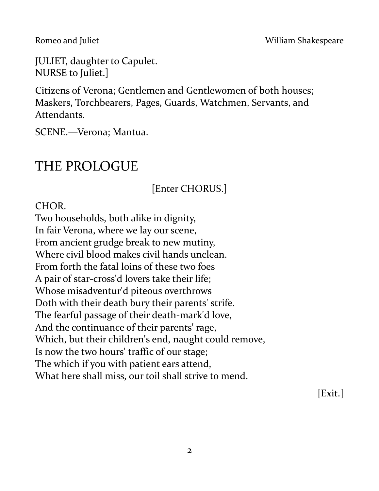JULIET, daughter to Capulet. NURSE to Juliet.]

Citizens of Verona; Gentlemen and Gentlewomen of both houses; Maskers, Torchbearers, Pages, Guards, Watchmen, Servants, and Attendants.

SCENE.—Verona; Mantua.

# THE PROLOGUE

[Enter CHORUS.]

CHOR.

Two households, both alike in dignity, In fair Verona, where we lay our scene, From ancient grudge break to new mutiny, Where civil blood makes civil hands unclean. From forth the fatal loins of these two foes A pair of star-cross'd lovers take their life; Whose misadventur'd piteous overthrows Doth with their death bury their parents' strife. The fearful passage of their death-mark'd love, And the continuance of their parents' rage, Which, but their children's end, naught could remove, Is now the two hours' traffic of our stage; The which if you with patient ears attend, What here shall miss, our toil shall strive to mend.

[Exit.]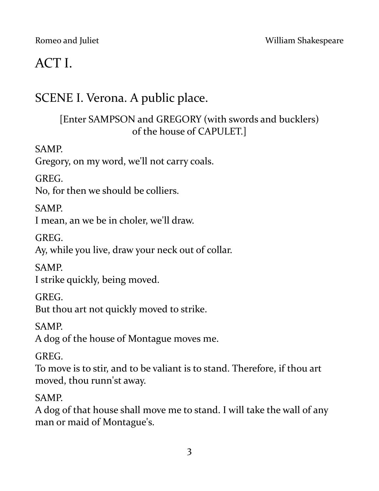# ACT I.

# SCENE I. Verona. A public place.

# [Enter SAMPSON and GREGORY (with swords and bucklers) of the house of CAPULET.]

## SAMP.

Gregory, on my word, we'll not carry coals.

GREG.

No, for then we should be colliers.

## SAMP.

I mean, an we be in choler, we'll draw.

GREG.

Ay, while you live, draw your neck out of collar.

**SAMP** 

I strike quickly, being moved.

GREG.

But thou art not quickly moved to strike.

SAMP.

A dog of the house of Montague moves me.

GREG.

To move is to stir, and to be valiant is to stand. Therefore, if thou art moved, thou runn'st away.

## SAMP.

A dog of that house shall move me to stand. I will take the wall of any man or maid of Montague's.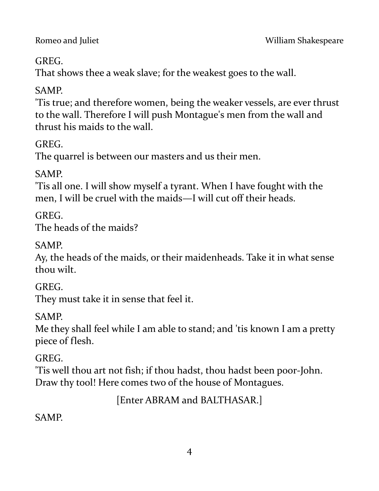## **GREG**

That shows thee a weak slave; for the weakest goes to the wall.

# SAMP.

'Tis true; and therefore women, being the weaker vessels, are ever thrust to the wall. Therefore I will push Montague's men from the wall and thrust his maids to the wall.

GREG.

The quarrel is between our masters and us their men.

SAMP.

'Tis all one. I will show myself a tyrant. When I have fought with the men, I will be cruel with the maids—I will cut off their heads.

**GREG** 

The heads of the maids?

SAMP.

Ay, the heads of the maids, or their maidenheads. Take it in what sense thou wilt.

GREG.

They must take it in sense that feel it.

SAMP.

Me they shall feel while I am able to stand; and 'tis known I am a pretty piece of flesh.

GREG.

'Tis well thou art not fish; if thou hadst, thou hadst been poor-John. Draw thy tool! Here comes two of the house of Montagues.

[Enter ABRAM and BALTHASAR.]

SAMP.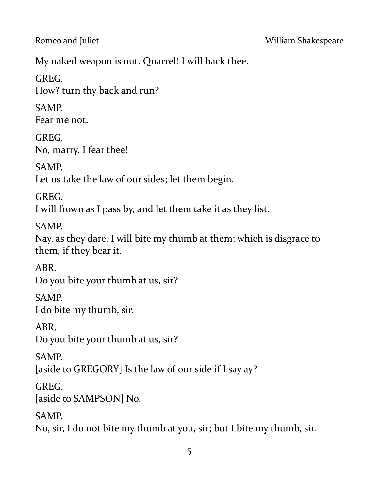My naked weapon is out. Quarrel! I will back thee.

GREG. How? turn thy back and run?

SAMP. Fear me not.

GREG. No, marry. I fear thee!

SAMP. Let us take the law of our sides; let them begin.

GREG. I will frown as I pass by, and let them take it as they list.

SAMP.

Nay, as they dare. I will bite my thumb at them; which is disgrace to them, if they bear it.

ABR. Do you bite your thumb at us, sir?

SAMP. I do bite my thumb, sir.

ABR. Do you bite your thumb at us, sir?

SAMP. [aside to GREGORY] Is the law of our side if I say ay?

GREG. [aside to SAMPSON] No.

SAMP.

No, sir, I do not bite my thumb at you, sir; but I bite my thumb, sir.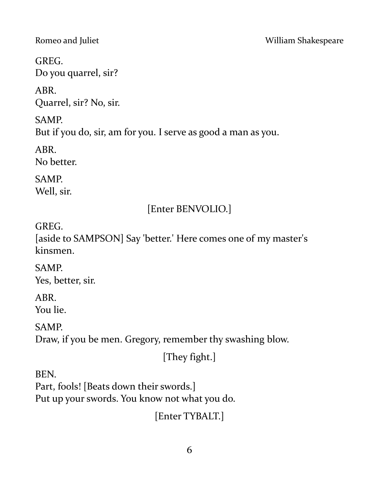GREG. Do you quarrel, sir?

ABR. Quarrel, sir? No, sir.

SAMP. But if you do, sir, am for you. I serve as good a man as you.

ABR. No better.

SAMP. Well, sir.

# [Enter BENVOLIO.]

GREG.

[aside to SAMPSON] Say 'better.' Here comes one of my master's kinsmen.

SAMP. Yes, better, sir.

ABR. You lie.

SAMP.

Draw, if you be men. Gregory, remember thy swashing blow.

[They fight.]

BEN.

Part, fools! [Beats down their swords.] Put up your swords. You know not what you do.

[Enter TYBALT.]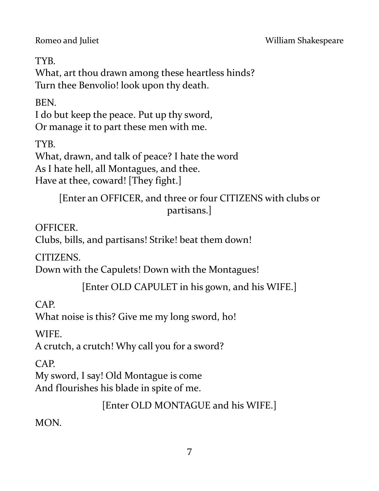TYB.

What, art thou drawn among these heartless hinds? Turn thee Benvolio! look upon thy death.

BEN.

I do but keep the peace. Put up thy sword, Or manage it to part these men with me.

TYB.

What, drawn, and talk of peace? I hate the word As I hate hell, all Montagues, and thee. Have at thee, coward! [They fight.]

> [Enter an OFFICER, and three or four CITIZENS with clubs or partisans.]

OFFICER.

Clubs, bills, and partisans! Strike! beat them down!

CITIZENS.

Down with the Capulets! Down with the Montagues!

[Enter OLD CAPULET in his gown, and his WIFE.]

CAP.

What noise is this? Give me my long sword, ho!

WIFE.

A crutch, a crutch! Why call you for a sword?

CAP.

My sword, I say! Old Montague is come And flourishes his blade in spite of me.

[Enter OLD MONTAGUE and his WIFE.]

MON.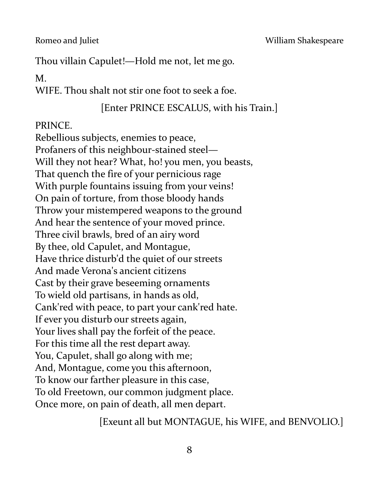Romeo and Juliet **No. 2018** William Shakespeare

Thou villain Capulet!—Hold me not, let me go.

M.

WIFE. Thou shalt not stir one foot to seek a foe.

### [Enter PRINCE ESCALUS, with his Train.]

PRINCE.

Rebellious subjects, enemies to peace, Profaners of this neighbour-stained steel— Will they not hear? What, ho! you men, you beasts, That quench the fire of your pernicious rage With purple fountains issuing from your veins! On pain of torture, from those bloody hands Throw your mistempered weapons to the ground And hear the sentence of your moved prince. Three civil brawls, bred of an airy word By thee, old Capulet, and Montague, Have thrice disturb'd the quiet of our streets And made Verona's ancient citizens Cast by their grave beseeming ornaments To wield old partisans, in hands as old, Cank'red with peace, to part your cank'red hate. If ever you disturb our streets again, Your lives shall pay the forfeit of the peace. For this time all the rest depart away. You, Capulet, shall go along with me; And, Montague, come you this afternoon, To know our farther pleasure in this case, To old Freetown, our common judgment place. Once more, on pain of death, all men depart.

[Exeunt all but MONTAGUE, his WIFE, and BENVOLIO.]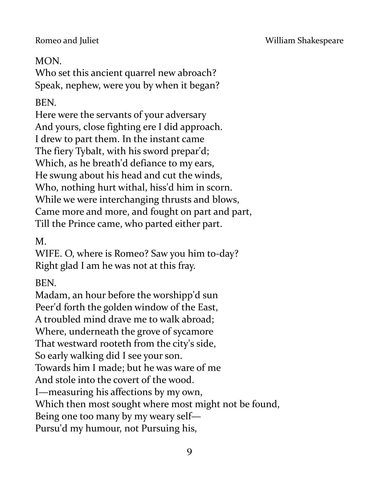# MON.

Who set this ancient quarrel new abroach? Speak, nephew, were you by when it began?

# BEN.

Here were the servants of your adversary And yours, close fighting ere I did approach. I drew to part them. In the instant came The fiery Tybalt, with his sword prepar'd; Which, as he breath'd defiance to my ears, He swung about his head and cut the winds, Who, nothing hurt withal, hiss'd him in scorn. While we were interchanging thrusts and blows, Came more and more, and fought on part and part, Till the Prince came, who parted either part.

M.

WIFE. O, where is Romeo? Saw you him to-day? Right glad I am he was not at this fray.

BEN.

Madam, an hour before the worshipp'd sun Peer'd forth the golden window of the East, A troubled mind drave me to walk abroad; Where, underneath the grove of sycamore That westward rooteth from the city's side, So early walking did I see your son. Towards him I made; but he was ware of me And stole into the covert of the wood. I—measuring his affections by my own, Which then most sought where most might not be found, Being one too many by my weary self— Pursu'd my humour, not Pursuing his,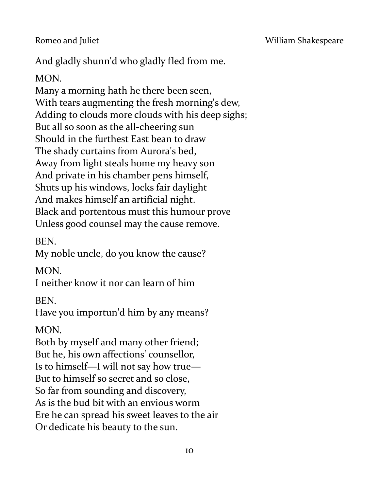Romeo and Juliet **No. 2018 Romeo and Juliet** William Shakespeare

And gladly shunn'd who gladly fled from me.

## MON.

Many a morning hath he there been seen, With tears augmenting the fresh morning's dew, Adding to clouds more clouds with his deep sighs; But all so soon as the all-cheering sun Should in the furthest East bean to draw The shady curtains from Aurora's bed, Away from light steals home my heavy son And private in his chamber pens himself, Shuts up his windows, locks fair daylight And makes himself an artificial night. Black and portentous must this humour prove Unless good counsel may the cause remove.

BEN.

My noble uncle, do you know the cause?

MON.

I neither know it nor can learn of him

BEN.

Have you importun'd him by any means?

MON.

Both by myself and many other friend; But he, his own affections' counsellor, Is to himself—I will not say how true— But to himself so secret and so close, So far from sounding and discovery, As is the bud bit with an envious worm Ere he can spread his sweet leaves to the air Or dedicate his beauty to the sun.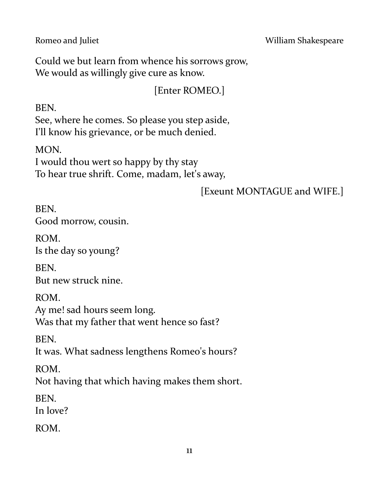Could we but learn from whence his sorrows grow, We would as willingly give cure as know.

[Enter ROMEO.]

BEN.

See, where he comes. So please you step aside, I'll know his grievance, or be much denied.

MON. I would thou wert so happy by thy stay To hear true shrift. Come, madam, let's away,

[Exeunt MONTAGUE and WIFE.]

BEN. Good morrow, cousin.

ROM. Is the day so young?

BEN. But new struck nine.

ROM.

Ay me! sad hours seem long. Was that my father that went hence so fast?

BEN.

It was. What sadness lengthens Romeo's hours?

ROM.

Not having that which having makes them short.

BEN.

In love?

ROM.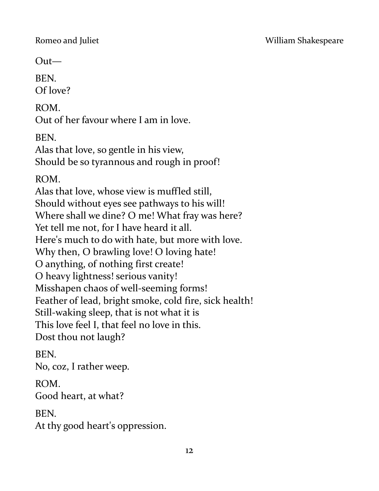Out—

BEN. Of love?

ROM.

Out of her favour where I am in love.

BEN.

Alas that love, so gentle in his view, Should be so tyrannous and rough in proof!

ROM.

Alas that love, whose view is muffled still, Should without eyes see pathways to his will! Where shall we dine? O me! What fray was here? Yet tell me not, for I have heard it all. Here's much to do with hate, but more with love. Why then, O brawling love! O loving hate! O anything, of nothing first create! O heavy lightness! serious vanity! Misshapen chaos of well-seeming forms! Feather of lead, bright smoke, cold fire, sick health! Still-waking sleep, that is not what it is This love feel I, that feel no love in this. Dost thou not laugh?

BEN.

No, coz, I rather weep.

ROM.

Good heart, at what?

**BEN.** 

At thy good heart's oppression.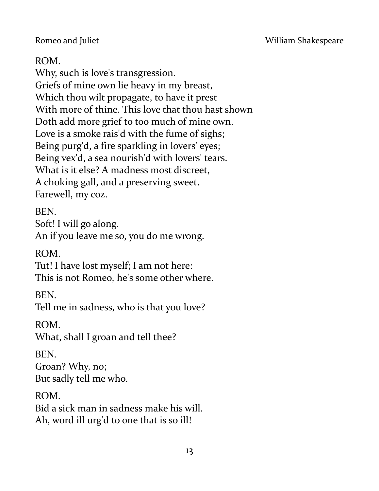Romeo and Juliet **No. 2018** William Shakespeare

### ROM.

Why, such is love's transgression. Griefs of mine own lie heavy in my breast, Which thou wilt propagate, to have it prest With more of thine. This love that thou hast shown Doth add more grief to too much of mine own. Love is a smoke rais'd with the fume of sighs; Being purg'd, a fire sparkling in lovers' eyes; Being vex'd, a sea nourish'd with lovers' tears. What is it else? A madness most discreet, A choking gall, and a preserving sweet. Farewell, my coz.

BEN.

Soft! I will go along.

An if you leave me so, you do me wrong.

ROM.

Tut! I have lost myself; I am not here: This is not Romeo, he's some other where.

BEN.

Tell me in sadness, who is that you love?

ROM.

What, shall I groan and tell thee?

BEN.

Groan? Why, no; But sadly tell me who.

ROM.

Bid a sick man in sadness make his will. Ah, word ill urg'd to one that is so ill!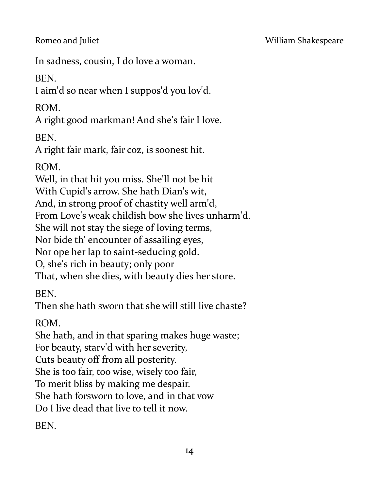In sadness, cousin, I do love a woman.

BEN.

I aim'd so near when I suppos'd you lov'd.

ROM.

A right good markman! And she's fair I love.

**BEN.** 

A right fair mark, fair coz, is soonest hit.

ROM.

Well, in that hit you miss. She'll not be hit

With Cupid's arrow. She hath Dian's wit,

And, in strong proof of chastity well arm'd,

From Love's weak childish bow she lives unharm'd.

She will not stay the siege of loving terms,

Nor bide th' encounter of assailing eyes,

Nor ope her lap to saint-seducing gold.

O, she's rich in beauty; only poor

That, when she dies, with beauty dies her store.

BEN.

Then she hath sworn that she will still live chaste?

ROM.

She hath, and in that sparing makes huge waste;

For beauty, starv'd with her severity,

Cuts beauty off from all posterity.

She is too fair, too wise, wisely too fair,

To merit bliss by making me despair.

She hath forsworn to love, and in that vow

Do I live dead that live to tell it now.

BEN.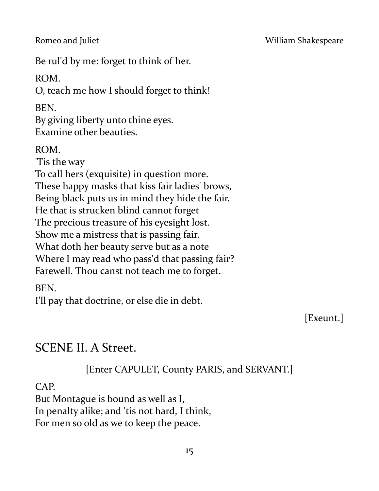#### Romeo and Juliet **No. 2018** William Shakespeare

Be rul'd by me: forget to think of her.

ROM.

O, teach me how I should forget to think!

BEN.

By giving liberty unto thine eyes. Examine other beauties.

ROM. 'Tis the way To call hers (exquisite) in question more. These happy masks that kiss fair ladies' brows, Being black puts us in mind they hide the fair. He that is strucken blind cannot forget The precious treasure of his eyesight lost. Show me a mistress that is passing fair, What doth her beauty serve but as a note Where I may read who pass'd that passing fair? Farewell. Thou canst not teach me to forget.

BEN.

I'll pay that doctrine, or else die in debt.

[Exeunt.]

# SCENE II. A Street.

[Enter CAPULET, County PARIS, and SERVANT.]

CAP.

But Montague is bound as well as I, In penalty alike; and 'tis not hard, I think, For men so old as we to keep the peace.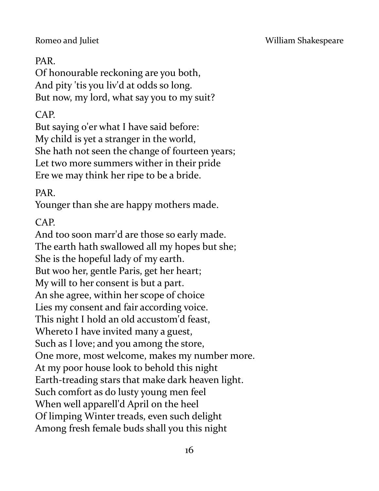## PAR.

Of honourable reckoning are you both, And pity 'tis you liv'd at odds so long. But now, my lord, what say you to my suit?

# CAP.

But saying o'er what I have said before: My child is yet a stranger in the world, She hath not seen the change of fourteen years; Let two more summers wither in their pride Ere we may think her ripe to be a bride.

## PAR.

Younger than she are happy mothers made.

## CAP.

And too soon marr'd are those so early made. The earth hath swallowed all my hopes but she; She is the hopeful lady of my earth. But woo her, gentle Paris, get her heart; My will to her consent is but a part. An she agree, within her scope of choice Lies my consent and fair according voice. This night I hold an old accustom'd feast, Whereto I have invited many a guest, Such as I love; and you among the store, One more, most welcome, makes my number more. At my poor house look to behold this night Earth-treading stars that make dark heaven light. Such comfort as do lusty young men feel When well apparell'd April on the heel Of limping Winter treads, even such delight Among fresh female buds shall you this night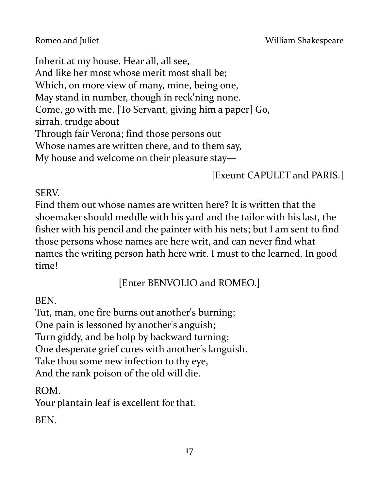Inherit at my house. Hear all, all see, And like her most whose merit most shall be; Which, on more view of many, mine, being one, May stand in number, though in reck'ning none. Come, go with me. [To Servant, giving him a paper] Go, sirrah, trudge about Through fair Verona; find those persons out Whose names are written there, and to them say,

My house and welcome on their pleasure stay—

[Exeunt CAPULET and PARIS.]

#### SERV.

Find them out whose names are written here? It is written that the shoemaker should meddle with his yard and the tailor with his last, the fisher with his pencil and the painter with his nets; but I am sent to find those persons whose names are here writ, and can never find what names the writing person hath here writ. I must to the learned. In good time!

[Enter BENVOLIO and ROMEO.]

#### BEN.

Tut, man, one fire burns out another's burning; One pain is lessoned by another's anguish; Turn giddy, and be holp by backward turning; One desperate grief cures with another's languish. Take thou some new infection to thy eye, And the rank poison of the old will die.

ROM.

Your plantain leaf is excellent for that.

**BEN.**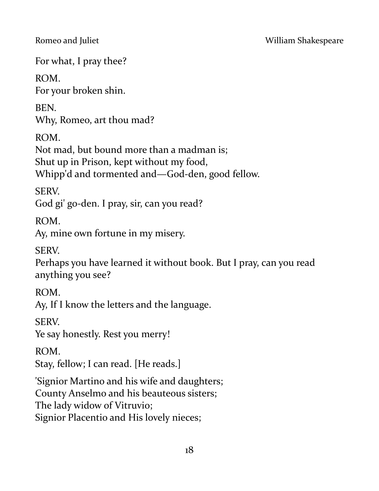For what, I pray thee?

ROM. For your broken shin.

BEN. Why, Romeo, art thou mad?

ROM.

Not mad, but bound more than a madman is;

Shut up in Prison, kept without my food,

Whipp'd and tormented and—God-den, good fellow.

SERV.

God gi' go-den. I pray, sir, can you read?

ROM.

Ay, mine own fortune in my misery.

SERV.

Perhaps you have learned it without book. But I pray, can you read anything you see?

ROM.

Ay, If I know the letters and the language.

**SERV** 

Ye say honestly. Rest you merry!

ROM.

Stay, fellow; I can read. [He reads.]

'Signior Martino and his wife and daughters;

County Anselmo and his beauteous sisters;

The lady widow of Vitruvio;

Signior Placentio and His lovely nieces;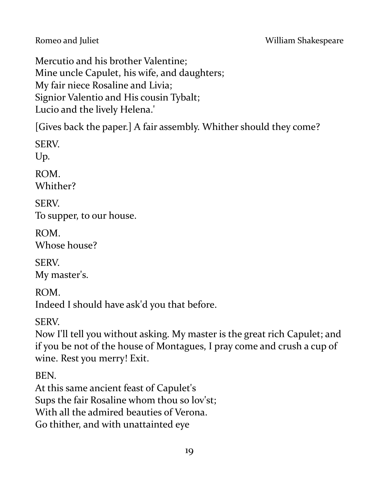Mercutio and his brother Valentine; Mine uncle Capulet, his wife, and daughters; My fair niece Rosaline and Livia; Signior Valentio and His cousin Tybalt; Lucio and the lively Helena.'

[Gives back the paper.] A fair assembly. Whither should they come?

SERV. Up. ROM. Whither? SERV. To supper, to our house. ROM. Whose house? SERV. My master's.

ROM. Indeed I should have ask'd you that before.

SERV.

Now I'll tell you without asking. My master is the great rich Capulet; and if you be not of the house of Montagues, I pray come and crush a cup of wine. Rest you merry! Exit.

BEN.

At this same ancient feast of Capulet's Sups the fair Rosaline whom thou so lov'st; With all the admired beauties of Verona. Go thither, and with unattainted eye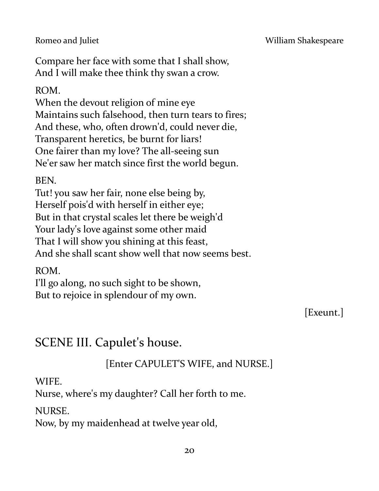Compare her face with some that I shall show, And I will make thee think thy swan a crow.

ROM.

When the devout religion of mine eye Maintains such falsehood, then turn tears to fires; And these, who, often drown'd, could never die, Transparent heretics, be burnt for liars! One fairer than my love? The all-seeing sun Ne'er saw her match since first the world begun.

BEN.

Tut! you saw her fair, none else being by, Herself pois'd with herself in either eye; But in that crystal scales let there be weigh'd Your lady's love against some other maid That I will show you shining at this feast, And she shall scant show well that now seems best.

ROM.

I'll go along, no such sight to be shown, But to rejoice in splendour of my own.

[Exeunt.]

# SCENE III. Capulet's house.

[Enter CAPULET'S WIFE, and NURSE.]

WIFE.

Nurse, where's my daughter? Call her forth to me.

NURSE.

Now, by my maidenhead at twelve year old,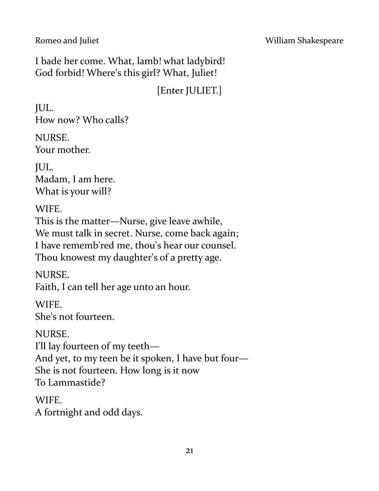I bade her come. What, lamb! what ladybird! God forbid! Where's this girl? What, Juliet!

[Enter JULIET.]

JUL. How now? Who calls?

NURSE. Your mother.

JUL. Madam, I am here. What is your will?

WIFE.

This is the matter—Nurse, give leave awhile, We must talk in secret. Nurse, come back again; I have rememb'red me, thou's hear our counsel. Thou knowest my daughter's of a pretty age.

NURSE. Faith, I can tell her age unto an hour.

**WIFE** She's not fourteen.

NURSE.

I'll lay fourteen of my teeth—

And yet, to my teen be it spoken, I have but four—

She is not fourteen. How long is it now

To Lammastide?

**WIFE** 

A fortnight and odd days.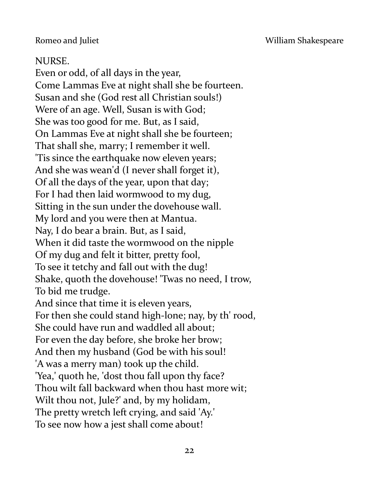Romeo and Juliet **No. 2018** William Shakespeare

#### NURSE.

Even or odd, of all days in the year, Come Lammas Eve at night shall she be fourteen. Susan and she (God rest all Christian souls!) Were of an age. Well, Susan is with God; She was too good for me. But, as I said, On Lammas Eve at night shall she be fourteen; That shall she, marry; I remember it well. 'Tis since the earthquake now eleven years; And she was wean'd (I never shall forget it), Of all the days of the year, upon that day; For I had then laid wormwood to my dug, Sitting in the sun under the dovehouse wall. My lord and you were then at Mantua. Nay, I do bear a brain. But, as I said, When it did taste the wormwood on the nipple Of my dug and felt it bitter, pretty fool, To see it tetchy and fall out with the dug! Shake, quoth the dovehouse! 'Twas no need, I trow, To bid me trudge. And since that time it is eleven years, For then she could stand high-lone; nay, by th' rood, She could have run and waddled all about; For even the day before, she broke her brow; And then my husband (God be with his soul! 'A was a merry man) took up the child. 'Yea,' quoth he, 'dost thou fall upon thy face? Thou wilt fall backward when thou hast more wit; Wilt thou not, Jule?' and, by my holidam, The pretty wretch left crying, and said 'Ay.' To see now how a jest shall come about!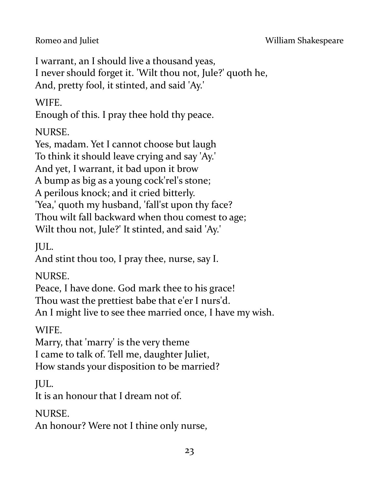I warrant, an I should live a thousand yeas, I never should forget it. 'Wilt thou not, Jule?' quoth he, And, pretty fool, it stinted, and said 'Ay.'

WIFE.

Enough of this. I pray thee hold thy peace.

NURSE.

Yes, madam. Yet I cannot choose but laugh

To think it should leave crying and say 'Ay.'

And yet, I warrant, it bad upon it brow

A bump as big as a young cock'rel's stone;

A perilous knock; and it cried bitterly.

'Yea,' quoth my husband, 'fall'st upon thy face?

Thou wilt fall backward when thou comest to age;

Wilt thou not, Jule?' It stinted, and said 'Ay.'

JUL.

And stint thou too, I pray thee, nurse, say I.

NURSE.

Peace, I have done. God mark thee to his grace!

Thou wast the prettiest babe that e'er I nurs'd.

An I might live to see thee married once, I have my wish.

WIFE.

Marry, that 'marry' is the very theme I came to talk of. Tell me, daughter Juliet, How stands your disposition to be married?

JUL.

It is an honour that I dream not of.

NURSE.

An honour? Were not I thine only nurse,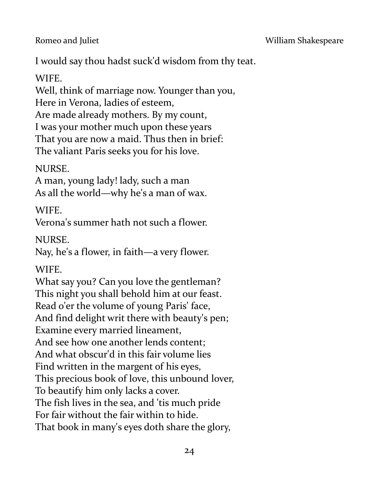I would say thou hadst suck'd wisdom from thy teat.

WIFE.

Well, think of marriage now. Younger than you, Here in Verona, ladies of esteem, Are made already mothers. By my count, I was your mother much upon these years That you are now a maid. Thus then in brief: The valiant Paris seeks you for his love.

NURSE.

A man, young lady! lady, such a man As all the world—why he's a man of wax.

WIFE.

Verona's summer hath not such a flower.

NURSE.

Nay, he's a flower, in faith—a very flower.

WIFE.

What say you? Can you love the gentleman? This night you shall behold him at our feast. Read o'er the volume of young Paris' face, And find delight writ there with beauty's pen; Examine every married lineament, And see how one another lends content; And what obscur'd in this fair volume lies Find written in the margent of his eyes, This precious book of love, this unbound lover, To beautify him only lacks a cover. The fish lives in the sea, and 'tis much pride For fair without the fair within to hide. That book in many's eyes doth share the glory,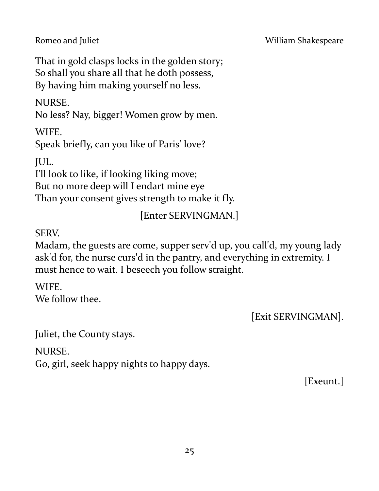That in gold clasps locks in the golden story; So shall you share all that he doth possess, By having him making yourself no less.

NURSE.

No less? Nay, bigger! Women grow by men.

WIFE.

Speak briefly, can you like of Paris' love?

JUL.

I'll look to like, if looking liking move;

But no more deep will I endart mine eye

Than your consent gives strength to make it fly.

# [Enter SERVINGMAN.]

SERV.

Madam, the guests are come, supper serv'd up, you call'd, my young lady ask'd for, the nurse curs'd in the pantry, and everything in extremity. I must hence to wait. I beseech you follow straight.

WIFE. We follow thee.

[Exit SERVINGMAN].

Juliet, the County stays.

NURSE.

Go, girl, seek happy nights to happy days.

[Exeunt.]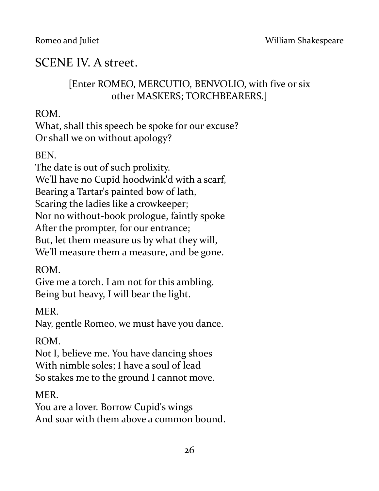# SCENE IV. A street.

## [Enter ROMEO, MERCUTIO, BENVOLIO, with five or six other MASKERS; TORCHBEARERS.]

ROM.

What, shall this speech be spoke for our excuse? Or shall we on without apology?

BEN.

The date is out of such prolixity. We'll have no Cupid hoodwink'd with a scarf, Bearing a Tartar's painted bow of lath, Scaring the ladies like a crowkeeper; Nor no without-book prologue, faintly spoke After the prompter, for our entrance; But, let them measure us by what they will, We'll measure them a measure, and be gone.

ROM.

Give me a torch. I am not for this ambling. Being but heavy, I will bear the light.

MER.

Nay, gentle Romeo, we must have you dance.

ROM.

Not I, believe me. You have dancing shoes With nimble soles; I have a soul of lead So stakes me to the ground I cannot move.

MER.

You are a lover. Borrow Cupid's wings And soar with them above a common bound.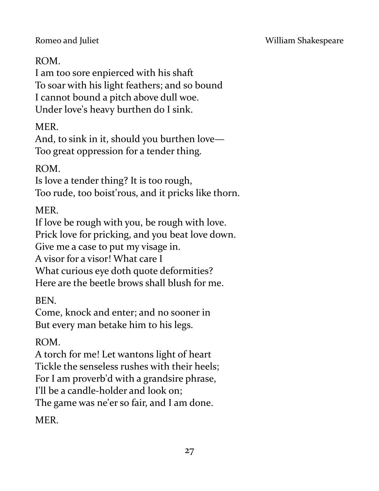# ROM.

I am too sore enpierced with his shaft To soar with his light feathers; and so bound I cannot bound a pitch above dull woe. Under love's heavy burthen do I sink.

MER.

And, to sink in it, should you burthen love— Too great oppression for a tender thing.

ROM.

Is love a tender thing? It is too rough, Too rude, too boist'rous, and it pricks like thorn.

MER.

If love be rough with you, be rough with love. Prick love for pricking, and you beat love down. Give me a case to put my visage in.

A visor for a visor! What care I

What curious eye doth quote deformities? Here are the beetle brows shall blush for me.

BEN.

Come, knock and enter; and no sooner in But every man betake him to his legs.

ROM.

A torch for me! Let wantons light of heart Tickle the senseless rushes with their heels; For I am proverb'd with a grandsire phrase, I'll be a candle-holder and look on;

The game was ne'er so fair, and I am done.

**MER**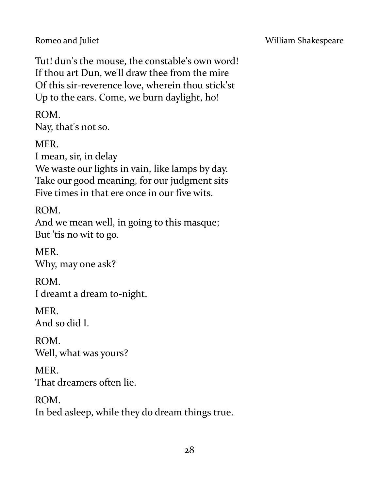Tut! dun's the mouse, the constable's own word! If thou art Dun, we'll draw thee from the mire Of this sir-reverence love, wherein thou stick'st Up to the ears. Come, we burn daylight, ho!

ROM.

Nay, that's not so.

MER.

I mean, sir, in delay

We waste our lights in vain, like lamps by day. Take our good meaning, for our judgment sits Five times in that ere once in our five wits.

ROM.

And we mean well, in going to this masque; But 'tis no wit to go.

MER. Why, may one ask?

ROM. I dreamt a dream to-night.

**MER** And so did I.

ROM. Well, what was yours?

MER. That dreamers often lie.

ROM.

In bed asleep, while they do dream things true.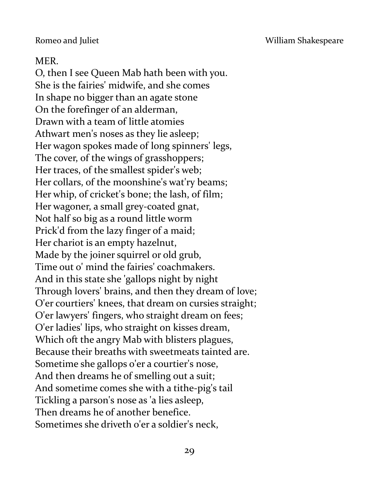# MER.

O, then I see Queen Mab hath been with you. She is the fairies' midwife, and she comes In shape no bigger than an agate stone On the forefinger of an alderman, Drawn with a team of little atomies Athwart men's noses as they lie asleep; Her wagon spokes made of long spinners' legs, The cover, of the wings of grasshoppers; Her traces, of the smallest spider's web; Her collars, of the moonshine's wat'ry beams; Her whip, of cricket's bone; the lash, of film; Her wagoner, a small grey-coated gnat, Not half so big as a round little worm Prick'd from the lazy finger of a maid; Her chariot is an empty hazelnut, Made by the joiner squirrel or old grub, Time out o' mind the fairies' coachmakers. And in this state she 'gallops night by night Through lovers' brains, and then they dream of love; O'er courtiers' knees, that dream on cursies straight; O'er lawyers' fingers, who straight dream on fees; O'er ladies' lips, who straight on kisses dream, Which oft the angry Mab with blisters plagues, Because their breaths with sweetmeats tainted are. Sometime she gallops o'er a courtier's nose, And then dreams he of smelling out a suit; And sometime comes she with a tithe-pig's tail Tickling a parson's nose as 'a lies asleep, Then dreams he of another benefice. Sometimes she driveth o'er a soldier's neck,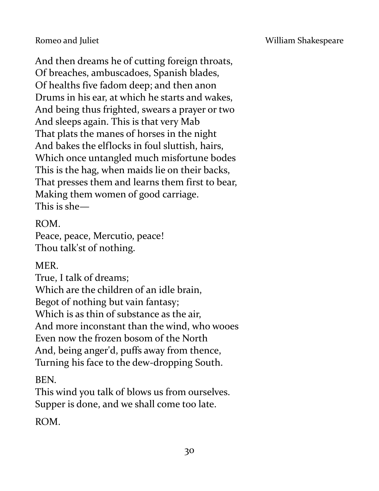And then dreams he of cutting foreign throats, Of breaches, ambuscadoes, Spanish blades, Of healths five fadom deep; and then anon Drums in his ear, at which he starts and wakes, And being thus frighted, swears a prayer or two And sleeps again. This is that very Mab That plats the manes of horses in the night And bakes the elflocks in foul sluttish, hairs, Which once untangled much misfortune bodes This is the hag, when maids lie on their backs, That presses them and learns them first to bear, Making them women of good carriage. This is she—

#### ROM.

Peace, peace, Mercutio, peace! Thou talk'st of nothing.

#### MER.

True, I talk of dreams; Which are the children of an idle brain, Begot of nothing but vain fantasy; Which is as thin of substance as the air, And more inconstant than the wind, who wooes Even now the frozen bosom of the North And, being anger'd, puffs away from thence, Turning his face to the dew-dropping South.

BEN.

This wind you talk of blows us from ourselves. Supper is done, and we shall come too late.

ROM.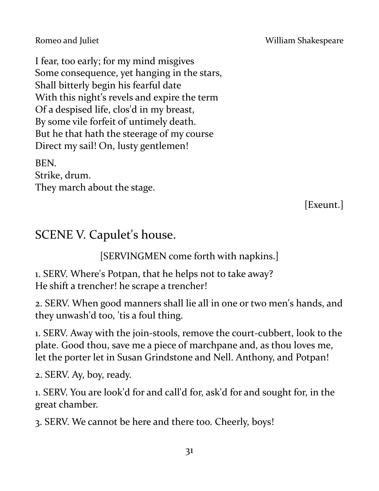Romeo and Juliet **No. 2018** William Shakespeare

I fear, too early; for my mind misgives Some consequence, yet hanging in the stars, Shall bitterly begin his fearful date With this night's revels and expire the term Of a despised life, clos'd in my breast, By some vile forfeit of untimely death. But he that hath the steerage of my course Direct my sail! On, lusty gentlemen!

BEN. Strike, drum. They march about the stage.

[Exeunt.]

# SCENE V. Capulet's house.

[SERVINGMEN come forth with napkins.]

1. SERV. Where's Potpan, that he helps not to take away? He shift a trencher! he scrape a trencher!

2. SERV. When good manners shall lie all in one or two men's hands, and they unwash'd too, 'tis a foul thing.

1. SERV. Away with the join-stools, remove the court-cubbert, look to the plate. Good thou, save me a piece of marchpane and, as thou loves me, let the porter let in Susan Grindstone and Nell. Anthony, and Potpan!

2. SERV. Ay, boy, ready.

1. SERV. You are look'd for and call'd for, ask'd for and sought for, in the great chamber.

3. SERV. We cannot be here and there too. Cheerly, boys!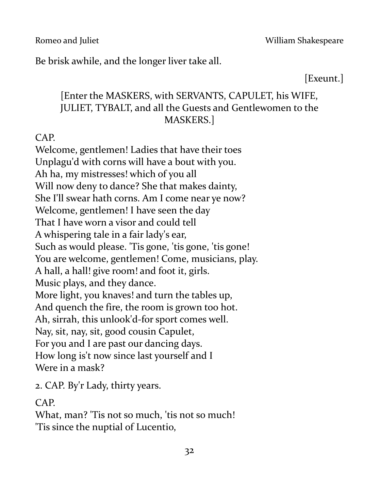Be brisk awhile, and the longer liver take all.

[Exeunt.]

# [Enter the MASKERS, with SERVANTS, CAPULET, his WIFE, JULIET, TYBALT, and all the Guests and Gentlewomen to the MASKERS.]

CAP.

Welcome, gentlemen! Ladies that have their toes Unplagu'd with corns will have a bout with you. Ah ha, my mistresses! which of you all Will now deny to dance? She that makes dainty, She I'll swear hath corns. Am I come near ye now? Welcome, gentlemen! I have seen the day That I have worn a visor and could tell A whispering tale in a fair lady's ear, Such as would please. 'Tis gone, 'tis gone, 'tis gone! You are welcome, gentlemen! Come, musicians, play. A hall, a hall! give room! and foot it, girls. Music plays, and they dance. More light, you knaves! and turn the tables up, And quench the fire, the room is grown too hot. Ah, sirrah, this unlook'd-for sport comes well. Nay, sit, nay, sit, good cousin Capulet, For you and I are past our dancing days. How long is't now since last yourself and I Were in a mask?

2. CAP. By'r Lady, thirty years.

CAP.

What, man? 'Tis not so much, 'tis not so much! 'Tis since the nuptial of Lucentio,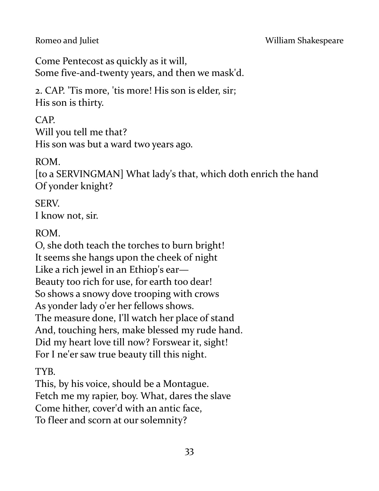Come Pentecost as quickly as it will, Some five-and-twenty years, and then we mask'd.

2. CAP. 'Tis more, 'tis more! His son is elder, sir; His son is thirty.

CAP. Will you tell me that? His son was but a ward two years ago.

### ROM.

[to a SERVINGMAN] What lady's that, which doth enrich the hand Of yonder knight?

SERV. I know not, sir.

ROM.

O, she doth teach the torches to burn bright! It seems she hangs upon the cheek of night Like a rich jewel in an Ethiop's ear— Beauty too rich for use, for earth too dear! So shows a snowy dove trooping with crows As yonder lady o'er her fellows shows. The measure done, I'll watch her place of stand And, touching hers, make blessed my rude hand. Did my heart love till now? Forswear it, sight! For I ne'er saw true beauty till this night.

TYB.

This, by his voice, should be a Montague. Fetch me my rapier, boy. What, dares the slave Come hither, cover'd with an antic face, To fleer and scorn at our solemnity?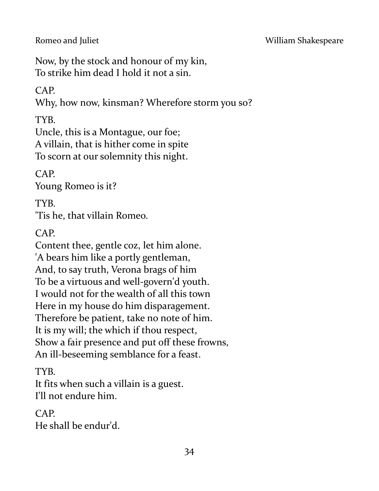Now, by the stock and honour of my kin, To strike him dead I hold it not a sin.

### CAP.

Why, how now, kinsman? Wherefore storm you so?

TYB.

Uncle, this is a Montague, our foe; A villain, that is hither come in spite To scorn at our solemnity this night.

CAP.

Young Romeo is it?

TYB. 'Tis he, that villain Romeo.

CAP.

Content thee, gentle coz, let him alone. 'A bears him like a portly gentleman, And, to say truth, Verona brags of him To be a virtuous and well-govern'd youth. I would not for the wealth of all this town Here in my house do him disparagement. Therefore be patient, take no note of him. It is my will; the which if thou respect, Show a fair presence and put off these frowns, An ill-beseeming semblance for a feast.

TYB.

It fits when such a villain is a guest. I'll not endure him.

CAP. He shall be endur'd.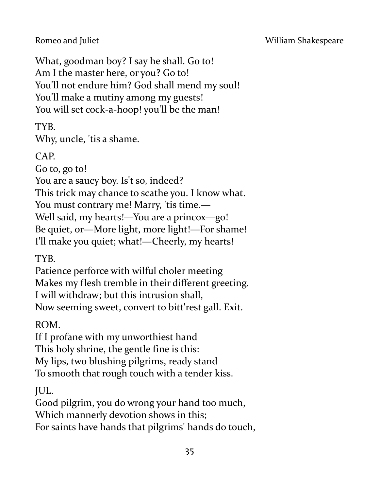Romeo and Juliet **No. 2018** William Shakespeare

What, goodman boy? I say he shall. Go to! Am I the master here, or you? Go to! You'll not endure him? God shall mend my soul! You'll make a mutiny among my guests! You will set cock-a-hoop! you'll be the man!

TYB.

Why, uncle, 'tis a shame.

CAP.

Go to, go to!

You are a saucy boy. Is't so, indeed?

This trick may chance to scathe you. I know what.

You must contrary me! Marry, 'tis time.—

Well said, my hearts!—You are a princox—go!

Be quiet, or—More light, more light!—For shame!

I'll make you quiet; what!—Cheerly, my hearts!

TYB.

Patience perforce with wilful choler meeting Makes my flesh tremble in their different greeting. I will withdraw; but this intrusion shall, Now seeming sweet, convert to bitt'rest gall. Exit.

ROM.

If I profane with my unworthiest hand This holy shrine, the gentle fine is this: My lips, two blushing pilgrims, ready stand To smooth that rough touch with a tender kiss.

JUL.

Good pilgrim, you do wrong your hand too much, Which mannerly devotion shows in this; For saints have hands that pilgrims' hands do touch,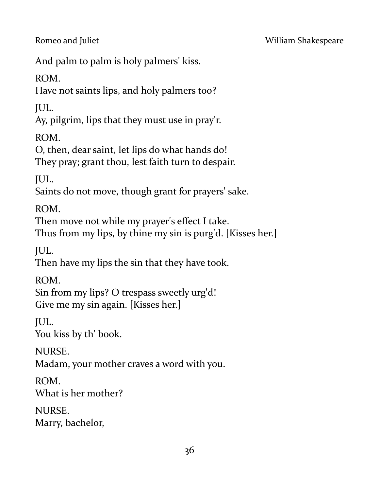And palm to palm is holy palmers' kiss.

ROM.

Have not saints lips, and holy palmers too?

JUL.

Ay, pilgrim, lips that they must use in pray'r.

ROM.

O, then, dear saint, let lips do what hands do! They pray; grant thou, lest faith turn to despair.

JUL.

Saints do not move, though grant for prayers' sake.

ROM.

Then move not while my prayer's effect I take.

Thus from my lips, by thine my sin is purg'd. [Kisses her.]

JUL.

Then have my lips the sin that they have took.

ROM.

Sin from my lips? O trespass sweetly urg'd! Give me my sin again. [Kisses her.]

JUL.

You kiss by th' book.

NURSE.

Madam, your mother craves a word with you.

ROM. What is her mother?

NURSE.

Marry, bachelor,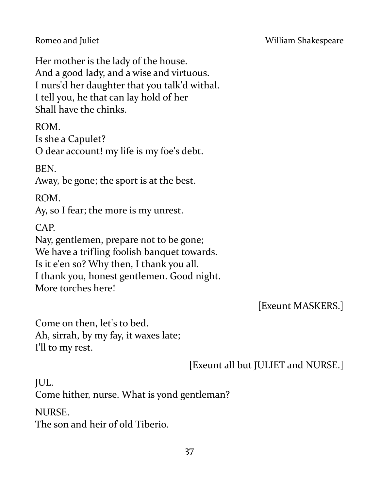Her mother is the lady of the house. And a good lady, and a wise and virtuous. I nurs'd her daughter that you talk'd withal. I tell you, he that can lay hold of her Shall have the chinks.

ROM.

Is she a Capulet?

O dear account! my life is my foe's debt.

BEN.

Away, be gone; the sport is at the best.

ROM.

Ay, so I fear; the more is my unrest.

CAP.

Nay, gentlemen, prepare not to be gone; We have a trifling foolish banquet towards. Is it e'en so? Why then, I thank you all. I thank you, honest gentlemen. Good night. More torches here!

[Exeunt MASKERS.]

Come on then, let's to bed. Ah, sirrah, by my fay, it waxes late; I'll to my rest.

[Exeunt all but JULIET and NURSE.]

JUL. Come hither, nurse. What is yond gentleman? NURSE. The son and heir of old Tiberio.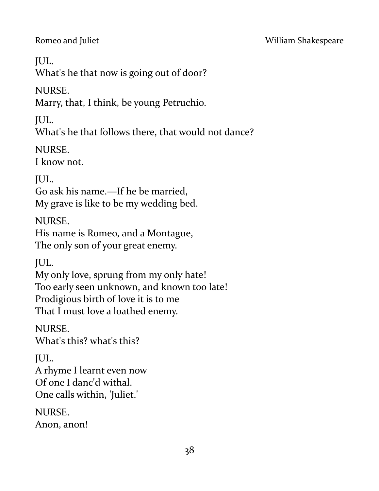JUL.

What's he that now is going out of door?

NURSE.

Marry, that, I think, be young Petruchio.

JUL.

What's he that follows there, that would not dance?

NURSE.

I know not.

JUL.

Go ask his name.—If he be married, My grave is like to be my wedding bed.

NURSE.

His name is Romeo, and a Montague, The only son of your great enemy.

JUL.

My only love, sprung from my only hate! Too early seen unknown, and known too late! Prodigious birth of love it is to me That I must love a loathed enemy.

NURSE.

What's this? what's this?

JUL.

A rhyme I learnt even now Of one I danc'd withal. One calls within, 'Juliet.'

NURSE.

Anon, anon!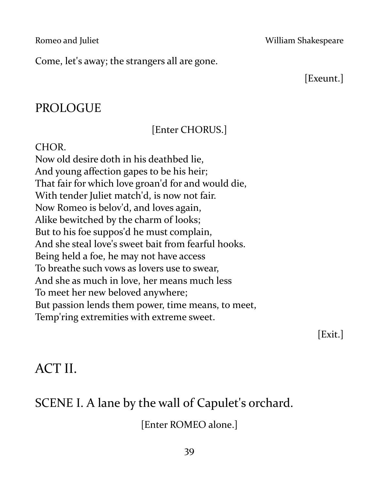Come, let's away; the strangers all are gone.

[Exeunt.]

# PROLOGUE

# [Enter CHORUS.]

#### CHOR.

Now old desire doth in his deathbed lie, And young affection gapes to be his heir; That fair for which love groan'd for and would die, With tender Juliet match'd, is now not fair. Now Romeo is belov'd, and loves again, Alike bewitched by the charm of looks; But to his foe suppos'd he must complain, And she steal love's sweet bait from fearful hooks. Being held a foe, he may not have access To breathe such vows as lovers use to swear, And she as much in love, her means much less To meet her new beloved anywhere; But passion lends them power, time means, to meet, Temp'ring extremities with extreme sweet.

[Exit.]

# ACT II.

# SCENE I. A lane by the wall of Capulet's orchard.

[Enter ROMEO alone.]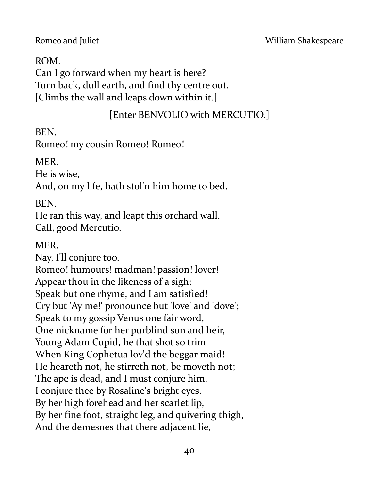#### ROM.

Can I go forward when my heart is here? Turn back, dull earth, and find thy centre out. [Climbs the wall and leaps down within it.]

#### [Enter BENVOLIO with MERCUTIO.]

BEN.

Romeo! my cousin Romeo! Romeo!

MER.

He is wise,

And, on my life, hath stol'n him home to bed.

BEN.

He ran this way, and leapt this orchard wall. Call, good Mercutio.

MER.

Nay, I'll conjure too. Romeo! humours! madman! passion! lover! Appear thou in the likeness of a sigh; Speak but one rhyme, and I am satisfied! Cry but 'Ay me!' pronounce but 'love' and 'dove'; Speak to my gossip Venus one fair word, One nickname for her purblind son and heir, Young Adam Cupid, he that shot so trim When King Cophetua lov'd the beggar maid! He heareth not, he stirreth not, be moveth not; The ape is dead, and I must conjure him. I conjure thee by Rosaline's bright eyes. By her high forehead and her scarlet lip, By her fine foot, straight leg, and quivering thigh, And the demesnes that there adjacent lie,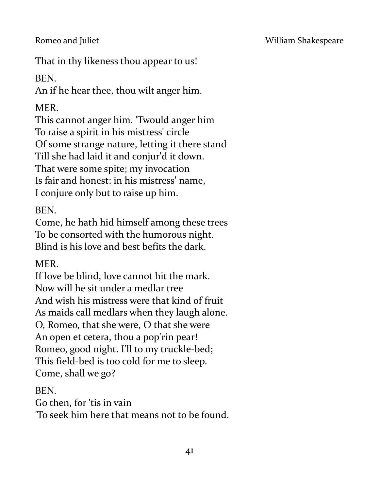That in thy likeness thou appear to us!

BEN.

An if he hear thee, thou wilt anger him.

MER.

This cannot anger him. 'Twould anger him To raise a spirit in his mistress' circle Of some strange nature, letting it there stand Till she had laid it and conjur'd it down. That were some spite; my invocation Is fair and honest: in his mistress' name, I conjure only but to raise up him.

BEN.

Come, he hath hid himself among these trees To be consorted with the humorous night. Blind is his love and best befits the dark.

MER.

If love be blind, love cannot hit the mark. Now will he sit under a medlar tree And wish his mistress were that kind of fruit As maids call medlars when they laugh alone. O, Romeo, that she were, O that she were An open et cetera, thou a pop'rin pear! Romeo, good night. I'll to my truckle-bed; This field-bed is too cold for me to sleep. Come, shall we go?

BEN.

Go then, for 'tis in vain

'To seek him here that means not to be found.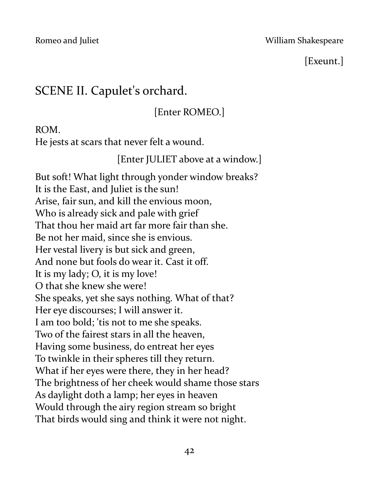#### Romeo and Juliet **No. 2018 Romeo and Juliet** William Shakespeare

## [Exeunt.]

# SCENE II. Capulet's orchard.

[Enter ROMEO.]

ROM.

He jests at scars that never felt a wound.

[Enter JULIET above at a window.]

But soft! What light through yonder window breaks? It is the East, and Juliet is the sun! Arise, fair sun, and kill the envious moon, Who is already sick and pale with grief That thou her maid art far more fair than she. Be not her maid, since she is envious. Her vestal livery is but sick and green, And none but fools do wear it. Cast it off. It is my lady; O, it is my love! O that she knew she were! She speaks, yet she says nothing. What of that? Her eye discourses; I will answer it. I am too bold; 'tis not to me she speaks. Two of the fairest stars in all the heaven, Having some business, do entreat her eyes To twinkle in their spheres till they return. What if her eyes were there, they in her head? The brightness of her cheek would shame those stars As daylight doth a lamp; her eyes in heaven Would through the airy region stream so bright That birds would sing and think it were not night.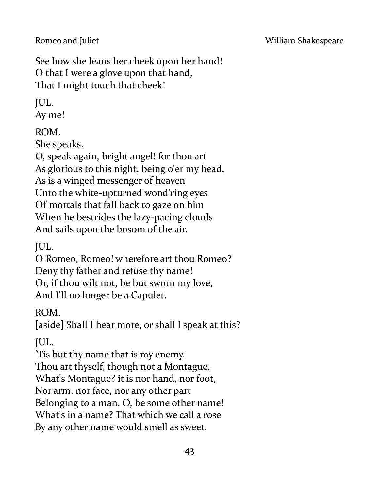See how she leans her cheek upon her hand! O that I were a glove upon that hand, That I might touch that cheek!

JUL.

Ay me!

ROM.

She speaks.

O, speak again, bright angel! for thou art As glorious to this night, being o'er my head, As is a winged messenger of heaven Unto the white-upturned wond'ring eyes Of mortals that fall back to gaze on him When he bestrides the lazy-pacing clouds And sails upon the bosom of the air.

JUL.

O Romeo, Romeo! wherefore art thou Romeo? Deny thy father and refuse thy name! Or, if thou wilt not, be but sworn my love, And I'll no longer be a Capulet.

ROM.

[aside] Shall I hear more, or shall I speak at this?

JUL.

'Tis but thy name that is my enemy. Thou art thyself, though not a Montague. What's Montague? it is nor hand, nor foot, Nor arm, nor face, nor any other part Belonging to a man. O, be some other name! What's in a name? That which we call a rose By any other name would smell as sweet.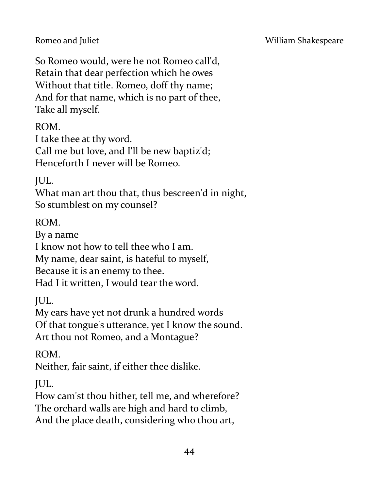#### Romeo and Juliet **No. 2018 Romeo and Juliet** William Shakespeare

So Romeo would, were he not Romeo call'd, Retain that dear perfection which he owes Without that title. Romeo, doff thy name; And for that name, which is no part of thee, Take all myself.

ROM.

I take thee at thy word.

Call me but love, and I'll be new baptiz'd; Henceforth I never will be Romeo.

JUL.

What man art thou that, thus bescreen'd in night, So stumblest on my counsel?

ROM.

By a name

I know not how to tell thee who I am.

My name, dear saint, is hateful to myself,

Because it is an enemy to thee.

Had I it written, I would tear the word.

JUL.

My ears have yet not drunk a hundred words Of that tongue's utterance, yet I know the sound. Art thou not Romeo, and a Montague?

ROM.

Neither, fair saint, if either thee dislike.

JUL.

How cam'st thou hither, tell me, and wherefore? The orchard walls are high and hard to climb, And the place death, considering who thou art,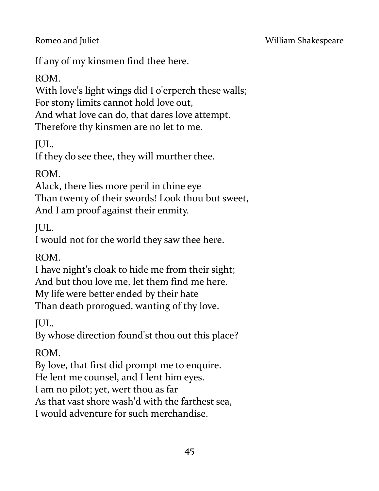If any of my kinsmen find thee here.

ROM.

With love's light wings did I o'erperch these walls; For stony limits cannot hold love out, And what love can do, that dares love attempt. Therefore thy kinsmen are no let to me.

JUL.

If they do see thee, they will murther thee.

ROM.

Alack, there lies more peril in thine eye Than twenty of their swords! Look thou but sweet, And I am proof against their enmity.

JUL.

I would not for the world they saw thee here.

ROM.

I have night's cloak to hide me from their sight; And but thou love me, let them find me here. My life were better ended by their hate Than death prorogued, wanting of thy love.

JUL.

By whose direction found'st thou out this place?

ROM.

By love, that first did prompt me to enquire.

He lent me counsel, and I lent him eyes.

I am no pilot; yet, wert thou as far

As that vast shore wash'd with the farthest sea,

I would adventure for such merchandise.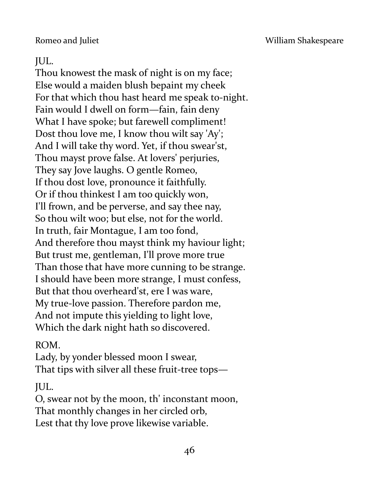#### JUL.

Thou knowest the mask of night is on my face; Else would a maiden blush bepaint my cheek For that which thou hast heard me speak to-night. Fain would I dwell on form—fain, fain deny What I have spoke; but farewell compliment! Dost thou love me, I know thou wilt say 'Ay'; And I will take thy word. Yet, if thou swear'st, Thou mayst prove false. At lovers' perjuries, They say Jove laughs. O gentle Romeo, If thou dost love, pronounce it faithfully. Or if thou thinkest I am too quickly won, I'll frown, and be perverse, and say thee nay, So thou wilt woo; but else, not for the world. In truth, fair Montague, I am too fond, And therefore thou mayst think my haviour light; But trust me, gentleman, I'll prove more true Than those that have more cunning to be strange. I should have been more strange, I must confess, But that thou overheard'st, ere I was ware, My true-love passion. Therefore pardon me, And not impute this yielding to light love, Which the dark night hath so discovered.

#### ROM.

Lady, by yonder blessed moon I swear, That tips with silver all these fruit-tree tops—

JUL.

O, swear not by the moon, th' inconstant moon, That monthly changes in her circled orb, Lest that thy love prove likewise variable.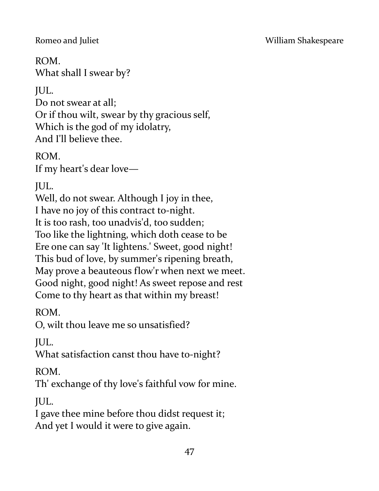ROM.

What shall I swear by?

JUL.

Do not swear at all; Or if thou wilt, swear by thy gracious self, Which is the god of my idolatry, And I'll believe thee.

ROM.

If my heart's dear love—

JUL.

Well, do not swear. Although I joy in thee, I have no joy of this contract to-night. It is too rash, too unadvis'd, too sudden; Too like the lightning, which doth cease to be Ere one can say 'It lightens.' Sweet, good night! This bud of love, by summer's ripening breath, May prove a beauteous flow'r when next we meet. Good night, good night! As sweet repose and rest Come to thy heart as that within my breast!

ROM.

O, wilt thou leave me so unsatisfied?

JUL.

What satisfaction canst thou have to-night?

ROM.

Th' exchange of thy love's faithful vow for mine.

JUL.

I gave thee mine before thou didst request it; And yet I would it were to give again.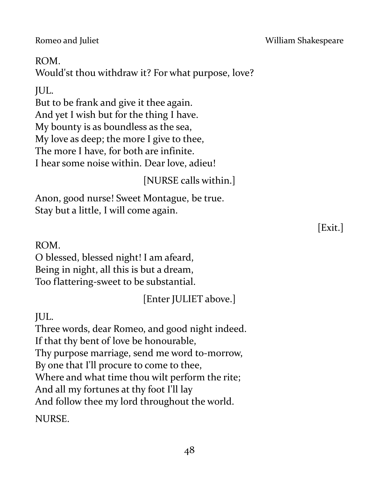48

ROM.

Would'st thou withdraw it? For what purpose, love?

## JUL.

But to be frank and give it thee again. And yet I wish but for the thing I have. My bounty is as boundless as the sea, My love as deep; the more I give to thee, The more I have, for both are infinite. I hear some noise within. Dear love, adieu!

# [NURSE calls within.]

Anon, good nurse! Sweet Montague, be true. Stay but a little, I will come again.

ROM.

O blessed, blessed night! I am afeard, Being in night, all this is but a dream, Too flattering-sweet to be substantial.

[Enter JULIET above.]

JUL.

Three words, dear Romeo, and good night indeed. If that thy bent of love be honourable, Thy purpose marriage, send me word to-morrow, By one that I'll procure to come to thee, Where and what time thou wilt perform the rite; And all my fortunes at thy foot I'll lay And follow thee my lord throughout the world. NURSE.

Romeo and Juliet **No. 2018 Romeo and Juliet** William Shakespeare

[Exit.]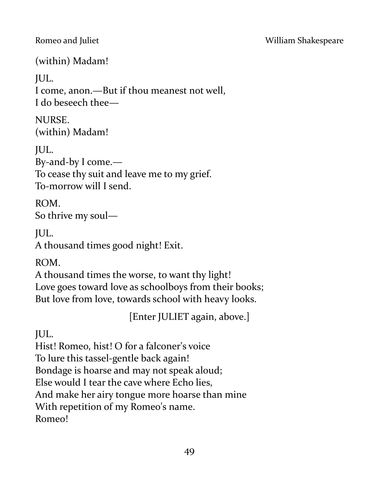(within) Madam!

JUL.

I come, anon.—But if thou meanest not well, I do beseech thee—

NURSE. (within) Madam!

JUL. By-and-by I come.— To cease thy suit and leave me to my grief. To-morrow will I send.

ROM. So thrive my soul—

JUL.

A thousand times good night! Exit.

ROM.

A thousand times the worse, to want thy light! Love goes toward love as schoolboys from their books; But love from love, towards school with heavy looks.

[Enter JULIET again, above.]

JUL.

Hist! Romeo, hist! O for a falconer's voice To lure this tassel-gentle back again! Bondage is hoarse and may not speak aloud; Else would I tear the cave where Echo lies, And make her airy tongue more hoarse than mine With repetition of my Romeo's name. Romeo!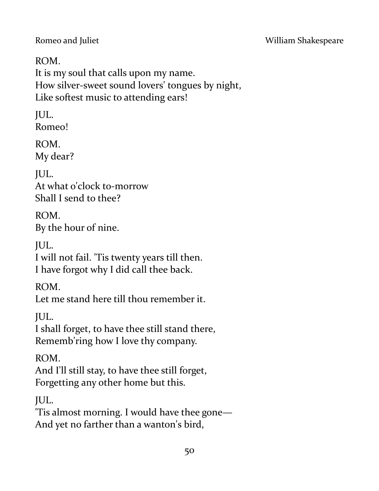ROM. It is my soul that calls upon my name. How silver-sweet sound lovers' tongues by night, Like softest music to attending ears!

JUL. Romeo!

ROM. My dear?

JUL. At what o'clock to-morrow Shall I send to thee?

ROM. By the hour of nine.

JUL. I will not fail. 'Tis twenty years till then. I have forgot why I did call thee back.

ROM.

Let me stand here till thou remember it.

JUL.

I shall forget, to have thee still stand there, Rememb'ring how I love thy company.

ROM.

And I'll still stay, to have thee still forget, Forgetting any other home but this.

JUL.

'Tis almost morning. I would have thee gone— And yet no farther than a wanton's bird,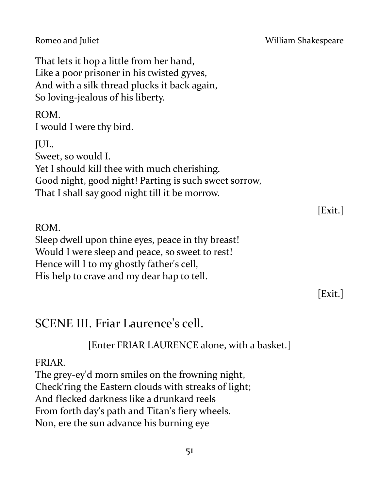That lets it hop a little from her hand, Like a poor prisoner in his twisted gyves, And with a silk thread plucks it back again, So loving-jealous of his liberty.

ROM.

I would I were thy bird.

JUL. Sweet, so would I. Yet I should kill thee with much cherishing. Good night, good night! Parting is such sweet sorrow, That I shall say good night till it be morrow.

ROM. Sleep dwell upon thine eyes, peace in thy breast! Would I were sleep and peace, so sweet to rest! Hence will I to my ghostly father's cell, His help to crave and my dear hap to tell.

[Exit.]

[Exit.]

# SCENE III. Friar Laurence's cell.

[Enter FRIAR LAURENCE alone, with a basket.]

#### FRIAR.

The grey-ey'd morn smiles on the frowning night, Check'ring the Eastern clouds with streaks of light; And flecked darkness like a drunkard reels From forth day's path and Titan's fiery wheels. Non, ere the sun advance his burning eye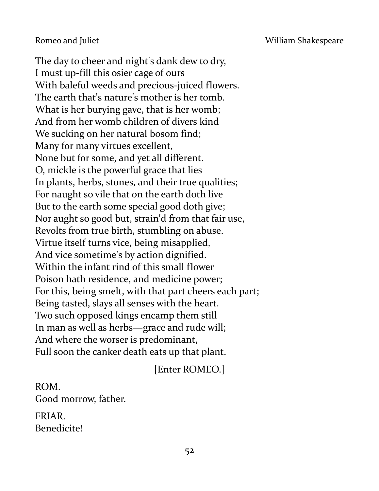The day to cheer and night's dank dew to dry, I must up-fill this osier cage of ours With baleful weeds and precious-juiced flowers. The earth that's nature's mother is her tomb. What is her burying gave, that is her womb; And from her womb children of divers kind We sucking on her natural bosom find; Many for many virtues excellent, None but for some, and yet all different. O, mickle is the powerful grace that lies In plants, herbs, stones, and their true qualities; For naught so vile that on the earth doth live But to the earth some special good doth give; Nor aught so good but, strain'd from that fair use, Revolts from true birth, stumbling on abuse. Virtue itself turns vice, being misapplied, And vice sometime's by action dignified. Within the infant rind of this small flower Poison hath residence, and medicine power; For this, being smelt, with that part cheers each part; Being tasted, slays all senses with the heart. Two such opposed kings encamp them still In man as well as herbs—grace and rude will; And where the worser is predominant, Full soon the canker death eats up that plant.

[Enter ROMEO.]

ROM. Good morrow, father. FRIAR.

Benedicite!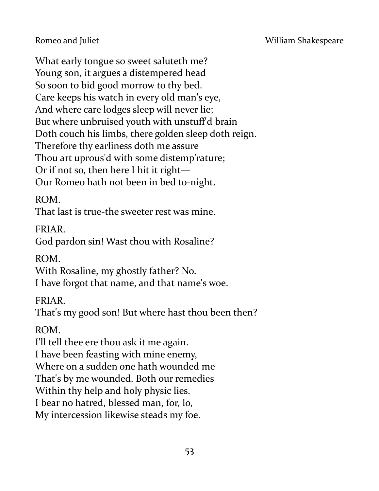What early tongue so sweet saluteth me? Young son, it argues a distempered head So soon to bid good morrow to thy bed. Care keeps his watch in every old man's eye, And where care lodges sleep will never lie; But where unbruised youth with unstuff'd brain Doth couch his limbs, there golden sleep doth reign. Therefore thy earliness doth me assure Thou art uprous'd with some distemp'rature; Or if not so, then here I hit it right— Our Romeo hath not been in bed to-night.

#### ROM.

That last is true-the sweeter rest was mine.

#### FRIAR.

God pardon sin! Wast thou with Rosaline?

## ROM.

With Rosaline, my ghostly father? No. I have forgot that name, and that name's woe.

## FRIAR.

That's my good son! But where hast thou been then?

## ROM.

I'll tell thee ere thou ask it me again.

I have been feasting with mine enemy,

Where on a sudden one hath wounded me

That's by me wounded. Both our remedies

Within thy help and holy physic lies.

I bear no hatred, blessed man, for, lo,

My intercession likewise steads my foe.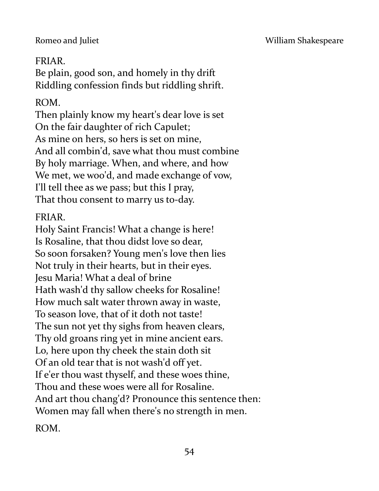#### Romeo and Juliet **No. 2018** William Shakespeare

#### FRIAR.

Be plain, good son, and homely in thy drift Riddling confession finds but riddling shrift.

#### ROM.

Then plainly know my heart's dear love is set On the fair daughter of rich Capulet; As mine on hers, so hers is set on mine, And all combin'd, save what thou must combine By holy marriage. When, and where, and how We met, we woo'd, and made exchange of vow, I'll tell thee as we pass; but this I pray, That thou consent to marry us to-day.

#### FRIAR.

Holy Saint Francis! What a change is here! Is Rosaline, that thou didst love so dear, So soon forsaken? Young men's love then lies Not truly in their hearts, but in their eyes. Jesu Maria! What a deal of brine Hath wash'd thy sallow cheeks for Rosaline! How much salt water thrown away in waste, To season love, that of it doth not taste! The sun not yet thy sighs from heaven clears, Thy old groans ring yet in mine ancient ears. Lo, here upon thy cheek the stain doth sit Of an old tear that is not wash'd off yet. If e'er thou wast thyself, and these woes thine, Thou and these woes were all for Rosaline. And art thou chang'd? Pronounce this sentence then: Women may fall when there's no strength in men.

ROM.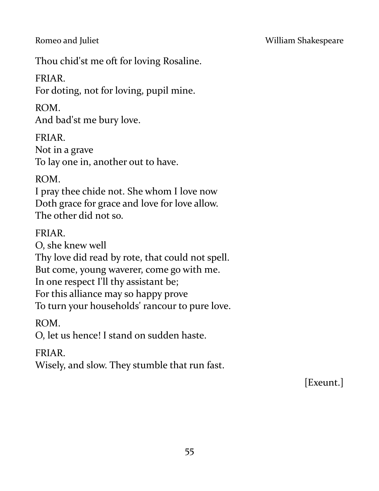Thou chid'st me oft for loving Rosaline.

## FRIAR.

For doting, not for loving, pupil mine.

#### ROM.

And bad'st me bury love.

## FRIAR.

Not in a grave To lay one in, another out to have.

## ROM.

I pray thee chide not. She whom I love now Doth grace for grace and love for love allow. The other did not so.

#### FRIAR.

O, she knew well Thy love did read by rote, that could not spell. But come, young waverer, come go with me. In one respect I'll thy assistant be; For this alliance may so happy prove To turn your households' rancour to pure love.

ROM.

O, let us hence! I stand on sudden haste.

## FRIAR.

Wisely, and slow. They stumble that run fast.

[Exeunt.]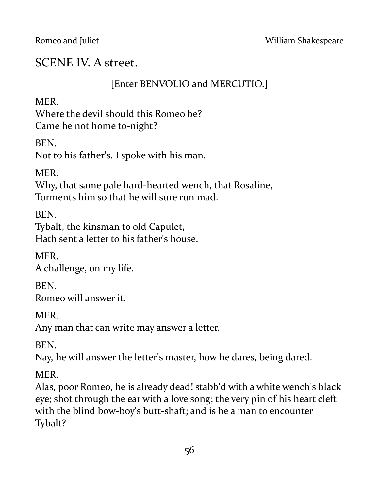# SCENE IV. A street.

#### [Enter BENVOLIO and MERCUTIO.]

**MER** 

Where the devil should this Romeo be? Came he not home to-night?

BEN.

Not to his father's. I spoke with his man.

MER.

Why, that same pale hard-hearted wench, that Rosaline, Torments him so that he will sure run mad.

BEN.

Tybalt, the kinsman to old Capulet, Hath sent a letter to his father's house.

MER. A challenge, on my life.

BEN. Romeo will answer it.

MER.

Any man that can write may answer a letter.

BEN.

Nay, he will answer the letter's master, how he dares, being dared.

MER.

Alas, poor Romeo, he is already dead! stabb'd with a white wench's black eye; shot through the ear with a love song; the very pin of his heart cleft with the blind bow-boy's butt-shaft; and is he a man to encounter Tybalt?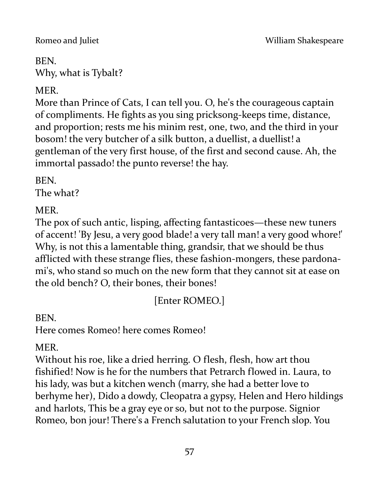#### BEN.

Why, what is Tybalt?

# MER.

More than Prince of Cats, I can tell you. O, he's the courageous captain of compliments. He fights as you sing pricksong-keeps time, distance, and proportion; rests me his minim rest, one, two, and the third in your bosom! the very butcher of a silk button, a duellist, a duellist! a gentleman of the very first house, of the first and second cause. Ah, the immortal passado! the punto reverse! the hay.

BEN.

The what?

MER.

The pox of such antic, lisping, affecting fantasticoes—these new tuners of accent! 'By Jesu, a very good blade! a very tall man! a very good whore!' Why, is not this a lamentable thing, grandsir, that we should be thus afflicted with these strange flies, these fashion-mongers, these pardonami's, who stand so much on the new form that they cannot sit at ease on the old bench? O, their bones, their bones!

[Enter ROMEO.]

BEN.

Here comes Romeo! here comes Romeo!

MER.

Without his roe, like a dried herring. O flesh, flesh, how art thou fishified! Now is he for the numbers that Petrarch flowed in. Laura, to his lady, was but a kitchen wench (marry, she had a better love to berhyme her), Dido a dowdy, Cleopatra a gypsy, Helen and Hero hildings and harlots, This be a gray eye or so, but not to the purpose. Signior Romeo, bon jour! There's a French salutation to your French slop. You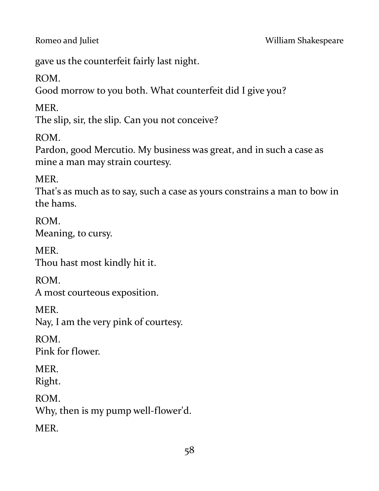gave us the counterfeit fairly last night.

ROM.

Good morrow to you both. What counterfeit did I give you?

MER.

The slip, sir, the slip. Can you not conceive?

ROM.

Pardon, good Mercutio. My business was great, and in such a case as mine a man may strain courtesy.

MER.

That's as much as to say, such a case as yours constrains a man to bow in the hams.

ROM. Meaning, to cursy.

MER. Thou hast most kindly hit it.

ROM. A most courteous exposition.

**MER** 

Nay, I am the very pink of courtesy.

ROM. Pink for flower.

MER.

Right.

ROM.

Why, then is my pump well-flower'd.

MER.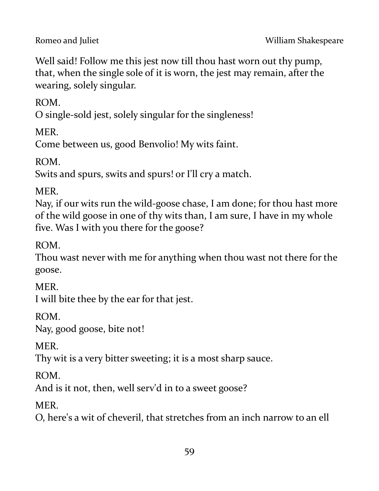Well said! Follow me this jest now till thou hast worn out thy pump, that, when the single sole of it is worn, the jest may remain, after the wearing, solely singular.

ROM.

O single-sold jest, solely singular for the singleness!

MER.

Come between us, good Benvolio! My wits faint.

ROM.

Swits and spurs, swits and spurs! or I'll cry a match.

MER.

Nay, if our wits run the wild-goose chase, I am done; for thou hast more of the wild goose in one of thy wits than, I am sure, I have in my whole five. Was I with you there for the goose?

ROM.

Thou wast never with me for anything when thou wast not there for the goose.

MER.

I will bite thee by the ear for that jest.

ROM.

Nay, good goose, bite not!

MER.

Thy wit is a very bitter sweeting; it is a most sharp sauce.

ROM.

And is it not, then, well serv'd in to a sweet goose?

MER.

O, here's a wit of cheveril, that stretches from an inch narrow to an ell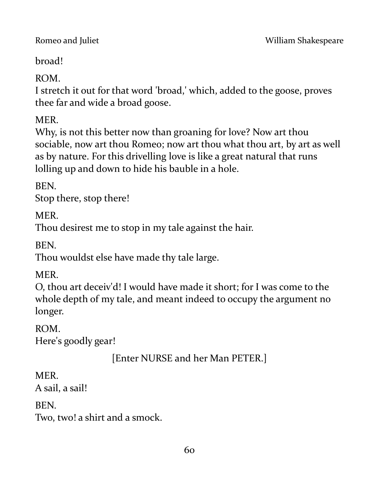broad!

ROM.

I stretch it out for that word 'broad,' which, added to the goose, proves thee far and wide a broad goose.

MER.

Why, is not this better now than groaning for love? Now art thou sociable, now art thou Romeo; now art thou what thou art, by art as well as by nature. For this drivelling love is like a great natural that runs lolling up and down to hide his bauble in a hole.

BEN.

Stop there, stop there!

**MER** 

Thou desirest me to stop in my tale against the hair.

BEN.

Thou wouldst else have made thy tale large.

MER.

O, thou art deceiv'd! I would have made it short; for I was come to the whole depth of my tale, and meant indeed to occupy the argument no longer.

ROM.

Here's goodly gear!

[Enter NURSE and her Man PETER.]

MER.

A sail, a sail!

BEN.

Two, two! a shirt and a smock.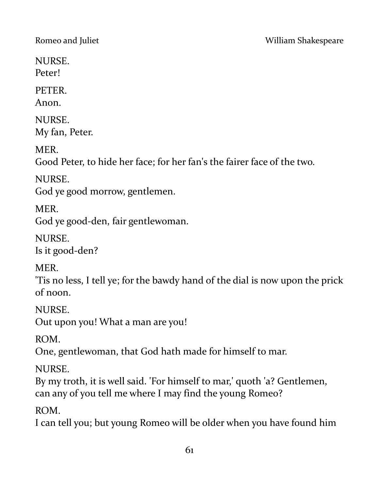NURSE. Peter!

PETER.

Anon.

NURSE. My fan, Peter.

MER.

Good Peter, to hide her face; for her fan's the fairer face of the two.

NURSE.

God ye good morrow, gentlemen.

MER.

God ye good-den, fair gentlewoman.

NURSE. Is it good-den?

MER.

'Tis no less, I tell ye; for the bawdy hand of the dial is now upon the prick of noon.

NURSE. Out upon you! What a man are you!

ROM.

One, gentlewoman, that God hath made for himself to mar.

NURSE.

By my troth, it is well said. 'For himself to mar,' quoth 'a? Gentlemen, can any of you tell me where I may find the young Romeo?

ROM.

I can tell you; but young Romeo will be older when you have found him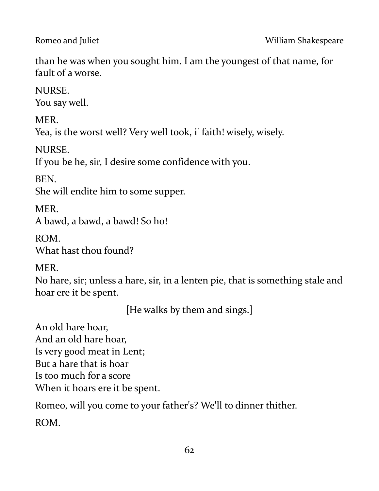than he was when you sought him. I am the youngest of that name, for fault of a worse.

NURSE.

You say well.

MER.

Yea, is the worst well? Very well took, i' faith! wisely, wisely.

NURSE.

If you be he, sir, I desire some confidence with you.

BEN.

She will endite him to some supper.

**MER** A bawd, a bawd, a bawd! So ho!

ROM. What hast thou found?

MER.

No hare, sir; unless a hare, sir, in a lenten pie, that is something stale and hoar ere it be spent.

[He walks by them and sings.]

An old hare hoar, And an old hare hoar, Is very good meat in Lent; But a hare that is hoar Is too much for a score When it hoars ere it be spent.

Romeo, will you come to your father's? We'll to dinner thither. ROM.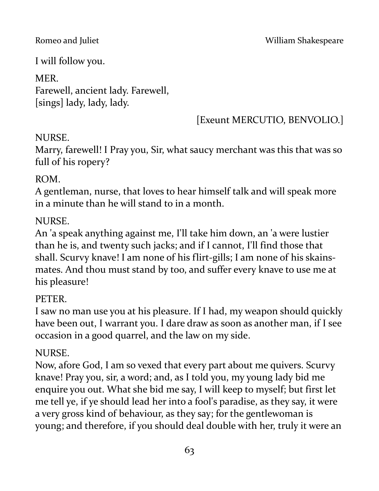I will follow you.

## MER. Farewell, ancient lady. Farewell, [sings] lady, lady, lady.

# [Exeunt MERCUTIO, BENVOLIO.]

## NURSE.

Marry, farewell! I Pray you, Sir, what saucy merchant was this that was so full of his ropery?

## ROM.

A gentleman, nurse, that loves to hear himself talk and will speak more in a minute than he will stand to in a month.

# NURSE.

An 'a speak anything against me, I'll take him down, an 'a were lustier than he is, and twenty such jacks; and if I cannot, I'll find those that shall. Scurvy knave! I am none of his flirt-gills; I am none of his skainsmates. And thou must stand by too, and suffer every knave to use me at his pleasure!

# PETER.

I saw no man use you at his pleasure. If I had, my weapon should quickly have been out, I warrant you. I dare draw as soon as another man, if I see occasion in a good quarrel, and the law on my side.

# NURSE.

Now, afore God, I am so vexed that every part about me quivers. Scurvy knave! Pray you, sir, a word; and, as I told you, my young lady bid me enquire you out. What she bid me say, I will keep to myself; but first let me tell ye, if ye should lead her into a fool's paradise, as they say, it were a very gross kind of behaviour, as they say; for the gentlewoman is young; and therefore, if you should deal double with her, truly it were an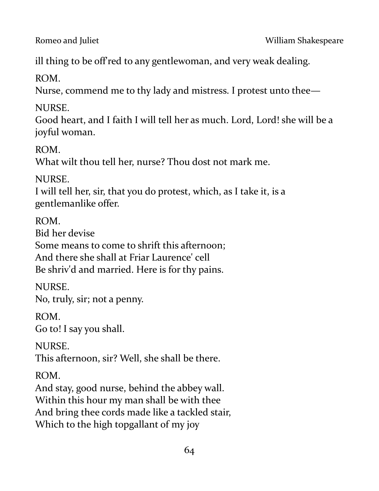ill thing to be off'red to any gentlewoman, and very weak dealing.

ROM.

Nurse, commend me to thy lady and mistress. I protest unto thee—

NURSE.

Good heart, and I faith I will tell her as much. Lord, Lord! she will be a joyful woman.

ROM.

What wilt thou tell her, nurse? Thou dost not mark me.

NURSE.

I will tell her, sir, that you do protest, which, as I take it, is a gentlemanlike offer.

ROM.

Bid her devise

Some means to come to shrift this afternoon; And there she shall at Friar Laurence' cell Be shriv'd and married. Here is for thy pains.

NURSE. No, truly, sir; not a penny.

ROM. Go to! I say you shall.

NURSE. This afternoon, sir? Well, she shall be there.

# ROM.

And stay, good nurse, behind the abbey wall. Within this hour my man shall be with thee And bring thee cords made like a tackled stair, Which to the high topgallant of my joy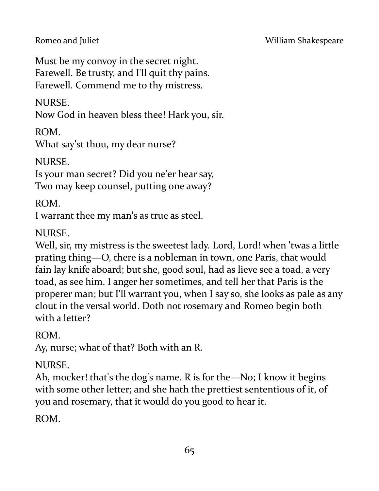#### Romeo and Juliet **No. 2018** William Shakespeare

Must be my convoy in the secret night. Farewell. Be trusty, and I'll quit thy pains. Farewell. Commend me to thy mistress.

#### NURSE.

Now God in heaven bless thee! Hark you, sir.

ROM.

What say'st thou, my dear nurse?

NURSE.

Is your man secret? Did you ne'er hear say, Two may keep counsel, putting one away?

## ROM.

I warrant thee my man's as true as steel.

## NURSE.

Well, sir, my mistress is the sweetest lady. Lord, Lord! when 'twas a little prating thing—O, there is a nobleman in town, one Paris, that would fain lay knife aboard; but she, good soul, had as lieve see a toad, a very toad, as see him. I anger her sometimes, and tell her that Paris is the properer man; but I'll warrant you, when I say so, she looks as pale as any clout in the versal world. Doth not rosemary and Romeo begin both with a letter?

# ROM.

Ay, nurse; what of that? Both with an R.

# NURSE.

Ah, mocker! that's the dog's name. R is for the—No; I know it begins with some other letter; and she hath the prettiest sententious of it, of you and rosemary, that it would do you good to hear it.

ROM.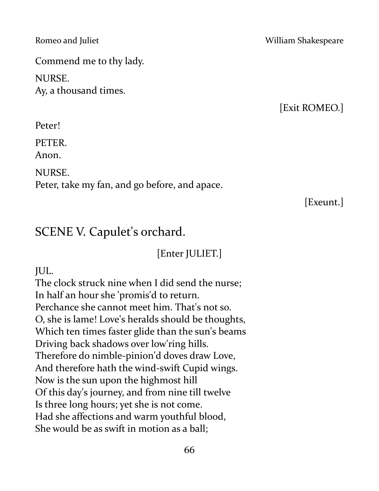Commend me to thy lady.

NURSE. Ay, a thousand times.

Peter!

PETER.

Anon.

NURSE.

Peter, take my fan, and go before, and apace.

#### Romeo and Juliet **National Accord Property Accord William Shakespeare**

[Exit ROMEO.]

[Exeunt.]

# SCENE V. Capulet's orchard.

[Enter JULIET.]

JUL.

The clock struck nine when I did send the nurse; In half an hour she 'promis'd to return. Perchance she cannot meet him. That's not so. O, she is lame! Love's heralds should be thoughts, Which ten times faster glide than the sun's beams Driving back shadows over low'ring hills. Therefore do nimble-pinion'd doves draw Love, And therefore hath the wind-swift Cupid wings. Now is the sun upon the highmost hill Of this day's journey, and from nine till twelve Is three long hours; yet she is not come. Had she affections and warm youthful blood, She would be as swift in motion as a ball;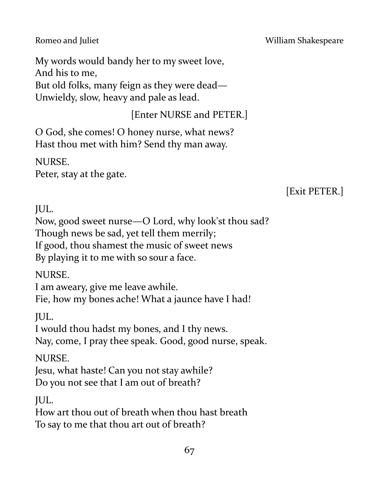My words would bandy her to my sweet love, And his to me, But old folks, many feign as they were dead— Unwieldy, slow, heavy and pale as lead.

# [Enter NURSE and PETER.]

O God, she comes! O honey nurse, what news? Hast thou met with him? Send thy man away.

NURSE.

Peter, stay at the gate.

# [Exit PETER.]

JUL.

Now, good sweet nurse—O Lord, why look'st thou sad? Though news be sad, yet tell them merrily; If good, thou shamest the music of sweet news By playing it to me with so sour a face.

NURSE.

I am aweary, give me leave awhile. Fie, how my bones ache! What a jaunce have I had!

JUL.

I would thou hadst my bones, and I thy news. Nay, come, I pray thee speak. Good, good nurse, speak.

NURSE.

Jesu, what haste! Can you not stay awhile? Do you not see that I am out of breath?

JUL.

How art thou out of breath when thou hast breath To say to me that thou art out of breath?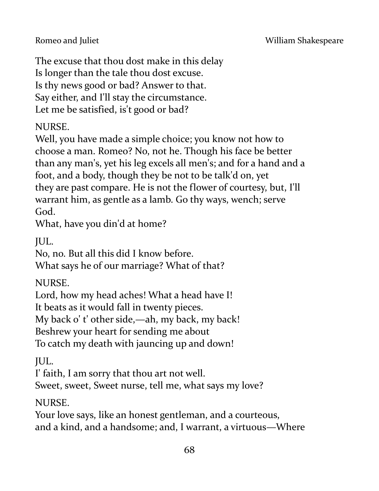The excuse that thou dost make in this delay Is longer than the tale thou dost excuse. Is thy news good or bad? Answer to that. Say either, and I'll stay the circumstance. Let me be satisfied, is't good or bad?

### NURSE.

Well, you have made a simple choice; you know not how to choose a man. Romeo? No, not he. Though his face be better than any man's, yet his leg excels all men's; and for a hand and a foot, and a body, though they be not to be talk'd on, yet they are past compare. He is not the flower of courtesy, but, I'll warrant him, as gentle as a lamb. Go thy ways, wench; serve God.

What, have you din'd at home?

JUL.

No, no. But all this did I know before. What says he of our marriage? What of that?

NURSE.

Lord, how my head aches! What a head have I! It beats as it would fall in twenty pieces. My back o' t' other side,—ah, my back, my back! Beshrew your heart for sending me about To catch my death with jauncing up and down!

JUL.

I' faith, I am sorry that thou art not well.

Sweet, sweet, Sweet nurse, tell me, what says my love?

NURSE.

Your love says, like an honest gentleman, and a courteous, and a kind, and a handsome; and, I warrant, a virtuous—Where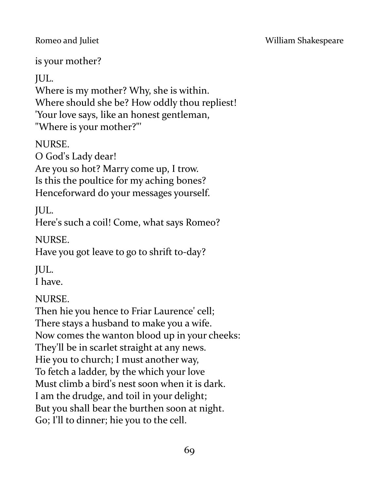#### Romeo and Juliet **No. 2018** William Shakespeare

is your mother?

JUL.

Where is my mother? Why, she is within. Where should she be? How oddly thou repliest! 'Your love says, like an honest gentleman, "Where is your mother?"'

NURSE.

O God's Lady dear! Are you so hot? Marry come up, I trow. Is this the poultice for my aching bones? Henceforward do your messages yourself.

JUL.

Here's such a coil! Come, what says Romeo?

NURSE.

Have you got leave to go to shrift to-day?

JUL.

I have.

# NURSE.

Then hie you hence to Friar Laurence' cell; There stays a husband to make you a wife. Now comes the wanton blood up in your cheeks: They'll be in scarlet straight at any news. Hie you to church; I must another way, To fetch a ladder, by the which your love Must climb a bird's nest soon when it is dark. I am the drudge, and toil in your delight; But you shall bear the burthen soon at night. Go; I'll to dinner; hie you to the cell.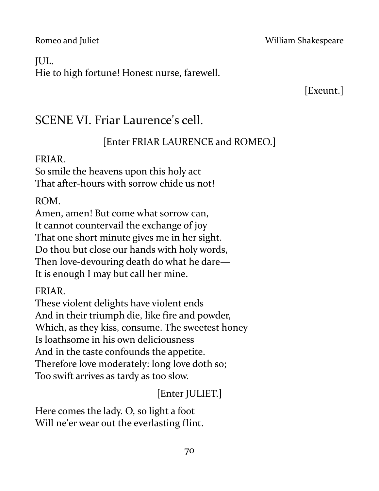#### Romeo and Juliet **No. 2018 Romeo and Juliet** William Shakespeare

#### JUL.

Hie to high fortune! Honest nurse, farewell.

[Exeunt.]

# SCENE VI. Friar Laurence's cell.

# [Enter FRIAR LAURENCE and ROMEO.]

#### FRIAR.

So smile the heavens upon this holy act That after-hours with sorrow chide us not!

ROM.

Amen, amen! But come what sorrow can, It cannot countervail the exchange of joy That one short minute gives me in her sight. Do thou but close our hands with holy words, Then love-devouring death do what he dare— It is enough I may but call her mine.

FRIAR.

These violent delights have violent ends And in their triumph die, like fire and powder, Which, as they kiss, consume. The sweetest honey Is loathsome in his own deliciousness And in the taste confounds the appetite. Therefore love moderately: long love doth so; Too swift arrives as tardy as too slow.

# [Enter JULIET.]

Here comes the lady. O, so light a foot Will ne'er wear out the everlasting flint.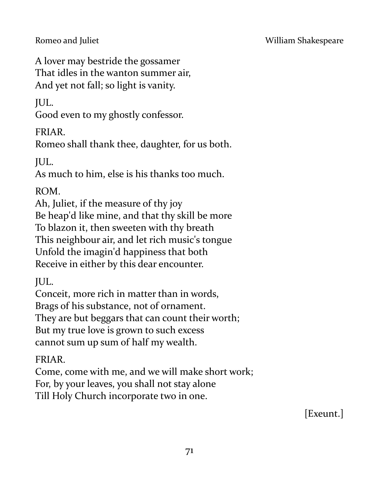A lover may bestride the gossamer That idles in the wanton summer air, And yet not fall; so light is vanity.

# JUL.

Good even to my ghostly confessor.

## FRIAR.

Romeo shall thank thee, daughter, for us both.

# JUL.

As much to him, else is his thanks too much.

# ROM.

Ah, Juliet, if the measure of thy joy Be heap'd like mine, and that thy skill be more To blazon it, then sweeten with thy breath This neighbour air, and let rich music's tongue Unfold the imagin'd happiness that both Receive in either by this dear encounter.

JUL.

Conceit, more rich in matter than in words, Brags of his substance, not of ornament. They are but beggars that can count their worth; But my true love is grown to such excess cannot sum up sum of half my wealth.

# FRIAR.

Come, come with me, and we will make short work; For, by your leaves, you shall not stay alone Till Holy Church incorporate two in one.

[Exeunt.]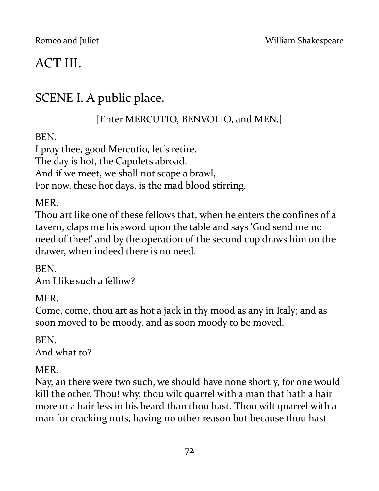# ACT III.

# SCENE I. A public place.

[Enter MERCUTIO, BENVOLIO, and MEN.]

BEN.

I pray thee, good Mercutio, let's retire. The day is hot, the Capulets abroad. And if we meet, we shall not scape a brawl, For now, these hot days, is the mad blood stirring.

**MER** 

Thou art like one of these fellows that, when he enters the confines of a tavern, claps me his sword upon the table and says 'God send me no need of thee!' and by the operation of the second cup draws him on the drawer, when indeed there is no need.

**BEN.** Am I like such a fellow?

MER.

Come, come, thou art as hot a jack in thy mood as any in Italy; and as soon moved to be moody, and as soon moody to be moved.

BEN. And what to?

MER.

Nay, an there were two such, we should have none shortly, for one would kill the other. Thou! why, thou wilt quarrel with a man that hath a hair more or a hair less in his beard than thou hast. Thou wilt quarrel with a man for cracking nuts, having no other reason but because thou hast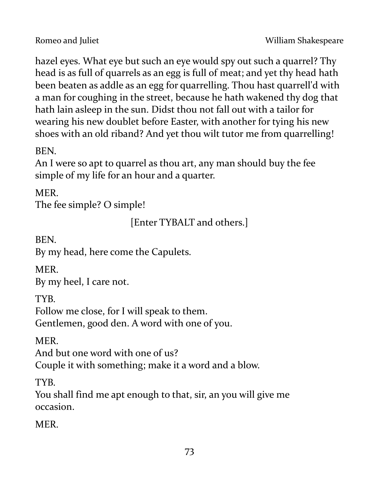hazel eyes. What eye but such an eye would spy out such a quarrel? Thy head is as full of quarrels as an egg is full of meat; and yet thy head hath been beaten as addle as an egg for quarrelling. Thou hast quarrell'd with a man for coughing in the street, because he hath wakened thy dog that hath lain asleep in the sun. Didst thou not fall out with a tailor for wearing his new doublet before Easter, with another for tying his new shoes with an old riband? And yet thou wilt tutor me from quarrelling!

**BEN.** 

An I were so apt to quarrel as thou art, any man should buy the fee simple of my life for an hour and a quarter.

MER.

The fee simple? O simple!

[Enter TYBALT and others.]

BEN.

By my head, here come the Capulets.

MER.

By my heel, I care not.

TYB.

Follow me close, for I will speak to them. Gentlemen, good den. A word with one of you.

MER.

And but one word with one of us?

Couple it with something; make it a word and a blow.

TYB.

You shall find me apt enough to that, sir, an you will give me occasion.

**MER**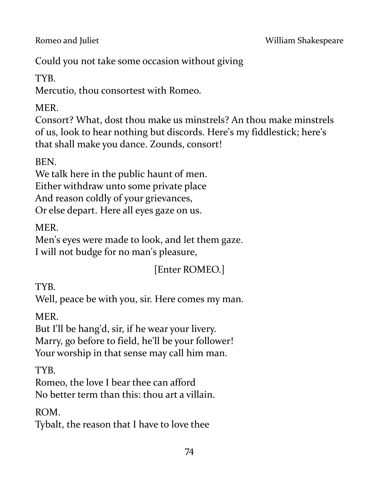Could you not take some occasion without giving

TYB.

Mercutio, thou consortest with Romeo.

MER.

Consort? What, dost thou make us minstrels? An thou make minstrels of us, look to hear nothing but discords. Here's my fiddlestick; here's that shall make you dance. Zounds, consort!

BEN.

We talk here in the public haunt of men.

Either withdraw unto some private place

And reason coldly of your grievances,

Or else depart. Here all eyes gaze on us.

MER.

Men's eyes were made to look, and let them gaze. I will not budge for no man's pleasure,

[Enter ROMEO.]

TYB.

Well, peace be with you, sir. Here comes my man.

MER.

But I'll be hang'd, sir, if he wear your livery. Marry, go before to field, he'll be your follower! Your worship in that sense may call him man.

TYB.

Romeo, the love I bear thee can afford No better term than this: thou art a villain.

ROM.

Tybalt, the reason that I have to love thee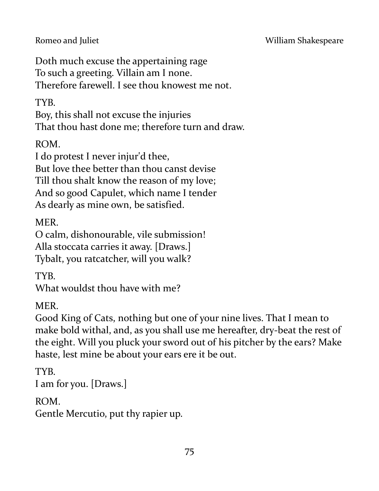Doth much excuse the appertaining rage To such a greeting. Villain am I none. Therefore farewell. I see thou knowest me not.

TYB.

Boy, this shall not excuse the injuries That thou hast done me; therefore turn and draw.

ROM.

I do protest I never injur'd thee,

But love thee better than thou canst devise

Till thou shalt know the reason of my love; And so good Capulet, which name I tender

As dearly as mine own, be satisfied.

MER.

O calm, dishonourable, vile submission! Alla stoccata carries it away. [Draws.] Tybalt, you ratcatcher, will you walk?

TYB.

What wouldst thou have with me?

MER.

Good King of Cats, nothing but one of your nine lives. That I mean to make bold withal, and, as you shall use me hereafter, dry-beat the rest of the eight. Will you pluck your sword out of his pitcher by the ears? Make haste, lest mine be about your ears ere it be out.

TYB. I am for you. [Draws.]

ROM.

Gentle Mercutio, put thy rapier up.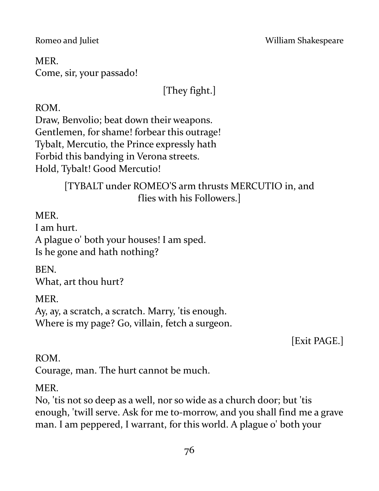Romeo and Juliet **No. 2018** William Shakespeare

MER. Come, sir, your passado!

[They fight.]

ROM.

Draw, Benvolio; beat down their weapons. Gentlemen, for shame! forbear this outrage! Tybalt, Mercutio, the Prince expressly hath Forbid this bandying in Verona streets. Hold, Tybalt! Good Mercutio!

> [TYBALT under ROMEO'S arm thrusts MERCUTIO in, and flies with his Followers.]

**MER** 

I am hurt.

A plague o' both your houses! I am sped. Is he gone and hath nothing?

BEN. What, art thou hurt?

MER.

Ay, ay, a scratch, a scratch. Marry, 'tis enough. Where is my page? Go, villain, fetch a surgeon.

[Exit PAGE.]

### ROM.

Courage, man. The hurt cannot be much.

### MER.

No, 'tis not so deep as a well, nor so wide as a church door; but 'tis enough, 'twill serve. Ask for me to-morrow, and you shall find me a grave man. I am peppered, I warrant, for this world. A plague o' both your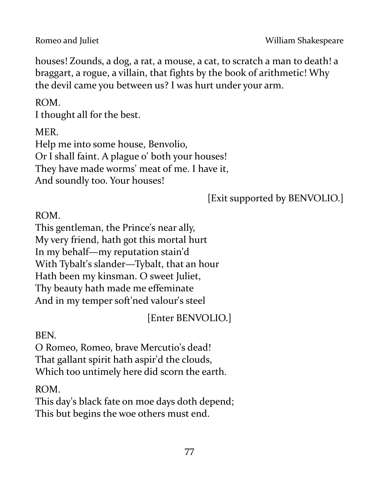houses! Zounds, a dog, a rat, a mouse, a cat, to scratch a man to death! a braggart, a rogue, a villain, that fights by the book of arithmetic! Why the devil came you between us? I was hurt under your arm.

ROM.

I thought all for the best.

MER.

Help me into some house, Benvolio, Or I shall faint. A plague o' both your houses! They have made worms' meat of me. I have it, And soundly too. Your houses!

[Exit supported by BENVOLIO.]

ROM.

This gentleman, the Prince's near ally, My very friend, hath got this mortal hurt In my behalf—my reputation stain'd With Tybalt's slander—Tybalt, that an hour Hath been my kinsman. O sweet Juliet, Thy beauty hath made me effeminate And in my temper soft'ned valour's steel

[Enter BENVOLIO.]

BEN.

O Romeo, Romeo, brave Mercutio's dead! That gallant spirit hath aspir'd the clouds, Which too untimely here did scorn the earth.

ROM.

This day's black fate on moe days doth depend; This but begins the woe others must end.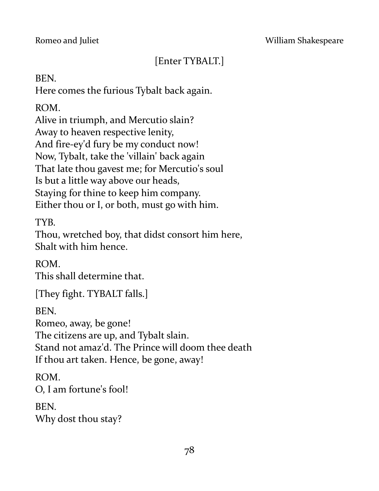# [Enter TYBALT.]

BEN.

Here comes the furious Tybalt back again.

ROM.

Alive in triumph, and Mercutio slain? Away to heaven respective lenity, And fire-ey'd fury be my conduct now! Now, Tybalt, take the 'villain' back again That late thou gavest me; for Mercutio's soul Is but a little way above our heads, Staying for thine to keep him company. Either thou or I, or both, must go with him.

TYB.

Thou, wretched boy, that didst consort him here, Shalt with him hence.

ROM. This shall determine that.

[They fight. TYBALT falls.]

BEN.

Romeo, away, be gone!

The citizens are up, and Tybalt slain.

Stand not amaz'd. The Prince will doom thee death

If thou art taken. Hence, be gone, away!

ROM.

O, I am fortune's fool!

BEN. Why dost thou stay?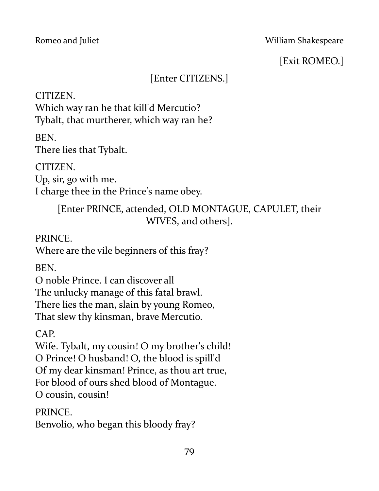[Exit ROMEO.]

# [Enter CITIZENS.]

CITIZEN.

Which way ran he that kill'd Mercutio? Tybalt, that murtherer, which way ran he?

BEN.

There lies that Tybalt.

CITIZEN.

Up, sir, go with me.

I charge thee in the Prince's name obey.

[Enter PRINCE, attended, OLD MONTAGUE, CAPULET, their WIVES, and others].

PRINCE.

Where are the vile beginners of this fray?

BEN.

O noble Prince. I can discover all The unlucky manage of this fatal brawl. There lies the man, slain by young Romeo, That slew thy kinsman, brave Mercutio.

CAP.

Wife. Tybalt, my cousin! O my brother's child! O Prince! O husband! O, the blood is spill'd Of my dear kinsman! Prince, as thou art true, For blood of ours shed blood of Montague. O cousin, cousin!

PRINCE.

Benvolio, who began this bloody fray?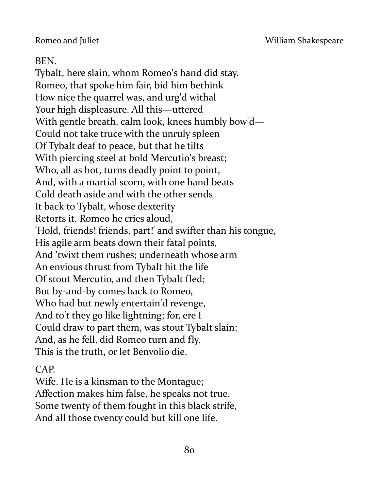#### BEN.

Tybalt, here slain, whom Romeo's hand did stay. Romeo, that spoke him fair, bid him bethink How nice the quarrel was, and urg'd withal Your high displeasure. All this—uttered With gentle breath, calm look, knees humbly bow'd— Could not take truce with the unruly spleen Of Tybalt deaf to peace, but that he tilts With piercing steel at bold Mercutio's breast; Who, all as hot, turns deadly point to point, And, with a martial scorn, with one hand beats Cold death aside and with the other sends It back to Tybalt, whose dexterity Retorts it. Romeo he cries aloud, 'Hold, friends! friends, part!' and swifter than his tongue, His agile arm beats down their fatal points, And 'twixt them rushes; underneath whose arm An envious thrust from Tybalt hit the life Of stout Mercutio, and then Tybalt fled; But by-and-by comes back to Romeo, Who had but newly entertain'd revenge, And to't they go like lightning; for, ere I Could draw to part them, was stout Tybalt slain; And, as he fell, did Romeo turn and fly. This is the truth, or let Benvolio die.

### CAP.

Wife. He is a kinsman to the Montague; Affection makes him false, he speaks not true. Some twenty of them fought in this black strife, And all those twenty could but kill one life.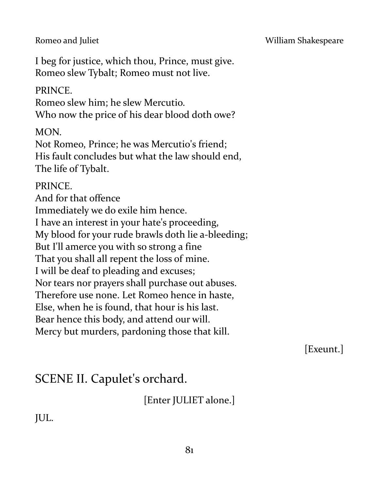#### Romeo and Juliet **No. 2018 Romeo and Juliet** William Shakespeare

I beg for justice, which thou, Prince, must give. Romeo slew Tybalt; Romeo must not live.

#### PRINCE.

Romeo slew him; he slew Mercutio. Who now the price of his dear blood doth owe?

MON.

Not Romeo, Prince; he was Mercutio's friend; His fault concludes but what the law should end, The life of Tybalt.

#### PRINCE.

And for that offence Immediately we do exile him hence. I have an interest in your hate's proceeding, My blood for your rude brawls doth lie a-bleeding; But I'll amerce you with so strong a fine That you shall all repent the loss of mine. I will be deaf to pleading and excuses; Nor tears nor prayers shall purchase out abuses. Therefore use none. Let Romeo hence in haste, Else, when he is found, that hour is his last. Bear hence this body, and attend our will. Mercy but murders, pardoning those that kill.

[Exeunt.]

# SCENE II. Capulet's orchard.

[Enter JULIET alone.]

JUL.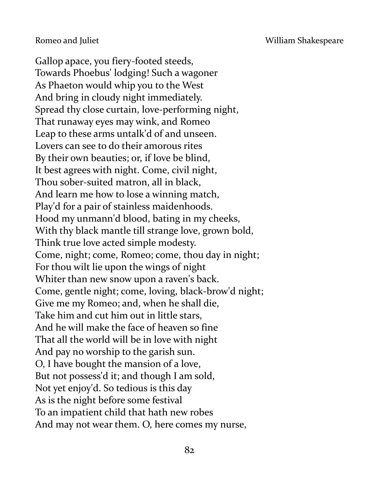Gallop apace, you fiery-footed steeds, Towards Phoebus' lodging! Such a wagoner As Phaeton would whip you to the West And bring in cloudy night immediately. Spread thy close curtain, love-performing night, That runaway eyes may wink, and Romeo Leap to these arms untalk'd of and unseen. Lovers can see to do their amorous rites By their own beauties; or, if love be blind, It best agrees with night. Come, civil night, Thou sober-suited matron, all in black, And learn me how to lose a winning match, Play'd for a pair of stainless maidenhoods. Hood my unmann'd blood, bating in my cheeks, With thy black mantle till strange love, grown bold, Think true love acted simple modesty. Come, night; come, Romeo; come, thou day in night; For thou wilt lie upon the wings of night Whiter than new snow upon a raven's back. Come, gentle night; come, loving, black-brow'd night; Give me my Romeo; and, when he shall die, Take him and cut him out in little stars, And he will make the face of heaven so fine That all the world will be in love with night And pay no worship to the garish sun. O, I have bought the mansion of a love, But not possess'd it; and though I am sold, Not yet enjoy'd. So tedious is this day As is the night before some festival To an impatient child that hath new robes And may not wear them. O, here comes my nurse,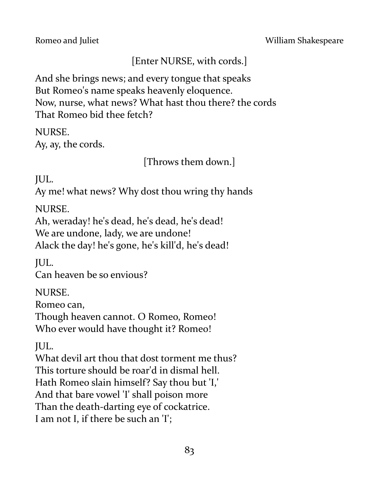Romeo and Juliet **No. 2018 Romeo and Juliet** William Shakespeare

# [Enter NURSE, with cords.]

And she brings news; and every tongue that speaks But Romeo's name speaks heavenly eloquence. Now, nurse, what news? What hast thou there? the cords That Romeo bid thee fetch?

NURSE. Ay, ay, the cords.

[Throws them down.]

JUL.

Ay me! what news? Why dost thou wring thy hands

NURSE.

Ah, weraday! he's dead, he's dead, he's dead! We are undone, lady, we are undone! Alack the day! he's gone, he's kill'd, he's dead!

JUL.

Can heaven be so envious?

NURSE.

Romeo can,

Though heaven cannot. O Romeo, Romeo! Who ever would have thought it? Romeo!

JUL.

What devil art thou that dost torment me thus? This torture should be roar'd in dismal hell. Hath Romeo slain himself? Say thou but 'I,' And that bare vowel 'I' shall poison more Than the death-darting eye of cockatrice. I am not I, if there be such an 'I';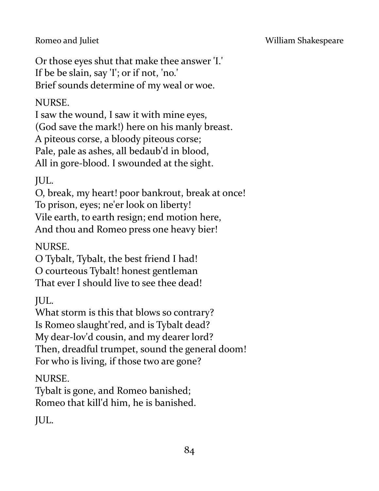Or those eyes shut that make thee answer 'I.' If be be slain, say 'I'; or if not, 'no.' Brief sounds determine of my weal or woe.

## NURSE.

I saw the wound, I saw it with mine eyes, (God save the mark!) here on his manly breast. A piteous corse, a bloody piteous corse; Pale, pale as ashes, all bedaub'd in blood, All in gore-blood. I swounded at the sight.

JUL.

O, break, my heart! poor bankrout, break at once! To prison, eyes; ne'er look on liberty! Vile earth, to earth resign; end motion here, And thou and Romeo press one heavy bier!

NURSE.

O Tybalt, Tybalt, the best friend I had! O courteous Tybalt! honest gentleman That ever I should live to see thee dead!

JUL.

What storm is this that blows so contrary? Is Romeo slaught'red, and is Tybalt dead? My dear-lov'd cousin, and my dearer lord? Then, dreadful trumpet, sound the general doom! For who is living, if those two are gone?

NURSE.

Tybalt is gone, and Romeo banished; Romeo that kill'd him, he is banished.

JUL.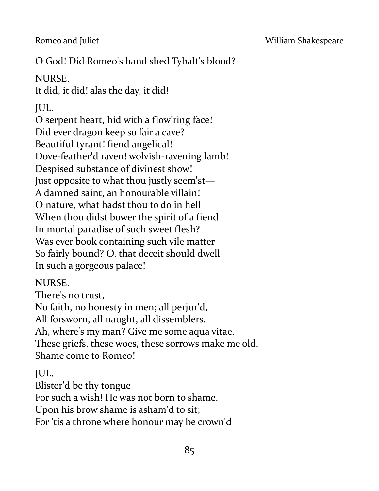Romeo and Juliet **No. 2018** William Shakespeare

# O God! Did Romeo's hand shed Tybalt's blood?

# NURSE.

It did, it did! alas the day, it did!

# JUL.

O serpent heart, hid with a flow'ring face! Did ever dragon keep so fair a cave? Beautiful tyrant! fiend angelical! Dove-feather'd raven! wolvish-ravening lamb! Despised substance of divinest show! Just opposite to what thou justly seem'st— A damned saint, an honourable villain! O nature, what hadst thou to do in hell When thou didst bower the spirit of a fiend In mortal paradise of such sweet flesh? Was ever book containing such vile matter So fairly bound? O, that deceit should dwell In such a gorgeous palace!

# NURSE.

There's no trust, No faith, no honesty in men; all perjur'd, All forsworn, all naught, all dissemblers. Ah, where's my man? Give me some aqua vitae. These griefs, these woes, these sorrows make me old. Shame come to Romeo!

# JUL.

Blister'd be thy tongue For such a wish! He was not born to shame.

Upon his brow shame is asham'd to sit;

For 'tis a throne where honour may be crown'd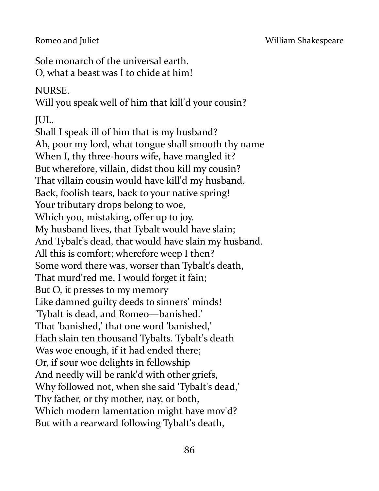Sole monarch of the universal earth. O, what a beast was I to chide at him!

### NURSE.

Will you speak well of him that kill'd your cousin?

JUL.

Shall I speak ill of him that is my husband? Ah, poor my lord, what tongue shall smooth thy name When I, thy three-hours wife, have mangled it? But wherefore, villain, didst thou kill my cousin? That villain cousin would have kill'd my husband. Back, foolish tears, back to your native spring! Your tributary drops belong to woe, Which you, mistaking, offer up to joy. My husband lives, that Tybalt would have slain; And Tybalt's dead, that would have slain my husband. All this is comfort; wherefore weep I then? Some word there was, worser than Tybalt's death, That murd'red me. I would forget it fain; But O, it presses to my memory Like damned guilty deeds to sinners' minds! 'Tybalt is dead, and Romeo—banished.' That 'banished,' that one word 'banished,' Hath slain ten thousand Tybalts. Tybalt's death Was woe enough, if it had ended there; Or, if sour woe delights in fellowship And needly will be rank'd with other griefs, Why followed not, when she said 'Tybalt's dead,' Thy father, or thy mother, nay, or both, Which modern lamentation might have mov'd? But with a rearward following Tybalt's death,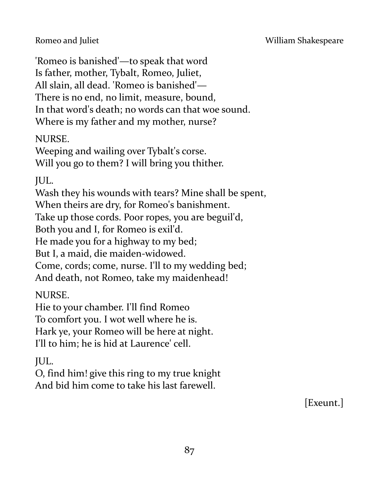'Romeo is banished'—to speak that word Is father, mother, Tybalt, Romeo, Juliet, All slain, all dead. 'Romeo is banished'— There is no end, no limit, measure, bound, In that word's death; no words can that woe sound. Where is my father and my mother, nurse?

## NURSE.

Weeping and wailing over Tybalt's corse. Will you go to them? I will bring you thither.

JUL.

Wash they his wounds with tears? Mine shall be spent, When theirs are dry, for Romeo's banishment. Take up those cords. Poor ropes, you are beguil'd, Both you and I, for Romeo is exil'd. He made you for a highway to my bed; But I, a maid, die maiden-widowed. Come, cords; come, nurse. I'll to my wedding bed;

And death, not Romeo, take my maidenhead!

NURSE.

Hie to your chamber. I'll find Romeo To comfort you. I wot well where he is. Hark ye, your Romeo will be here at night. I'll to him; he is hid at Laurence' cell.

JUL.

O, find him! give this ring to my true knight And bid him come to take his last farewell.

[Exeunt.]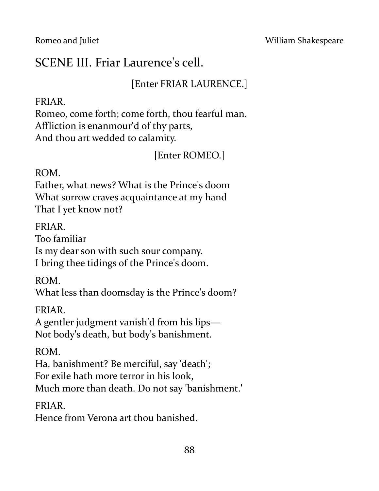# SCENE III. Friar Laurence's cell.

## [Enter FRIAR LAURENCE.]

#### FRIAR.

Romeo, come forth; come forth, thou fearful man. Affliction is enanmour'd of thy parts, And thou art wedded to calamity.

[Enter ROMEO.]

#### ROM.

Father, what news? What is the Prince's doom What sorrow craves acquaintance at my hand That I yet know not?

#### FRIAR.

Too familiar Is my dear son with such sour company. I bring thee tidings of the Prince's doom.

ROM.

What less than doomsday is the Prince's doom?

#### FRIAR.

A gentler judgment vanish'd from his lips— Not body's death, but body's banishment.

### ROM.

Ha, banishment? Be merciful, say 'death'; For exile hath more terror in his look, Much more than death. Do not say 'banishment.'

### FRIAR.

Hence from Verona art thou banished.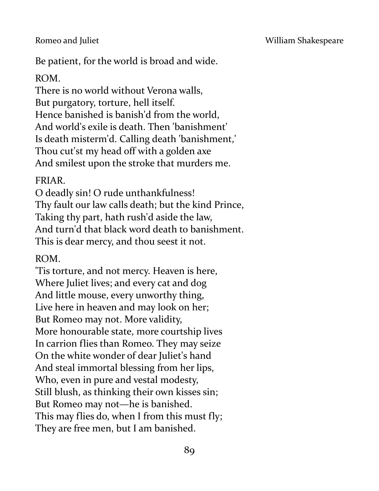Be patient, for the world is broad and wide.

#### ROM.

There is no world without Verona walls, But purgatory, torture, hell itself. Hence banished is banish'd from the world, And world's exile is death. Then 'banishment' Is death misterm'd. Calling death 'banishment,' Thou cut'st my head off with a golden axe And smilest upon the stroke that murders me.

#### FRIAR.

O deadly sin! O rude unthankfulness! Thy fault our law calls death; but the kind Prince, Taking thy part, hath rush'd aside the law, And turn'd that black word death to banishment. This is dear mercy, and thou seest it not.

#### ROM.

'Tis torture, and not mercy. Heaven is here, Where Juliet lives; and every cat and dog And little mouse, every unworthy thing, Live here in heaven and may look on her; But Romeo may not. More validity, More honourable state, more courtship lives In carrion flies than Romeo. They may seize On the white wonder of dear Juliet's hand And steal immortal blessing from her lips, Who, even in pure and vestal modesty, Still blush, as thinking their own kisses sin; But Romeo may not—he is banished. This may flies do, when I from this must fly; They are free men, but I am banished.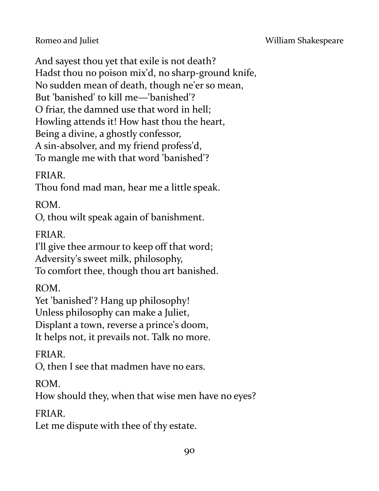And sayest thou yet that exile is not death? Hadst thou no poison mix'd, no sharp-ground knife, No sudden mean of death, though ne'er so mean, But 'banished' to kill me—'banished'? O friar, the damned use that word in hell; Howling attends it! How hast thou the heart, Being a divine, a ghostly confessor, A sin-absolver, and my friend profess'd, To mangle me with that word 'banished'?

FRIAR.

Thou fond mad man, hear me a little speak.

ROM.

O, thou wilt speak again of banishment.

FRIAR.

I'll give thee armour to keep off that word; Adversity's sweet milk, philosophy, To comfort thee, though thou art banished.

ROM.

Yet 'banished'? Hang up philosophy! Unless philosophy can make a Juliet, Displant a town, reverse a prince's doom, It helps not, it prevails not. Talk no more.

FRIAR.

O, then I see that madmen have no ears.

ROM.

How should they, when that wise men have no eyes?

FRIAR.

Let me dispute with thee of thy estate.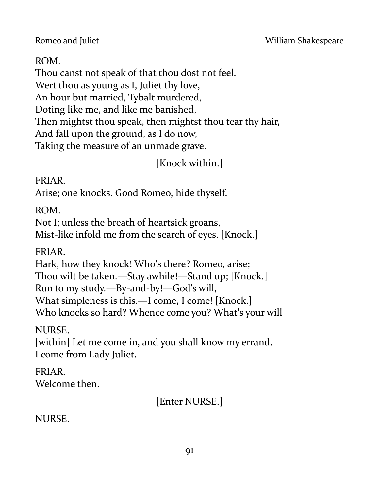#### ROM.

Thou canst not speak of that thou dost not feel. Wert thou as young as I, Juliet thy love, An hour but married, Tybalt murdered, Doting like me, and like me banished, Then mightst thou speak, then mightst thou tear thy hair, And fall upon the ground, as I do now, Taking the measure of an unmade grave.

[Knock within.]

#### FRIAR.

Arise; one knocks. Good Romeo, hide thyself.

ROM.

Not I; unless the breath of heartsick groans, Mist-like infold me from the search of eyes. [Knock.]

FRIAR.

Hark, how they knock! Who's there? Romeo, arise; Thou wilt be taken.—Stay awhile!—Stand up; [Knock.] Run to my study.—By-and-by!—God's will, What simpleness is this.—I come, I come! [Knock.] Who knocks so hard? Whence come you? What's your will

NURSE.

[within] Let me come in, and you shall know my errand. I come from Lady Juliet.

### FRIAR.

Welcome then.

[Enter NURSE.]

NURSE.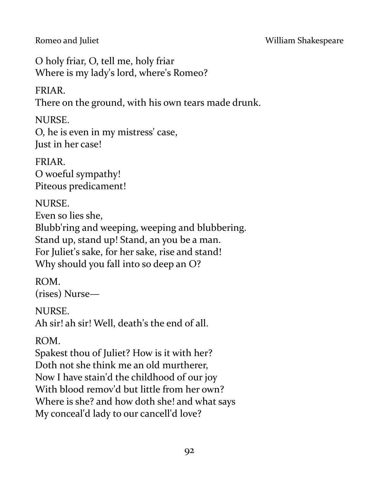O holy friar, O, tell me, holy friar Where is my lady's lord, where's Romeo?

## FRIAR.

There on the ground, with his own tears made drunk.

## NURSE.

O, he is even in my mistress' case, Just in her case!

FRIAR. O woeful sympathy! Piteous predicament!

## NURSE.

Even so lies she,

Blubb'ring and weeping, weeping and blubbering. Stand up, stand up! Stand, an you be a man. For Juliet's sake, for her sake, rise and stand! Why should you fall into so deep an O?

ROM. (rises) Nurse—

## NURSE.

Ah sir! ah sir! Well, death's the end of all.

# ROM.

Spakest thou of Juliet? How is it with her? Doth not she think me an old murtherer, Now I have stain'd the childhood of our joy With blood remov'd but little from her own? Where is she? and how doth she! and what says My conceal'd lady to our cancell'd love?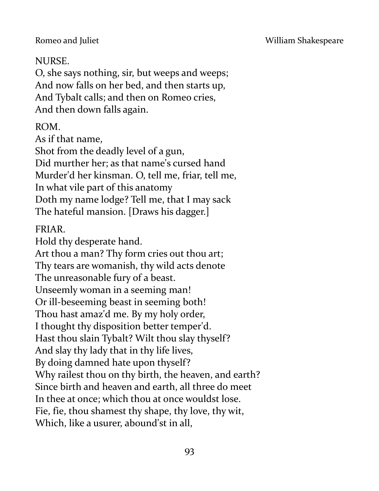## NURSE.

O, she says nothing, sir, but weeps and weeps; And now falls on her bed, and then starts up, And Tybalt calls; and then on Romeo cries, And then down falls again.

### ROM.

As if that name,

Shot from the deadly level of a gun, Did murther her; as that name's cursed hand Murder'd her kinsman. O, tell me, friar, tell me, In what vile part of this anatomy Doth my name lodge? Tell me, that I may sack The hateful mansion. [Draws his dagger.]

### FRIAR.

Hold thy desperate hand. Art thou a man? Thy form cries out thou art; Thy tears are womanish, thy wild acts denote The unreasonable fury of a beast. Unseemly woman in a seeming man! Or ill-beseeming beast in seeming both! Thou hast amaz'd me. By my holy order, I thought thy disposition better temper'd. Hast thou slain Tybalt? Wilt thou slay thyself? And slay thy lady that in thy life lives, By doing damned hate upon thyself? Why railest thou on thy birth, the heaven, and earth? Since birth and heaven and earth, all three do meet In thee at once; which thou at once wouldst lose. Fie, fie, thou shamest thy shape, thy love, thy wit, Which, like a usurer, abound'st in all,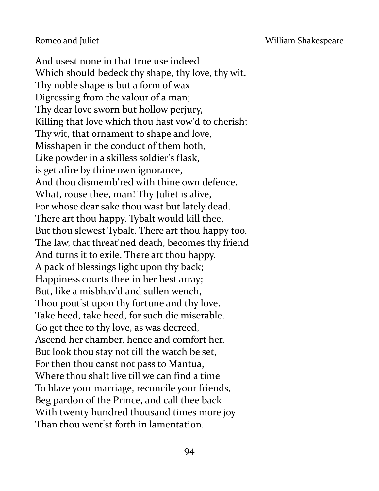And usest none in that true use indeed Which should bedeck thy shape, thy love, thy wit. Thy noble shape is but a form of wax Digressing from the valour of a man; Thy dear love sworn but hollow perjury, Killing that love which thou hast vow'd to cherish; Thy wit, that ornament to shape and love, Misshapen in the conduct of them both, Like powder in a skilless soldier's flask, is get afire by thine own ignorance, And thou dismemb'red with thine own defence. What, rouse thee, man! Thy Juliet is alive, For whose dear sake thou wast but lately dead. There art thou happy. Tybalt would kill thee, But thou slewest Tybalt. There art thou happy too. The law, that threat'ned death, becomes thy friend And turns it to exile. There art thou happy. A pack of blessings light upon thy back; Happiness courts thee in her best array; But, like a misbhav'd and sullen wench, Thou pout'st upon thy fortune and thy love. Take heed, take heed, for such die miserable. Go get thee to thy love, as was decreed, Ascend her chamber, hence and comfort her. But look thou stay not till the watch be set, For then thou canst not pass to Mantua, Where thou shalt live till we can find a time To blaze your marriage, reconcile your friends, Beg pardon of the Prince, and call thee back With twenty hundred thousand times more joy Than thou went'st forth in lamentation.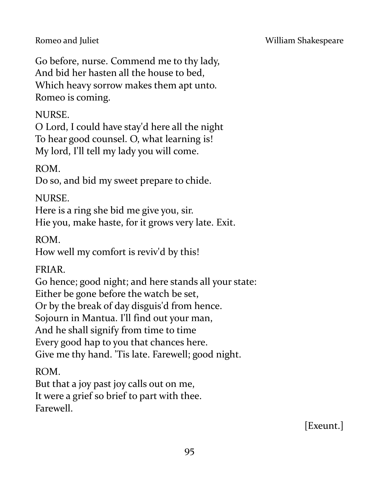#### Romeo and Juliet **No. 2018** William Shakespeare

Go before, nurse. Commend me to thy lady, And bid her hasten all the house to bed, Which heavy sorrow makes them apt unto. Romeo is coming.

## NURSE.

O Lord, I could have stay'd here all the night To hear good counsel. O, what learning is! My lord, I'll tell my lady you will come.

ROM.

Do so, and bid my sweet prepare to chide.

### NURSE.

Here is a ring she bid me give you, sir. Hie you, make haste, for it grows very late. Exit.

ROM.

How well my comfort is reviv'd by this!

### FRIAR.

Go hence; good night; and here stands all your state: Either be gone before the watch be set, Or by the break of day disguis'd from hence. Sojourn in Mantua. I'll find out your man, And he shall signify from time to time Every good hap to you that chances here. Give me thy hand. 'Tis late. Farewell; good night.

ROM.

But that a joy past joy calls out on me, It were a grief so brief to part with thee. Farewell.

[Exeunt.]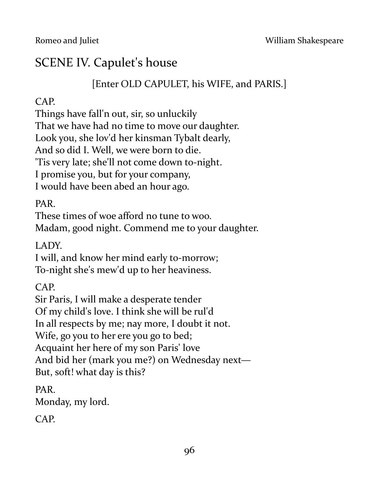# SCENE IV. Capulet's house

## [Enter OLD CAPULET, his WIFE, and PARIS.]

## CAP.

Things have fall'n out, sir, so unluckily

That we have had no time to move our daughter.

Look you, she lov'd her kinsman Tybalt dearly,

And so did I. Well, we were born to die.

'Tis very late; she'll not come down to-night.

I promise you, but for your company,

I would have been abed an hour ago.

PAR.

These times of woe afford no tune to woo.

Madam, good night. Commend me to your daughter.

LADY.

I will, and know her mind early to-morrow; To-night she's mew'd up to her heaviness.

CAP.

Sir Paris, I will make a desperate tender Of my child's love. I think she will be rul'd

In all respects by me; nay more, I doubt it not.

Wife, go you to her ere you go to bed;

Acquaint her here of my son Paris' love

And bid her (mark you me?) on Wednesday next—

But, soft! what day is this?

PAR. Monday, my lord.

CAP.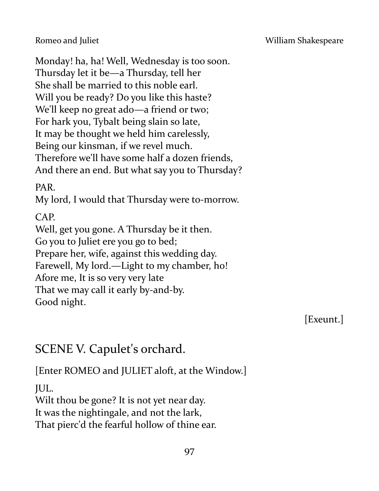Monday! ha, ha! Well, Wednesday is too soon. Thursday let it be—a Thursday, tell her She shall be married to this noble earl. Will you be ready? Do you like this haste? We'll keep no great ado—a friend or two; For hark you, Tybalt being slain so late, It may be thought we held him carelessly, Being our kinsman, if we revel much. Therefore we'll have some half a dozen friends, And there an end. But what say you to Thursday?

PAR.

My lord, I would that Thursday were to-morrow.

CAP.

Well, get you gone. A Thursday be it then. Go you to Juliet ere you go to bed; Prepare her, wife, against this wedding day. Farewell, My lord.—Light to my chamber, ho! Afore me, It is so very very late That we may call it early by-and-by. Good night.

[Exeunt.]

# SCENE V. Capulet's orchard.

[Enter ROMEO and JULIET aloft, at the Window.]

JUL.

Wilt thou be gone? It is not yet near day. It was the nightingale, and not the lark, That pierc'd the fearful hollow of thine ear.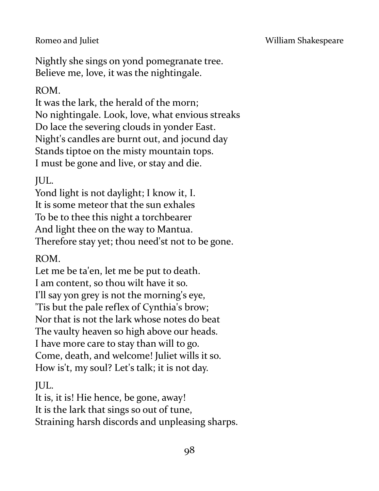#### Romeo and Juliet **No. 2018** William Shakespeare

Nightly she sings on yond pomegranate tree. Believe me, love, it was the nightingale.

#### ROM.

It was the lark, the herald of the morn; No nightingale. Look, love, what envious streaks Do lace the severing clouds in yonder East. Night's candles are burnt out, and jocund day Stands tiptoe on the misty mountain tops. I must be gone and live, or stay and die.

### JUL.

Yond light is not daylight; I know it, I. It is some meteor that the sun exhales To be to thee this night a torchbearer And light thee on the way to Mantua. Therefore stay yet; thou need'st not to be gone.

### ROM.

Let me be ta'en, let me be put to death. I am content, so thou wilt have it so. I'll say yon grey is not the morning's eye, 'Tis but the pale reflex of Cynthia's brow; Nor that is not the lark whose notes do beat The vaulty heaven so high above our heads. I have more care to stay than will to go. Come, death, and welcome! Juliet wills it so. How is't, my soul? Let's talk; it is not day.

JUL.

It is, it is! Hie hence, be gone, away! It is the lark that sings so out of tune, Straining harsh discords and unpleasing sharps.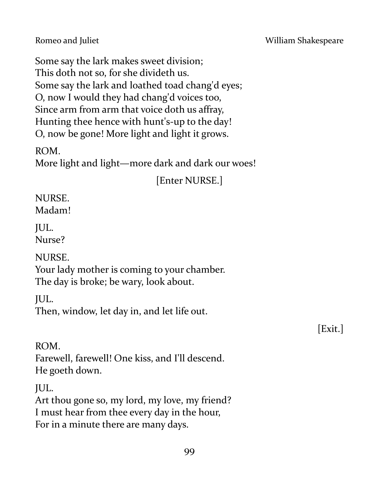Some say the lark makes sweet division; This doth not so, for she divideth us. Some say the lark and loathed toad chang'd eyes; O, now I would they had chang'd voices too, Since arm from arm that voice doth us affray, Hunting thee hence with hunt's-up to the day! O, now be gone! More light and light it grows.

ROM.

More light and light—more dark and dark our woes!

[Enter NURSE.]

# NURSE.

Madam!

JUL. Nurse?

NURSE.

Your lady mother is coming to your chamber. The day is broke; be wary, look about.

JUL.

Then, window, let day in, and let life out.

[Exit.]

ROM. Farewell, farewell! One kiss, and I'll descend. He goeth down.

JUL.

Art thou gone so, my lord, my love, my friend? I must hear from thee every day in the hour, For in a minute there are many days.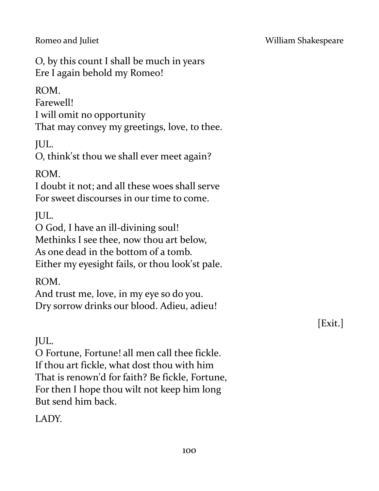O, by this count I shall be much in years Ere I again behold my Romeo!

ROM.

Farewell!

I will omit no opportunity

That may convey my greetings, love, to thee.

JUL.

O, think'st thou we shall ever meet again?

ROM.

I doubt it not; and all these woes shall serve For sweet discourses in our time to come.

JUL.

O God, I have an ill-divining soul! Methinks I see thee, now thou art below, As one dead in the bottom of a tomb. Either my eyesight fails, or thou look'st pale.

ROM.

And trust me, love, in my eye so do you. Dry sorrow drinks our blood. Adieu, adieu!

# JUL.

O Fortune, Fortune! all men call thee fickle. If thou art fickle, what dost thou with him That is renown'd for faith? Be fickle, Fortune, For then I hope thou wilt not keep him long But send him back.

LADY.

[Exit.]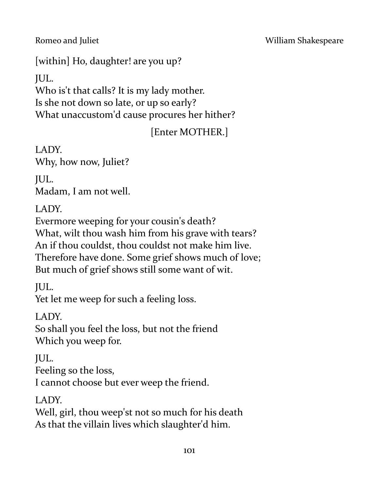[within] Ho, daughter! are you up?

JUL.

Who is't that calls? It is my lady mother. Is she not down so late, or up so early? What unaccustom'd cause procures her hither?

# [Enter MOTHER.]

LADY. Why, how now, Juliet?

JUL. Madam, I am not well.

LADY.

Evermore weeping for your cousin's death? What, wilt thou wash him from his grave with tears? An if thou couldst, thou couldst not make him live. Therefore have done. Some grief shows much of love; But much of grief shows still some want of wit.

JUL.

Yet let me weep for such a feeling loss.

LADY.

So shall you feel the loss, but not the friend Which you weep for.

JUL.

Feeling so the loss,

I cannot choose but ever weep the friend.

LADY.

Well, girl, thou weep'st not so much for his death As that the villain lives which slaughter'd him.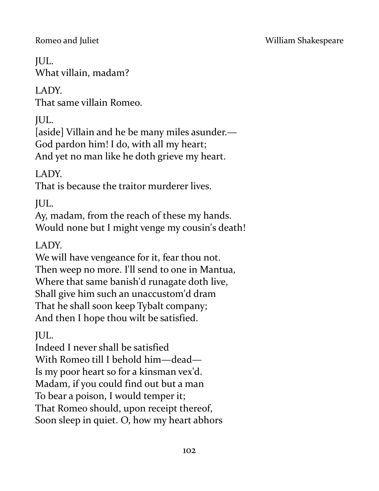Romeo and Juliet **No. 2018** William Shakespeare

# JUL.

What villain, madam?

# LADY.

That same villain Romeo.

JUL.

[aside] Villain and he be many miles asunder.— God pardon him! I do, with all my heart; And yet no man like he doth grieve my heart.

LADY.

That is because the traitor murderer lives.

JUL.

Ay, madam, from the reach of these my hands. Would none but I might venge my cousin's death!

LADY.

We will have vengeance for it, fear thou not. Then weep no more. I'll send to one in Mantua, Where that same banish'd runagate doth live, Shall give him such an unaccustom'd dram That he shall soon keep Tybalt company; And then I hope thou wilt be satisfied.

JUL.

Indeed I never shall be satisfied With Romeo till I behold him—dead— Is my poor heart so for a kinsman vex'd. Madam, if you could find out but a man To bear a poison, I would temper it; That Romeo should, upon receipt thereof, Soon sleep in quiet. O, how my heart abhors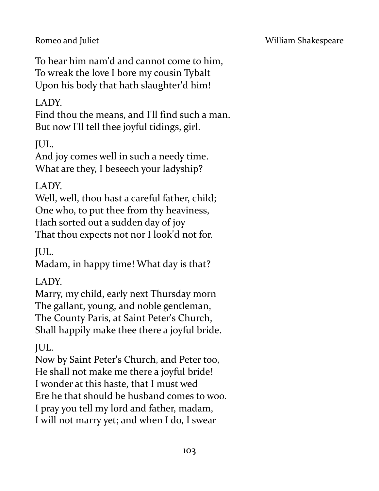To hear him nam'd and cannot come to him, To wreak the love I bore my cousin Tybalt Upon his body that hath slaughter'd him!

## LADY.

Find thou the means, and I'll find such a man. But now I'll tell thee joyful tidings, girl.

JUL.

And joy comes well in such a needy time. What are they, I beseech your ladyship?

### LADY.

Well, well, thou hast a careful father, child; One who, to put thee from thy heaviness, Hath sorted out a sudden day of joy That thou expects not nor I look'd not for.

JUL.

Madam, in happy time! What day is that?

### LADY.

Marry, my child, early next Thursday morn The gallant, young, and noble gentleman, The County Paris, at Saint Peter's Church, Shall happily make thee there a joyful bride.

JUL.

Now by Saint Peter's Church, and Peter too, He shall not make me there a joyful bride! I wonder at this haste, that I must wed Ere he that should be husband comes to woo. I pray you tell my lord and father, madam, I will not marry yet; and when I do, I swear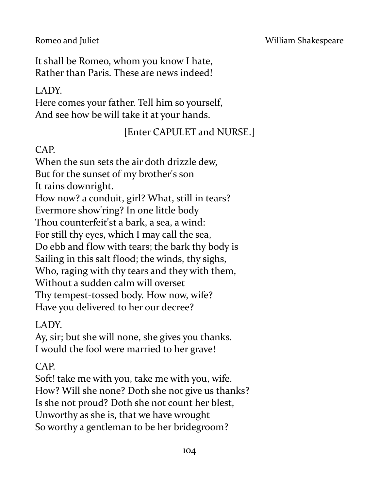#### Romeo and Juliet **No. 2018** William Shakespeare

It shall be Romeo, whom you know I hate, Rather than Paris. These are news indeed!

## LADY.

Here comes your father. Tell him so yourself, And see how be will take it at your hands.

# [Enter CAPULET and NURSE.]

## CAP.

When the sun sets the air doth drizzle dew, But for the sunset of my brother's son It rains downright. How now? a conduit, girl? What, still in tears? Evermore show'ring? In one little body Thou counterfeit'st a bark, a sea, a wind: For still thy eyes, which I may call the sea, Do ebb and flow with tears; the bark thy body is Sailing in this salt flood; the winds, thy sighs, Who, raging with thy tears and they with them, Without a sudden calm will overset Thy tempest-tossed body. How now, wife? Have you delivered to her our decree?

# LADY.

Ay, sir; but she will none, she gives you thanks. I would the fool were married to her grave!

# CAP.

Soft! take me with you, take me with you, wife. How? Will she none? Doth she not give us thanks? Is she not proud? Doth she not count her blest, Unworthy as she is, that we have wrought So worthy a gentleman to be her bridegroom?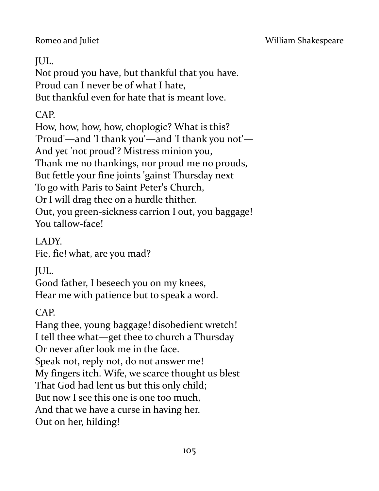#### Romeo and Juliet **No. 2018** William Shakespeare

## JUL.

Not proud you have, but thankful that you have. Proud can I never be of what I hate, But thankful even for hate that is meant love.

#### CAP.

How, how, how, how, choplogic? What is this? 'Proud'—and 'I thank you'—and 'I thank you not'— And yet 'not proud'? Mistress minion you, Thank me no thankings, nor proud me no prouds, But fettle your fine joints 'gainst Thursday next To go with Paris to Saint Peter's Church, Or I will drag thee on a hurdle thither. Out, you green-sickness carrion I out, you baggage! You tallow-face!

LADY.

Fie, fie! what, are you mad?

JUL.

Good father, I beseech you on my knees, Hear me with patience but to speak a word.

CAP.

Hang thee, young baggage! disobedient wretch! I tell thee what—get thee to church a Thursday Or never after look me in the face. Speak not, reply not, do not answer me! My fingers itch. Wife, we scarce thought us blest That God had lent us but this only child; But now I see this one is one too much, And that we have a curse in having her. Out on her, hilding!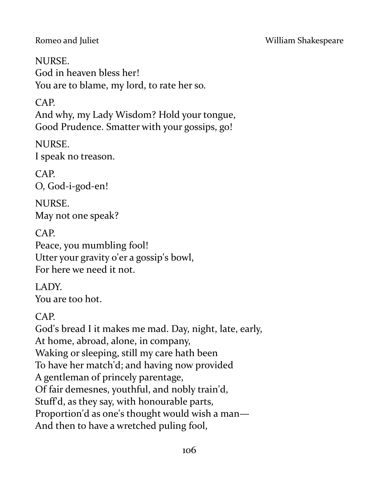NURSE. God in heaven bless her! You are to blame, my lord, to rate her so.

# CAP.

And why, my Lady Wisdom? Hold your tongue, Good Prudence. Smatter with your gossips, go!

NURSE. I speak no treason.

CAP. O, God-i-god-en!

NURSE. May not one speak?

CAP.

Peace, you mumbling fool! Utter your gravity o'er a gossip's bowl, For here we need it not.

LADY. You are too hot.

CAP.

God's bread I it makes me mad. Day, night, late, early, At home, abroad, alone, in company, Waking or sleeping, still my care hath been To have her match'd; and having now provided A gentleman of princely parentage, Of fair demesnes, youthful, and nobly train'd, Stuff'd, as they say, with honourable parts, Proportion'd as one's thought would wish a man— And then to have a wretched puling fool,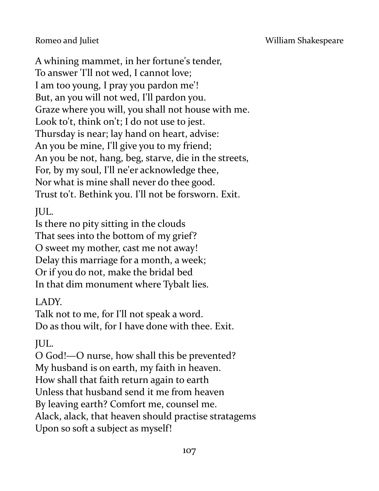A whining mammet, in her fortune's tender, To answer 'I'll not wed, I cannot love; I am too young, I pray you pardon me'! But, an you will not wed, I'll pardon you. Graze where you will, you shall not house with me. Look to't, think on't; I do not use to jest. Thursday is near; lay hand on heart, advise: An you be mine, I'll give you to my friend; An you be not, hang, beg, starve, die in the streets, For, by my soul, I'll ne'er acknowledge thee, Nor what is mine shall never do thee good. Trust to't. Bethink you. I'll not be forsworn. Exit.

JUL.

Is there no pity sitting in the clouds That sees into the bottom of my grief? O sweet my mother, cast me not away! Delay this marriage for a month, a week; Or if you do not, make the bridal bed In that dim monument where Tybalt lies.

LADY.

Talk not to me, for I'll not speak a word. Do as thou wilt, for I have done with thee. Exit.

JUL.

O God!—O nurse, how shall this be prevented? My husband is on earth, my faith in heaven. How shall that faith return again to earth Unless that husband send it me from heaven By leaving earth? Comfort me, counsel me. Alack, alack, that heaven should practise stratagems Upon so soft a subject as myself!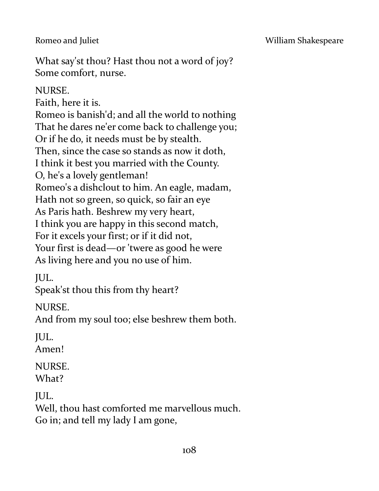What say'st thou? Hast thou not a word of joy? Some comfort, nurse.

#### NURSE.

Faith, here it is.

Romeo is banish'd; and all the world to nothing That he dares ne'er come back to challenge you; Or if he do, it needs must be by stealth. Then, since the case so stands as now it doth, I think it best you married with the County. O, he's a lovely gentleman! Romeo's a dishclout to him. An eagle, madam, Hath not so green, so quick, so fair an eye As Paris hath. Beshrew my very heart, I think you are happy in this second match, For it excels your first; or if it did not, Your first is dead—or 'twere as good he were As living here and you no use of him.

JUL.

Speak'st thou this from thy heart?

NURSE.

And from my soul too; else beshrew them both.

JUL.

Amen!

# NURSE.

What?

JUL.

Well, thou hast comforted me marvellous much. Go in; and tell my lady I am gone,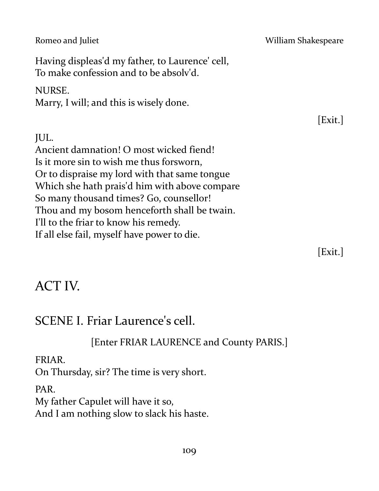Romeo and Juliet **National Accord Property Accord William Shakespeare** Having displeas'd my father, to Laurence' cell, To make confession and to be absolv'd. NURSE. Marry, I will; and this is wisely done. [Exit.] JUL. Ancient damnation! O most wicked fiend! Is it more sin to wish me thus forsworn, Or to dispraise my lord with that same tongue Which she hath prais'd him with above compare So many thousand times? Go, counsellor! Thou and my bosom henceforth shall be twain. I'll to the friar to know his remedy. If all else fail, myself have power to die. [Exit.]

# ACT IV.

# SCENE I. Friar Laurence's cell.

[Enter FRIAR LAURENCE and County PARIS.]

## FRIAR.

On Thursday, sir? The time is very short.

## PAR.

My father Capulet will have it so, And I am nothing slow to slack his haste.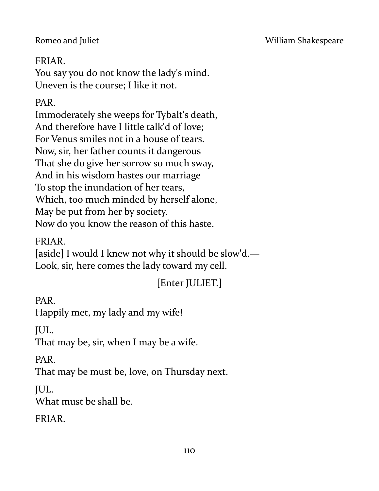## FRIAR.

You say you do not know the lady's mind. Uneven is the course; I like it not.

## PAR.

Immoderately she weeps for Tybalt's death, And therefore have I little talk'd of love; For Venus smiles not in a house of tears. Now, sir, her father counts it dangerous That she do give her sorrow so much sway, And in his wisdom hastes our marriage To stop the inundation of her tears, Which, too much minded by herself alone, May be put from her by society. Now do you know the reason of this haste.

## FRIAR.

[aside] I would I knew not why it should be slow'd.— Look, sir, here comes the lady toward my cell.

## [Enter JULIET.]

PAR.

Happily met, my lady and my wife!

JUL.

That may be, sir, when I may be a wife.

PAR.

That may be must be, love, on Thursday next.

JUL.

What must be shall be.

FRIAR.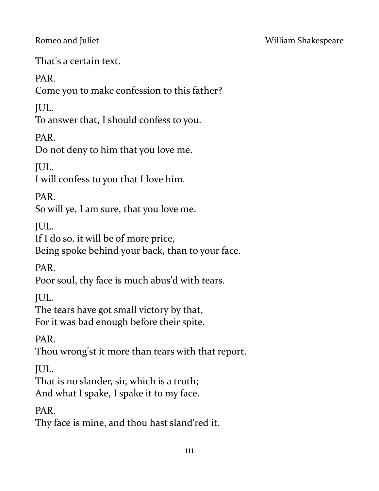That's a certain text.

PAR.

Come you to make confession to this father?

JUL.

To answer that, I should confess to you.

PAR.

Do not deny to him that you love me.

JUL.

I will confess to you that I love him.

PAR.

So will ye, I am sure, that you love me.

JUL.

If I do so, it will be of more price,

Being spoke behind your back, than to your face.

PAR.

Poor soul, thy face is much abus'd with tears.

JUL.

The tears have got small victory by that, For it was bad enough before their spite.

PAR.

Thou wrong'st it more than tears with that report.

JUL.

That is no slander, sir, which is a truth;

And what I spake, I spake it to my face.

PAR.

Thy face is mine, and thou hast sland'red it.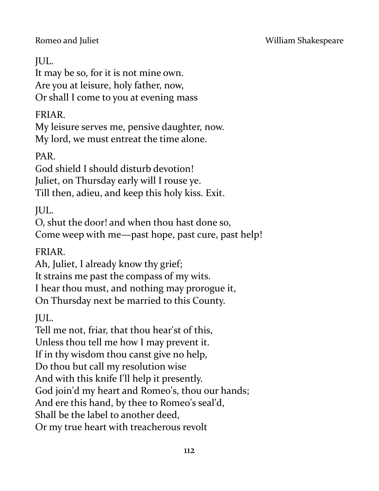## JUL.

It may be so, for it is not mine own. Are you at leisure, holy father, now, Or shall I come to you at evening mass

## FRIAR.

My leisure serves me, pensive daughter, now. My lord, we must entreat the time alone.

PAR.

God shield I should disturb devotion! Juliet, on Thursday early will I rouse ye. Till then, adieu, and keep this holy kiss. Exit.

JUL.

O, shut the door! and when thou hast done so, Come weep with me—past hope, past cure, past help!

FRIAR.

Ah, Juliet, I already know thy grief;

It strains me past the compass of my wits.

I hear thou must, and nothing may prorogue it,

On Thursday next be married to this County.

JUL.

Tell me not, friar, that thou hear'st of this, Unless thou tell me how I may prevent it. If in thy wisdom thou canst give no help, Do thou but call my resolution wise And with this knife I'll help it presently.

God join'd my heart and Romeo's, thou our hands;

And ere this hand, by thee to Romeo's seal'd,

Shall be the label to another deed,

Or my true heart with treacherous revolt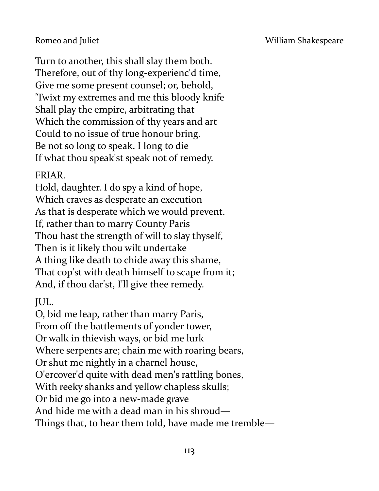Turn to another, this shall slay them both. Therefore, out of thy long-experienc'd time, Give me some present counsel; or, behold, 'Twixt my extremes and me this bloody knife Shall play the empire, arbitrating that Which the commission of thy years and art Could to no issue of true honour bring. Be not so long to speak. I long to die If what thou speak'st speak not of remedy.

### FRIAR.

Hold, daughter. I do spy a kind of hope, Which craves as desperate an execution As that is desperate which we would prevent. If, rather than to marry County Paris Thou hast the strength of will to slay thyself, Then is it likely thou wilt undertake A thing like death to chide away this shame, That cop'st with death himself to scape from it; And, if thou dar'st, I'll give thee remedy.

JUL.

O, bid me leap, rather than marry Paris, From off the battlements of yonder tower, Or walk in thievish ways, or bid me lurk Where serpents are; chain me with roaring bears, Or shut me nightly in a charnel house, O'ercover'd quite with dead men's rattling bones, With reeky shanks and yellow chapless skulls; Or bid me go into a new-made grave And hide me with a dead man in his shroud— Things that, to hear them told, have made me tremble—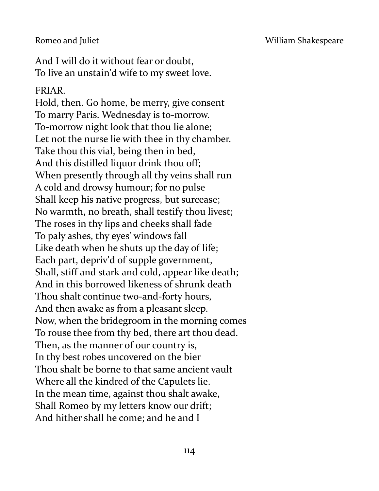#### Romeo and Juliet **No. 2018** William Shakespeare

And I will do it without fear or doubt, To live an unstain'd wife to my sweet love.

#### FRIAR.

Hold, then. Go home, be merry, give consent To marry Paris. Wednesday is to-morrow. To-morrow night look that thou lie alone; Let not the nurse lie with thee in thy chamber. Take thou this vial, being then in bed, And this distilled liquor drink thou off; When presently through all thy veins shall run A cold and drowsy humour; for no pulse Shall keep his native progress, but surcease; No warmth, no breath, shall testify thou livest; The roses in thy lips and cheeks shall fade To paly ashes, thy eyes' windows fall Like death when he shuts up the day of life; Each part, depriv'd of supple government, Shall, stiff and stark and cold, appear like death; And in this borrowed likeness of shrunk death Thou shalt continue two-and-forty hours, And then awake as from a pleasant sleep. Now, when the bridegroom in the morning comes To rouse thee from thy bed, there art thou dead. Then, as the manner of our country is, In thy best robes uncovered on the bier Thou shalt be borne to that same ancient vault Where all the kindred of the Capulets lie. In the mean time, against thou shalt awake, Shall Romeo by my letters know our drift; And hither shall he come; and he and I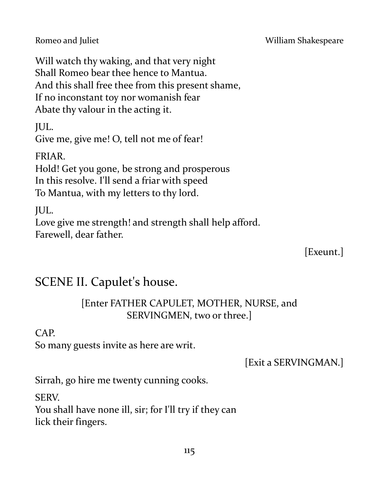Will watch thy waking, and that very night Shall Romeo bear thee hence to Mantua. And this shall free thee from this present shame, If no inconstant toy nor womanish fear Abate thy valour in the acting it.

JUL.

Give me, give me! O, tell not me of fear!

FRIAR.

Hold! Get you gone, be strong and prosperous In this resolve. I'll send a friar with speed To Mantua, with my letters to thy lord.

JUL.

Love give me strength! and strength shall help afford. Farewell, dear father.

[Exeunt.]

# SCENE II. Capulet's house.

## [Enter FATHER CAPULET, MOTHER, NURSE, and SERVINGMEN, two or three.]

CAP.

So many guests invite as here are writ.

[Exit a SERVINGMAN.]

Sirrah, go hire me twenty cunning cooks.

SERV.

You shall have none ill, sir; for I'll try if they can lick their fingers.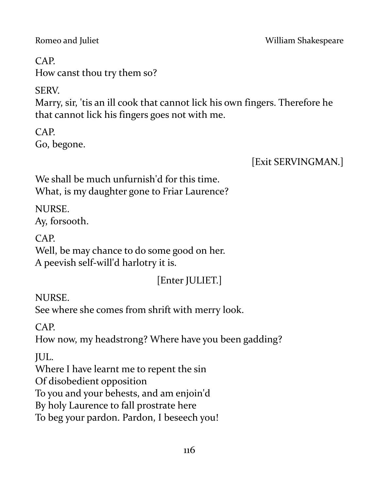# CAP.

How canst thou try them so?

SERV.

Marry, sir, 'tis an ill cook that cannot lick his own fingers. Therefore he that cannot lick his fingers goes not with me.

CAP. Go, begone.

[Exit SERVINGMAN.]

We shall be much unfurnish'd for this time. What, is my daughter gone to Friar Laurence?

NURSE. Ay, forsooth.

CAP.

Well, be may chance to do some good on her. A peevish self-will'd harlotry it is.

# [Enter JULIET.]

NURSE.

See where she comes from shrift with merry look.

CAP.

How now, my headstrong? Where have you been gadding?

JUL.

Where I have learnt me to repent the sin

Of disobedient opposition

To you and your behests, and am enjoin'd

By holy Laurence to fall prostrate here

To beg your pardon. Pardon, I beseech you!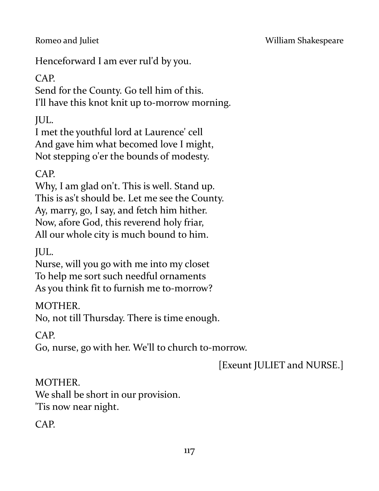Henceforward I am ever rul'd by you.

CAP.

Send for the County. Go tell him of this. I'll have this knot knit up to-morrow morning.

JUL.

I met the youthful lord at Laurence' cell And gave him what becomed love I might, Not stepping o'er the bounds of modesty.

CAP.

Why, I am glad on't. This is well. Stand up. This is as't should be. Let me see the County. Ay, marry, go, I say, and fetch him hither. Now, afore God, this reverend holy friar, All our whole city is much bound to him.

JUL.

Nurse, will you go with me into my closet To help me sort such needful ornaments As you think fit to furnish me to-morrow?

MOTHER.

No, not till Thursday. There is time enough.

CAP.

Go, nurse, go with her. We'll to church to-morrow.

[Exeunt JULIET and NURSE.]

MOTHER.

We shall be short in our provision. 'Tis now near night.

 $CAP$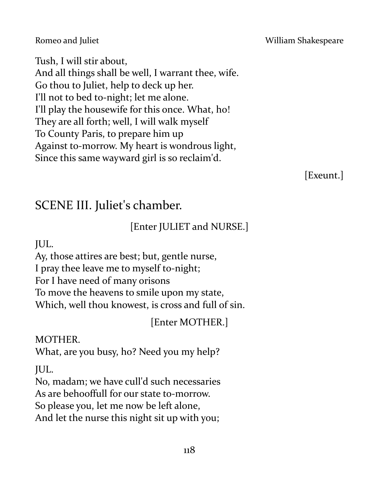#### Romeo and Juliet **No. 2018** William Shakespeare

Tush, I will stir about, And all things shall be well, I warrant thee, wife. Go thou to Juliet, help to deck up her. I'll not to bed to-night; let me alone. I'll play the housewife for this once. What, ho! They are all forth; well, I will walk myself To County Paris, to prepare him up Against to-morrow. My heart is wondrous light, Since this same wayward girl is so reclaim'd.

[Exeunt.]

## SCENE III. Juliet's chamber.

## [Enter JULIET and NURSE.]

JUL.

Ay, those attires are best; but, gentle nurse, I pray thee leave me to myself to-night; For I have need of many orisons To move the heavens to smile upon my state, Which, well thou knowest, is cross and full of sin.

[Enter MOTHER.]

MOTHER.

What, are you busy, ho? Need you my help?

JUL.

No, madam; we have cull'd such necessaries

As are behooffull for our state to-morrow.

So please you, let me now be left alone,

And let the nurse this night sit up with you;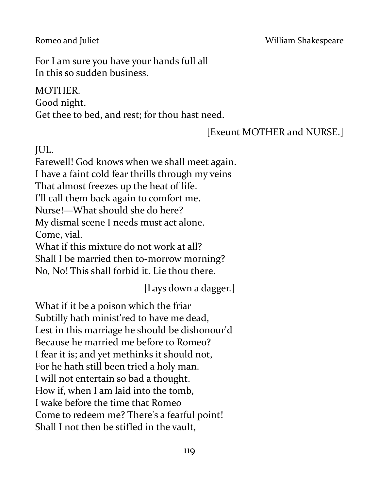#### Romeo and Juliet **No. 2018** William Shakespeare

For I am sure you have your hands full all In this so sudden business.

### MOTHER.

Good night.

Get thee to bed, and rest; for thou hast need.

## [Exeunt MOTHER and NURSE.]

JUL.

Farewell! God knows when we shall meet again. I have a faint cold fear thrills through my veins That almost freezes up the heat of life. I'll call them back again to comfort me. Nurse!—What should she do here? My dismal scene I needs must act alone. Come, vial. What if this mixture do not work at all?

Shall I be married then to-morrow morning?

No, No! This shall forbid it. Lie thou there.

[Lays down a dagger.]

What if it be a poison which the friar Subtilly hath minist'red to have me dead, Lest in this marriage he should be dishonour'd Because he married me before to Romeo? I fear it is; and yet methinks it should not, For he hath still been tried a holy man. I will not entertain so bad a thought. How if, when I am laid into the tomb, I wake before the time that Romeo Come to redeem me? There's a fearful point! Shall I not then be stifled in the vault,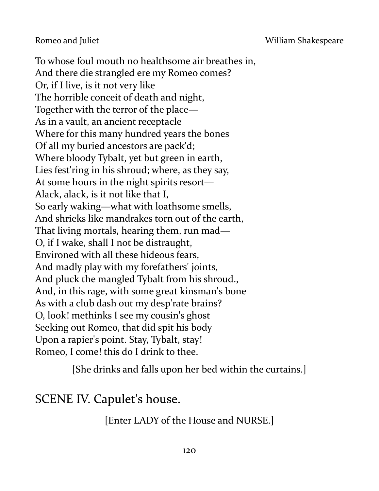Romeo and Juliet **No. 2018 Romeo and Juliet** William Shakespeare

To whose foul mouth no healthsome air breathes in, And there die strangled ere my Romeo comes? Or, if I live, is it not very like The horrible conceit of death and night, Together with the terror of the place— As in a vault, an ancient receptacle Where for this many hundred years the bones Of all my buried ancestors are pack'd; Where bloody Tybalt, yet but green in earth, Lies fest'ring in his shroud; where, as they say, At some hours in the night spirits resort— Alack, alack, is it not like that I, So early waking—what with loathsome smells, And shrieks like mandrakes torn out of the earth, That living mortals, hearing them, run mad— O, if I wake, shall I not be distraught, Environed with all these hideous fears, And madly play with my forefathers' joints, And pluck the mangled Tybalt from his shroud., And, in this rage, with some great kinsman's bone As with a club dash out my desp'rate brains? O, look! methinks I see my cousin's ghost Seeking out Romeo, that did spit his body Upon a rapier's point. Stay, Tybalt, stay! Romeo, I come! this do I drink to thee.

[She drinks and falls upon her bed within the curtains.]

SCENE IV. Capulet's house.

[Enter LADY of the House and NURSE.]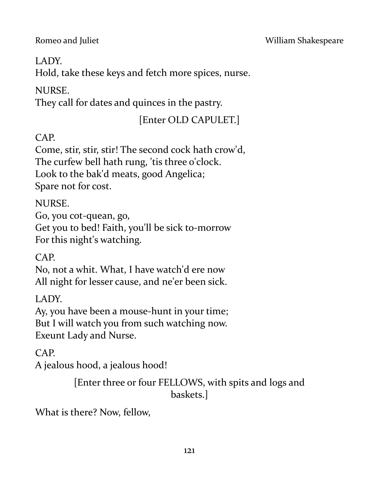### LADY.

Hold, take these keys and fetch more spices, nurse.

## NURSE.

They call for dates and quinces in the pastry.

## [Enter OLD CAPULET.]

## CAP.

Come, stir, stir, stir! The second cock hath crow'd, The curfew bell hath rung, 'tis three o'clock. Look to the bak'd meats, good Angelica; Spare not for cost.

### NURSE.

Go, you cot-quean, go, Get you to bed! Faith, you'll be sick to-morrow For this night's watching.

## CAP.

No, not a whit. What, I have watch'd ere now All night for lesser cause, and ne'er been sick.

LADY.

Ay, you have been a mouse-hunt in your time; But I will watch you from such watching now. Exeunt Lady and Nurse.

## CAP.

A jealous hood, a jealous hood!

[Enter three or four FELLOWS, with spits and logs and baskets.]

What is there? Now, fellow,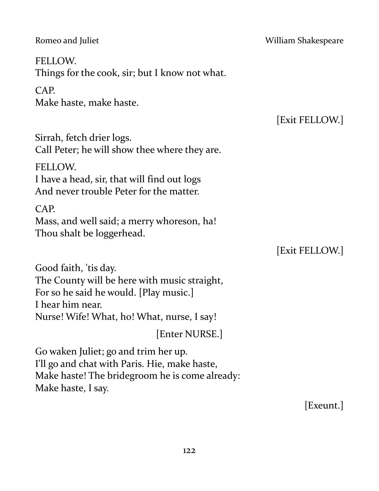Romeo and Juliet **National Accord Property Accord William Shakespeare** FELLOW. Things for the cook, sir; but I know not what. CAP. Make haste, make haste. [Exit FELLOW.] Sirrah, fetch drier logs. Call Peter; he will show thee where they are. FELLOW. I have a head, sir, that will find out logs And never trouble Peter for the matter. CAP. Mass, and well said; a merry whoreson, ha! Thou shalt be loggerhead. [Exit FELLOW.] Good faith, 'tis day. The County will be here with music straight, For so he said he would. [Play music.] I hear him near.

Nurse! Wife! What, ho! What, nurse, I say!

[Enter NURSE.]

Go waken Juliet; go and trim her up. I'll go and chat with Paris. Hie, make haste, Make haste! The bridegroom he is come already: Make haste, I say.

[Exeunt.]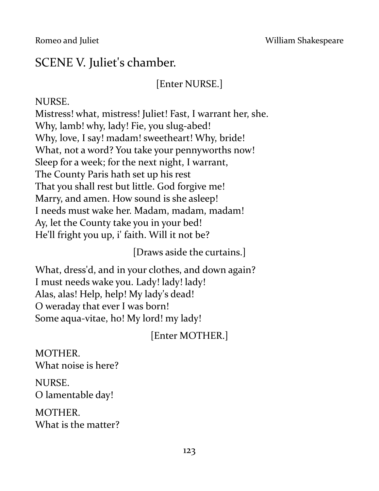## SCENE V. Juliet's chamber.

## [Enter NURSE.]

#### NURSE.

Mistress! what, mistress! Juliet! Fast, I warrant her, she. Why, lamb! why, lady! Fie, you slug-abed! Why, love, I say! madam! sweetheart! Why, bride! What, not a word? You take your pennyworths now! Sleep for a week; for the next night, I warrant, The County Paris hath set up his rest That you shall rest but little. God forgive me! Marry, and amen. How sound is she asleep! I needs must wake her. Madam, madam, madam! Ay, let the County take you in your bed! He'll fright you up, i' faith. Will it not be?

[Draws aside the curtains.]

What, dress'd, and in your clothes, and down again? I must needs wake you. Lady! lady! lady! Alas, alas! Help, help! My lady's dead! O weraday that ever I was born! Some aqua-vitae, ho! My lord! my lady!

[Enter MOTHER.]

MOTHER. What noise is here?

NURSE. O lamentable day!

MOTHER. What is the matter?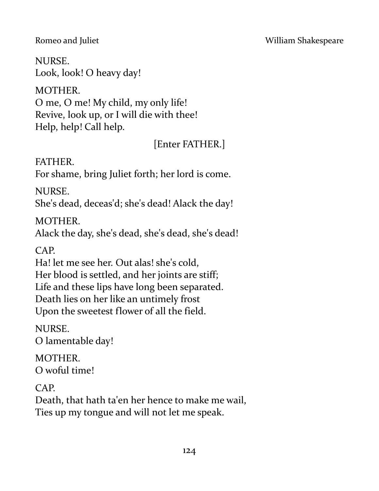NURSE. Look, look! O heavy day!

MOTHER. O me, O me! My child, my only life! Revive, look up, or I will die with thee! Help, help! Call help.

[Enter FATHER.]

FATHER.

For shame, bring Juliet forth; her lord is come.

NURSE.

She's dead, deceas'd; she's dead! Alack the day!

MOTHER.

Alack the day, she's dead, she's dead, she's dead!

CAP.

Ha! let me see her. Out alas! she's cold, Her blood is settled, and her joints are stiff; Life and these lips have long been separated. Death lies on her like an untimely frost Upon the sweetest flower of all the field.

NURSE.

O lamentable day!

MOTHER. O woful time!

CAP.

Death, that hath ta'en her hence to make me wail, Ties up my tongue and will not let me speak.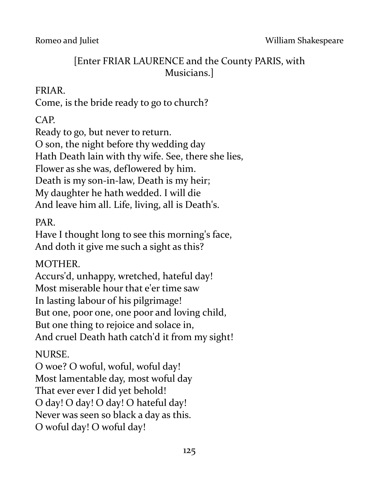## [Enter FRIAR LAURENCE and the County PARIS, with Musicians.]

### FRIAR.

Come, is the bride ready to go to church?

CAP.

Ready to go, but never to return.

O son, the night before thy wedding day

Hath Death lain with thy wife. See, there she lies,

Flower as she was, deflowered by him.

Death is my son-in-law, Death is my heir;

My daughter he hath wedded. I will die

And leave him all. Life, living, all is Death's.

PAR.

Have I thought long to see this morning's face, And doth it give me such a sight as this?

## MOTHER.

Accurs'd, unhappy, wretched, hateful day! Most miserable hour that e'er time saw In lasting labour of his pilgrimage! But one, poor one, one poor and loving child, But one thing to rejoice and solace in, And cruel Death hath catch'd it from my sight!

## NURSE.

O woe? O woful, woful, woful day! Most lamentable day, most woful day That ever ever I did yet behold! O day! O day! O day! O hateful day! Never was seen so black a day as this. O woful day! O woful day!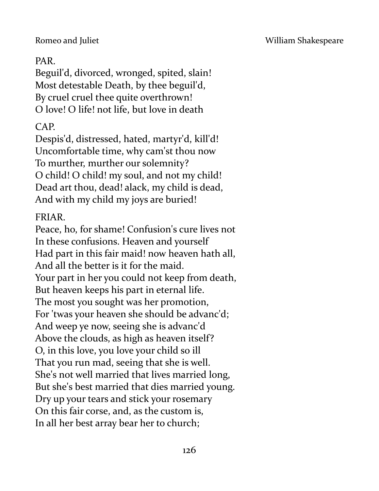#### PAR.

Beguil'd, divorced, wronged, spited, slain! Most detestable Death, by thee beguil'd, By cruel cruel thee quite overthrown! O love! O life! not life, but love in death

### CAP.

Despis'd, distressed, hated, martyr'd, kill'd! Uncomfortable time, why cam'st thou now To murther, murther our solemnity? O child! O child! my soul, and not my child! Dead art thou, dead! alack, my child is dead, And with my child my joys are buried!

#### FRIAR.

Peace, ho, for shame! Confusion's cure lives not In these confusions. Heaven and yourself Had part in this fair maid! now heaven hath all, And all the better is it for the maid. Your part in her you could not keep from death, But heaven keeps his part in eternal life. The most you sought was her promotion, For 'twas your heaven she should be advanc'd; And weep ye now, seeing she is advanc'd Above the clouds, as high as heaven itself? O, in this love, you love your child so ill That you run mad, seeing that she is well. She's not well married that lives married long, But she's best married that dies married young. Dry up your tears and stick your rosemary On this fair corse, and, as the custom is, In all her best array bear her to church;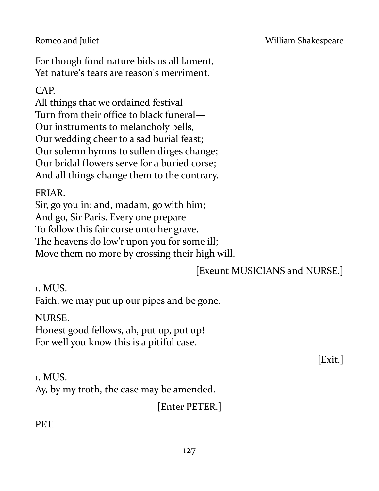#### Romeo and Juliet **No. 2018** William Shakespeare

For though fond nature bids us all lament, Yet nature's tears are reason's merriment.

### CAP.

All things that we ordained festival Turn from their office to black funeral— Our instruments to melancholy bells, Our wedding cheer to a sad burial feast; Our solemn hymns to sullen dirges change; Our bridal flowers serve for a buried corse; And all things change them to the contrary.

#### FRIAR.

Sir, go you in; and, madam, go with him; And go, Sir Paris. Every one prepare To follow this fair corse unto her grave. The heavens do low'r upon you for some ill; Move them no more by crossing their high will.

### [Exeunt MUSICIANS and NURSE.]

1. MUS.

Faith, we may put up our pipes and be gone.

NURSE.

Honest good fellows, ah, put up, put up! For well you know this is a pitiful case.

[Exit.]

1. MUS. Ay, by my troth, the case may be amended.

[Enter PETER.]

PET.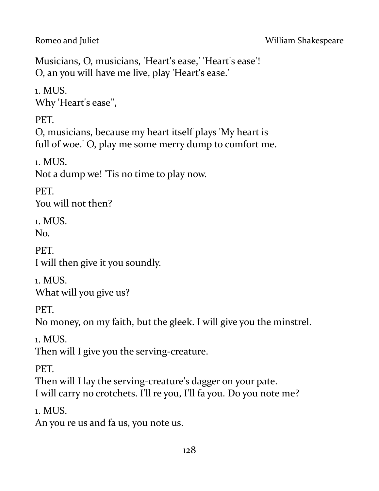Musicians, O, musicians, 'Heart's ease,' 'Heart's ease'! O, an you will have me live, play 'Heart's ease.'

1. MUS. Why 'Heart's ease'',

PET.

O, musicians, because my heart itself plays 'My heart is full of woe.' O, play me some merry dump to comfort me.

1. MUS. Not a dump we! 'Tis no time to play now.

PET. You will not then?

1. MUS. No.

PET. I will then give it you soundly.

1. MUS. What will you give us?

PET.

No money, on my faith, but the gleek. I will give you the minstrel.

1. MUS.

Then will I give you the serving-creature.

PET.

Then will I lay the serving-creature's dagger on your pate. I will carry no crotchets. I'll re you, I'll fa you. Do you note me?

1. MUS.

An you re us and fa us, you note us.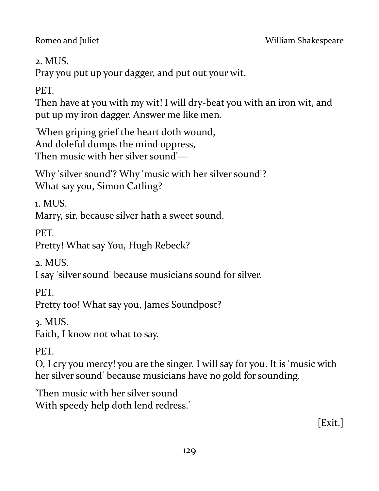2. MUS.

Pray you put up your dagger, and put out your wit.

PET.

Then have at you with my wit! I will dry-beat you with an iron wit, and put up my iron dagger. Answer me like men.

'When griping grief the heart doth wound, And doleful dumps the mind oppress, Then music with her silver sound'—

Why 'silver sound'? Why 'music with her silver sound'? What say you, Simon Catling?

1. MUS.

Marry, sir, because silver hath a sweet sound.

**PET.** 

Pretty! What say You, Hugh Rebeck?

2. MUS.

I say 'silver sound' because musicians sound for silver.

PET.

Pretty too! What say you, James Soundpost?

3. MUS.

Faith, I know not what to say.

PET.

O, I cry you mercy! you are the singer. I will say for you. It is 'music with her silver sound' because musicians have no gold for sounding.

'Then music with her silver sound With speedy help doth lend redress.'

[Exit.]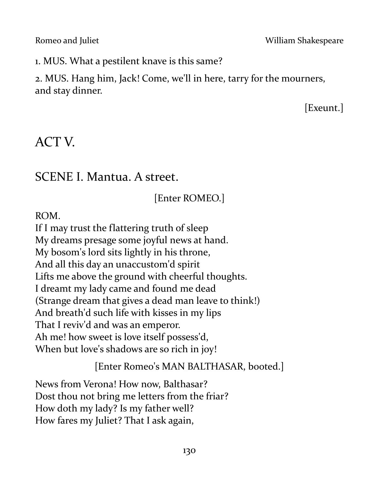Romeo and Juliet **No. 2018 Romeo and Juliet** William Shakespeare

1. MUS. What a pestilent knave is this same?

2. MUS. Hang him, Jack! Come, we'll in here, tarry for the mourners, and stay dinner.

[Exeunt.]

# ACT V.

## SCENE I. Mantua. A street.

## [Enter ROMEO.]

ROM.

If I may trust the flattering truth of sleep My dreams presage some joyful news at hand. My bosom's lord sits lightly in his throne, And all this day an unaccustom'd spirit Lifts me above the ground with cheerful thoughts. I dreamt my lady came and found me dead (Strange dream that gives a dead man leave to think!) And breath'd such life with kisses in my lips That I reviv'd and was an emperor. Ah me! how sweet is love itself possess'd, When but love's shadows are so rich in joy!

[Enter Romeo's MAN BALTHASAR, booted.]

News from Verona! How now, Balthasar? Dost thou not bring me letters from the friar? How doth my lady? Is my father well? How fares my Juliet? That I ask again,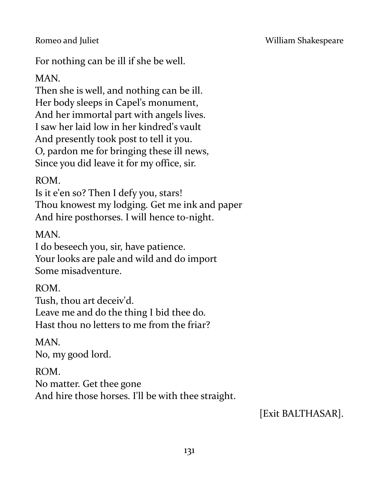For nothing can be ill if she be well.

MAN.

Then she is well, and nothing can be ill. Her body sleeps in Capel's monument, And her immortal part with angels lives. I saw her laid low in her kindred's vault And presently took post to tell it you. O, pardon me for bringing these ill news, Since you did leave it for my office, sir.

ROM.

Is it e'en so? Then I defy you, stars! Thou knowest my lodging. Get me ink and paper And hire posthorses. I will hence to-night.

MAN.

I do beseech you, sir, have patience. Your looks are pale and wild and do import Some misadventure.

ROM.

Tush, thou art deceiv'd.

Leave me and do the thing I bid thee do. Hast thou no letters to me from the friar?

MAN. No, my good lord.

ROM. No matter. Get thee gone And hire those horses. I'll be with thee straight.

[Exit BALTHASAR].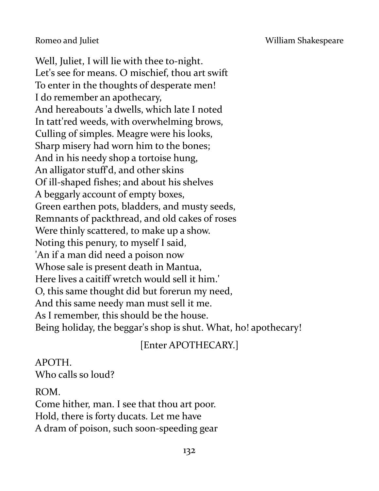Romeo and Juliet **No. 2018** William Shakespeare

Well, Juliet, I will lie with thee to-night. Let's see for means. O mischief, thou art swift To enter in the thoughts of desperate men! I do remember an apothecary, And hereabouts 'a dwells, which late I noted In tatt'red weeds, with overwhelming brows, Culling of simples. Meagre were his looks, Sharp misery had worn him to the bones; And in his needy shop a tortoise hung, An alligator stuff'd, and other skins Of ill-shaped fishes; and about his shelves A beggarly account of empty boxes, Green earthen pots, bladders, and musty seeds, Remnants of packthread, and old cakes of roses Were thinly scattered, to make up a show. Noting this penury, to myself I said, 'An if a man did need a poison now Whose sale is present death in Mantua, Here lives a caitiff wretch would sell it him.' O, this same thought did but forerun my need, And this same needy man must sell it me. As I remember, this should be the house. Being holiday, the beggar's shop is shut. What, ho! apothecary!

## [Enter APOTHECARY.]

APOTH. Who calls so loud?

ROM.

Come hither, man. I see that thou art poor. Hold, there is forty ducats. Let me have A dram of poison, such soon-speeding gear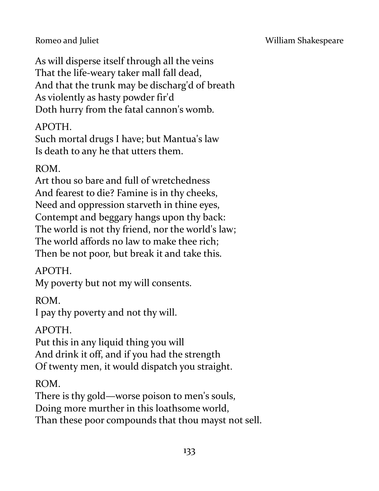As will disperse itself through all the veins That the life-weary taker mall fall dead, And that the trunk may be discharg'd of breath As violently as hasty powder fir'd Doth hurry from the fatal cannon's womb.

## APOTH.

Such mortal drugs I have; but Mantua's law Is death to any he that utters them.

### ROM.

Art thou so bare and full of wretchedness And fearest to die? Famine is in thy cheeks, Need and oppression starveth in thine eyes, Contempt and beggary hangs upon thy back: The world is not thy friend, nor the world's law; The world affords no law to make thee rich; Then be not poor, but break it and take this.

### APOTH.

My poverty but not my will consents.

ROM.

I pay thy poverty and not thy will.

### APOTH.

Put this in any liquid thing you will And drink it off, and if you had the strength Of twenty men, it would dispatch you straight.

### ROM.

There is thy gold—worse poison to men's souls, Doing more murther in this loathsome world, Than these poor compounds that thou mayst not sell.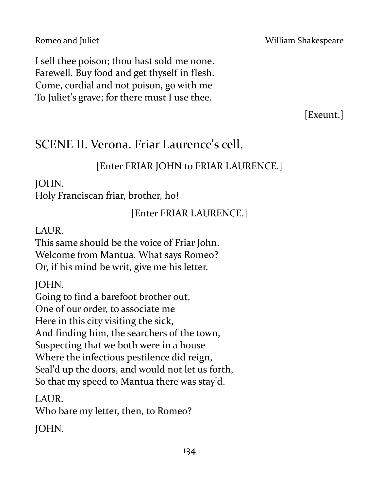I sell thee poison; thou hast sold me none. Farewell. Buy food and get thyself in flesh. Come, cordial and not poison, go with me To Juliet's grave; for there must I use thee.

[Exeunt.]

# SCENE II. Verona. Friar Laurence's cell.

## [Enter FRIAR JOHN to FRIAR LAURENCE.]

## JOHN.

Holy Franciscan friar, brother, ho!

[Enter FRIAR LAURENCE.]

## LAUR.

This same should be the voice of Friar John. Welcome from Mantua. What says Romeo? Or, if his mind be writ, give me his letter.

JOHN.

Going to find a barefoot brother out, One of our order, to associate me Here in this city visiting the sick, And finding him, the searchers of the town, Suspecting that we both were in a house Where the infectious pestilence did reign, Seal'd up the doors, and would not let us forth, So that my speed to Mantua there was stay'd.

LAUR. Who bare my letter, then, to Romeo?

JOHN.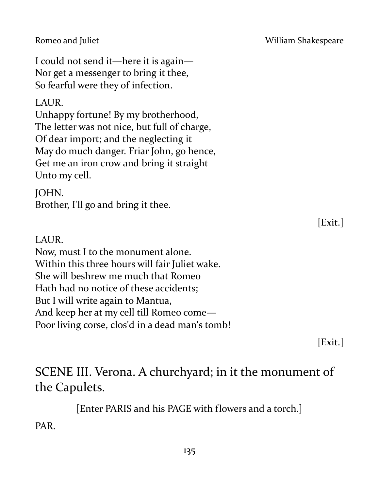I could not send it—here it is again— Nor get a messenger to bring it thee, So fearful were they of infection.

### LAUR.

Unhappy fortune! By my brotherhood, The letter was not nice, but full of charge, Of dear import; and the neglecting it May do much danger. Friar John, go hence, Get me an iron crow and bring it straight Unto my cell.

### JOHN.

Brother, I'll go and bring it thee.

### LAUR.

Now, must I to the monument alone. Within this three hours will fair Juliet wake. She will beshrew me much that Romeo Hath had no notice of these accidents; But I will write again to Mantua, And keep her at my cell till Romeo come— Poor living corse, clos'd in a dead man's tomb!

[Exit.]

# SCENE III. Verona. A churchyard; in it the monument of the Capulets.

[Enter PARIS and his PAGE with flowers and a torch.]

PAR.

[Exit.]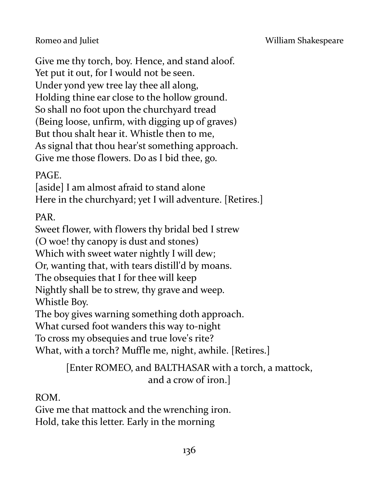Give me thy torch, boy. Hence, and stand aloof. Yet put it out, for I would not be seen. Under yond yew tree lay thee all along, Holding thine ear close to the hollow ground. So shall no foot upon the churchyard tread (Being loose, unfirm, with digging up of graves) But thou shalt hear it. Whistle then to me, As signal that thou hear'st something approach. Give me those flowers. Do as I bid thee, go.

PAGE.

[aside] I am almost afraid to stand alone Here in the churchyard; yet I will adventure. [Retires.]

PAR.

Sweet flower, with flowers thy bridal bed I strew (O woe! thy canopy is dust and stones) Which with sweet water nightly I will dew; Or, wanting that, with tears distill'd by moans. The obsequies that I for thee will keep Nightly shall be to strew, thy grave and weep. Whistle Boy. The boy gives warning something doth approach.

What cursed foot wanders this way to-night

To cross my obsequies and true love's rite?

What, with a torch? Muffle me, night, awhile. [Retires.]

[Enter ROMEO, and BALTHASAR with a torch, a mattock, and a crow of iron.]

ROM.

Give me that mattock and the wrenching iron. Hold, take this letter. Early in the morning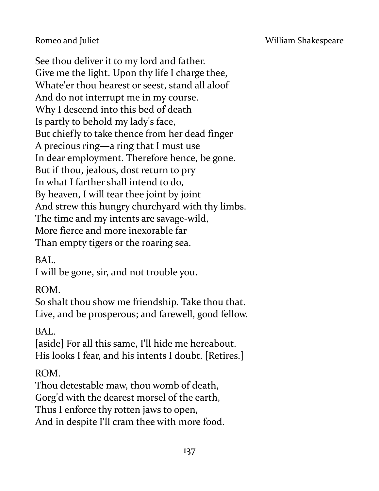See thou deliver it to my lord and father. Give me the light. Upon thy life I charge thee, Whate'er thou hearest or seest, stand all aloof And do not interrupt me in my course. Why I descend into this bed of death Is partly to behold my lady's face, But chiefly to take thence from her dead finger A precious ring—a ring that I must use In dear employment. Therefore hence, be gone. But if thou, jealous, dost return to pry In what I farther shall intend to do, By heaven, I will tear thee joint by joint And strew this hungry churchyard with thy limbs. The time and my intents are savage-wild, More fierce and more inexorable far Than empty tigers or the roaring sea.

BAL.

I will be gone, sir, and not trouble you.

ROM.

So shalt thou show me friendship. Take thou that. Live, and be prosperous; and farewell, good fellow.

BAL.

[aside] For all this same, I'll hide me hereabout. His looks I fear, and his intents I doubt. [Retires.]

ROM.

Thou detestable maw, thou womb of death,

Gorg'd with the dearest morsel of the earth,

Thus I enforce thy rotten jaws to open,

And in despite I'll cram thee with more food.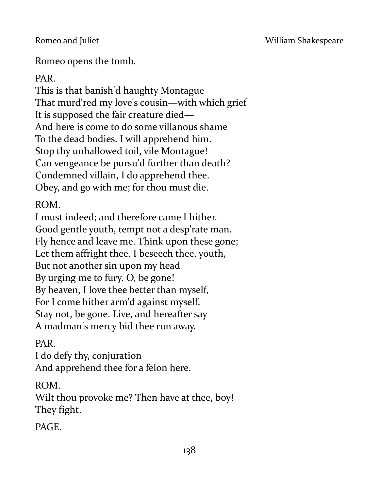Romeo opens the tomb.

PAR.

This is that banish'd haughty Montague That murd'red my love's cousin—with which grief It is supposed the fair creature died— And here is come to do some villanous shame To the dead bodies. I will apprehend him. Stop thy unhallowed toil, vile Montague! Can vengeance be pursu'd further than death? Condemned villain, I do apprehend thee. Obey, and go with me; for thou must die.

ROM.

I must indeed; and therefore came I hither. Good gentle youth, tempt not a desp'rate man. Fly hence and leave me. Think upon these gone; Let them affright thee. I beseech thee, youth, But not another sin upon my head By urging me to fury. O, be gone! By heaven, I love thee better than myself, For I come hither arm'd against myself. Stay not, be gone. Live, and hereafter say A madman's mercy bid thee run away.

PAR.

I do defy thy, conjuration And apprehend thee for a felon here.

ROM.

Wilt thou provoke me? Then have at thee, boy! They fight.

PAGE.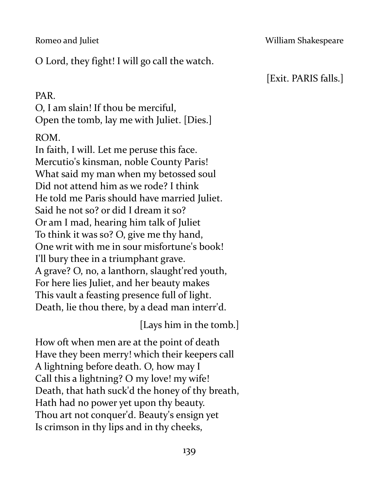O Lord, they fight! I will go call the watch.

#### PAR.

O, I am slain! If thou be merciful, Open the tomb, lay me with Juliet. [Dies.]

### ROM.

In faith, I will. Let me peruse this face. Mercutio's kinsman, noble County Paris! What said my man when my betossed soul Did not attend him as we rode? I think He told me Paris should have married Juliet. Said he not so? or did I dream it so? Or am I mad, hearing him talk of Juliet To think it was so? O, give me thy hand, One writ with me in sour misfortune's book! I'll bury thee in a triumphant grave. A grave? O, no, a lanthorn, slaught'red youth, For here lies Juliet, and her beauty makes This vault a feasting presence full of light. Death, lie thou there, by a dead man interr'd.

[Lays him in the tomb.]

How oft when men are at the point of death Have they been merry! which their keepers call A lightning before death. O, how may I Call this a lightning? O my love! my wife! Death, that hath suck'd the honey of thy breath, Hath had no power yet upon thy beauty. Thou art not conquer'd. Beauty's ensign yet Is crimson in thy lips and in thy cheeks,

## [Exit. PARIS falls.]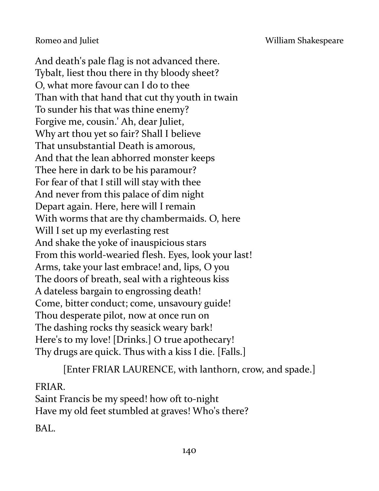And death's pale flag is not advanced there. Tybalt, liest thou there in thy bloody sheet? O, what more favour can I do to thee Than with that hand that cut thy youth in twain To sunder his that was thine enemy? Forgive me, cousin.' Ah, dear Juliet, Why art thou yet so fair? Shall I believe That unsubstantial Death is amorous, And that the lean abhorred monster keeps Thee here in dark to be his paramour? For fear of that I still will stay with thee And never from this palace of dim night Depart again. Here, here will I remain With worms that are thy chambermaids. O, here Will I set up my everlasting rest And shake the yoke of inauspicious stars From this world-wearied flesh. Eyes, look your last! Arms, take your last embrace! and, lips, O you The doors of breath, seal with a righteous kiss A dateless bargain to engrossing death! Come, bitter conduct; come, unsavoury guide! Thou desperate pilot, now at once run on The dashing rocks thy seasick weary bark! Here's to my love! [Drinks.] O true apothecary! Thy drugs are quick. Thus with a kiss I die. [Falls.]

[Enter FRIAR LAURENCE, with lanthorn, crow, and spade.]

### FRIAR.

Saint Francis be my speed! how oft to-night Have my old feet stumbled at graves! Who's there?

BAL.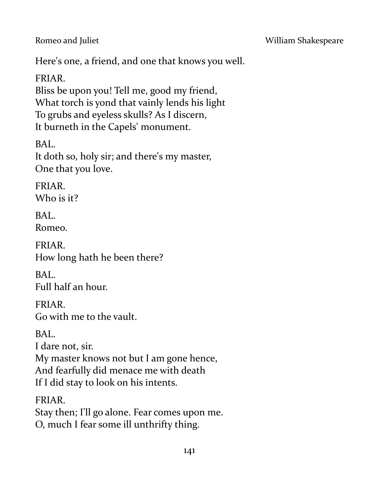Here's one, a friend, and one that knows you well.

FRIAR.

Bliss be upon you! Tell me, good my friend, What torch is yond that vainly lends his light To grubs and eyeless skulls? As I discern, It burneth in the Capels' monument.

BAL. It doth so, holy sir; and there's my master, One that you love.

FRIAR. Who is it?

BAL. Romeo.

FRIAR. How long hath he been there?

BAL. Full half an hour.

FRIAR. Go with me to the vault.

BAL.

I dare not, sir.

My master knows not but I am gone hence, And fearfully did menace me with death If I did stay to look on his intents.

FRIAR. Stay then; I'll go alone. Fear comes upon me. O, much I fear some ill unthrifty thing.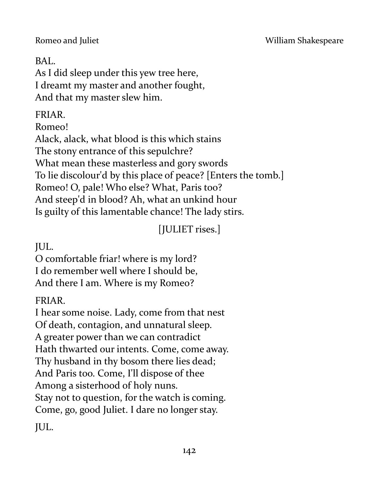## BAL.

As I did sleep under this yew tree here, I dreamt my master and another fought, And that my master slew him.

## FRIAR.

Romeo!

Alack, alack, what blood is this which stains The stony entrance of this sepulchre? What mean these masterless and gory swords To lie discolour'd by this place of peace? [Enters the tomb.] Romeo! O, pale! Who else? What, Paris too? And steep'd in blood? Ah, what an unkind hour Is guilty of this lamentable chance! The lady stirs.

[JULIET rises.]

JUL.

O comfortable friar! where is my lord? I do remember well where I should be, And there I am. Where is my Romeo?

## FRIAR.

I hear some noise. Lady, come from that nest Of death, contagion, and unnatural sleep. A greater power than we can contradict Hath thwarted our intents. Come, come away. Thy husband in thy bosom there lies dead; And Paris too. Come, I'll dispose of thee Among a sisterhood of holy nuns. Stay not to question, for the watch is coming. Come, go, good Juliet. I dare no longer stay. JUL.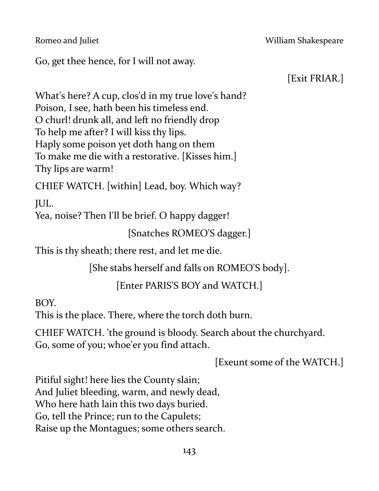Go, get thee hence, for I will not away.

[Exit FRIAR.]

What's here? A cup, clos'd in my true love's hand? Poison, I see, hath been his timeless end. O churl! drunk all, and left no friendly drop To help me after? I will kiss thy lips. Haply some poison yet doth hang on them To make me die with a restorative. [Kisses him.] Thy lips are warm!

CHIEF WATCH. [within] Lead, boy. Which way?

JUL.

Yea, noise? Then I'll be brief. O happy dagger!

[Snatches ROMEO'S dagger.]

This is thy sheath; there rest, and let me die.

[She stabs herself and falls on ROMEO'S body].

[Enter PARIS'S BOY and WATCH.]

BOY.

This is the place. There, where the torch doth burn.

CHIEF WATCH. 'the ground is bloody. Search about the churchyard. Go, some of you; whoe'er you find attach.

[Exeunt some of the WATCH.]

Pitiful sight! here lies the County slain; And Juliet bleeding, warm, and newly dead, Who here hath lain this two days buried. Go, tell the Prince; run to the Capulets; Raise up the Montagues; some others search.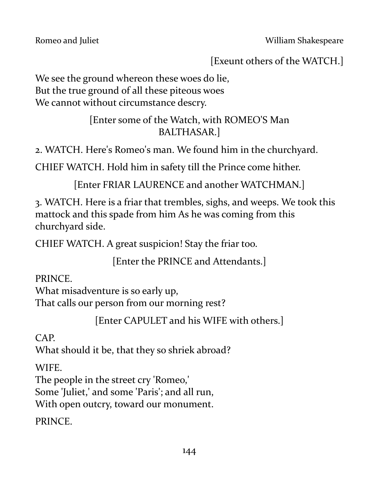[Exeunt others of the WATCH.]

We see the ground whereon these woes do lie, But the true ground of all these piteous woes We cannot without circumstance descry.

> [Enter some of the Watch, with ROMEO'S Man BALTHASAR.]

2. WATCH. Here's Romeo's man. We found him in the churchyard.

CHIEF WATCH. Hold him in safety till the Prince come hither.

[Enter FRIAR LAURENCE and another WATCHMAN.]

3. WATCH. Here is a friar that trembles, sighs, and weeps. We took this mattock and this spade from him As he was coming from this churchyard side.

CHIEF WATCH. A great suspicion! Stay the friar too.

[Enter the PRINCE and Attendants.]

PRINCE.

What misadventure is so early up, That calls our person from our morning rest?

[Enter CAPULET and his WIFE with others.]

CAP.

What should it be, that they so shriek abroad?

WIFE.

The people in the street cry 'Romeo,'

Some 'Juliet,' and some 'Paris'; and all run,

With open outcry, toward our monument.

PRINCE.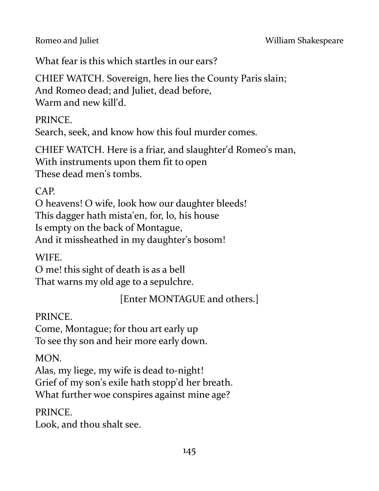What fear is this which startles in our ears?

CHIEF WATCH. Sovereign, here lies the County Paris slain; And Romeo dead; and Juliet, dead before, Warm and new kill'd.

PRINCE.

Search, seek, and know how this foul murder comes.

CHIEF WATCH. Here is a friar, and slaughter'd Romeo's man, With instruments upon them fit to open These dead men's tombs.

CAP.

O heavens! O wife, look how our daughter bleeds! This dagger hath mista'en, for, lo, his house Is empty on the back of Montague, And it missheathed in my daughter's bosom!

WIFE.

O me! this sight of death is as a bell That warns my old age to a sepulchre.

[Enter MONTAGUE and others.]

PRINCE.

Come, Montague; for thou art early up To see thy son and heir more early down.

MON.

Alas, my liege, my wife is dead to-night! Grief of my son's exile hath stopp'd her breath. What further woe conspires against mine age?

**PRINCE** 

Look, and thou shalt see.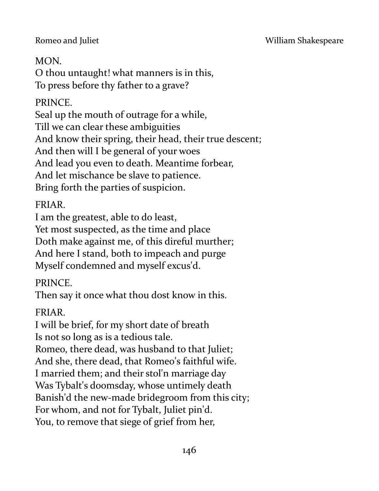#### Romeo and Juliet **No. 2018** William Shakespeare

### MON.

O thou untaught! what manners is in this, To press before thy father to a grave?

### PRINCE.

Seal up the mouth of outrage for a while, Till we can clear these ambiguities And know their spring, their head, their true descent; And then will I be general of your woes And lead you even to death. Meantime forbear, And let mischance be slave to patience. Bring forth the parties of suspicion.

### FRIAR.

I am the greatest, able to do least,

Yet most suspected, as the time and place Doth make against me, of this direful murther; And here I stand, both to impeach and purge Myself condemned and myself excus'd.

## PRINCE.

Then say it once what thou dost know in this.

## FRIAR.

I will be brief, for my short date of breath Is not so long as is a tedious tale. Romeo, there dead, was husband to that Juliet; And she, there dead, that Romeo's faithful wife. I married them; and their stol'n marriage day Was Tybalt's doomsday, whose untimely death Banish'd the new-made bridegroom from this city; For whom, and not for Tybalt, Juliet pin'd. You, to remove that siege of grief from her,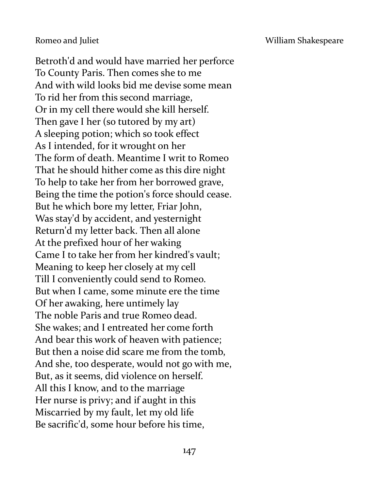Romeo and Juliet **National Accord Engineering Contract Accord William Shakespeare** 

Betroth'd and would have married her perforce To County Paris. Then comes she to me And with wild looks bid me devise some mean To rid her from this second marriage, Or in my cell there would she kill herself. Then gave I her (so tutored by my art) A sleeping potion; which so took effect As I intended, for it wrought on her The form of death. Meantime I writ to Romeo That he should hither come as this dire night To help to take her from her borrowed grave, Being the time the potion's force should cease. But he which bore my letter, Friar John, Was stay'd by accident, and yesternight Return'd my letter back. Then all alone At the prefixed hour of her waking Came I to take her from her kindred's vault; Meaning to keep her closely at my cell Till I conveniently could send to Romeo. But when I came, some minute ere the time Of her awaking, here untimely lay The noble Paris and true Romeo dead. She wakes; and I entreated her come forth And bear this work of heaven with patience; But then a noise did scare me from the tomb, And she, too desperate, would not go with me, But, as it seems, did violence on herself. All this I know, and to the marriage Her nurse is privy; and if aught in this Miscarried by my fault, let my old life Be sacrific'd, some hour before his time,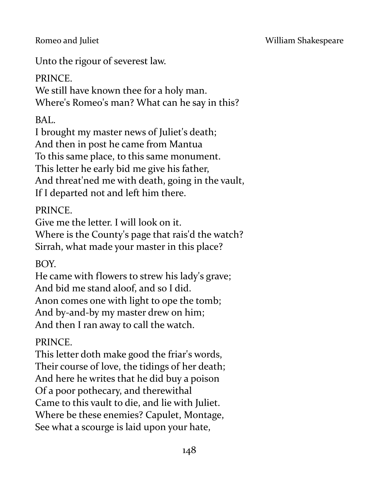Unto the rigour of severest law.

## PRINCE.

We still have known thee for a holy man. Where's Romeo's man? What can he say in this?

## BAL.

I brought my master news of Juliet's death; And then in post he came from Mantua To this same place, to this same monument. This letter he early bid me give his father, And threat'ned me with death, going in the vault, If I departed not and left him there.

## PRINCE.

Give me the letter. I will look on it. Where is the County's page that rais'd the watch? Sirrah, what made your master in this place?

## BOY.

He came with flowers to strew his lady's grave; And bid me stand aloof, and so I did. Anon comes one with light to ope the tomb; And by-and-by my master drew on him; And then I ran away to call the watch.

# PRINCE.

This letter doth make good the friar's words, Their course of love, the tidings of her death; And here he writes that he did buy a poison Of a poor pothecary, and therewithal Came to this vault to die, and lie with Juliet. Where be these enemies? Capulet, Montage, See what a scourge is laid upon your hate,